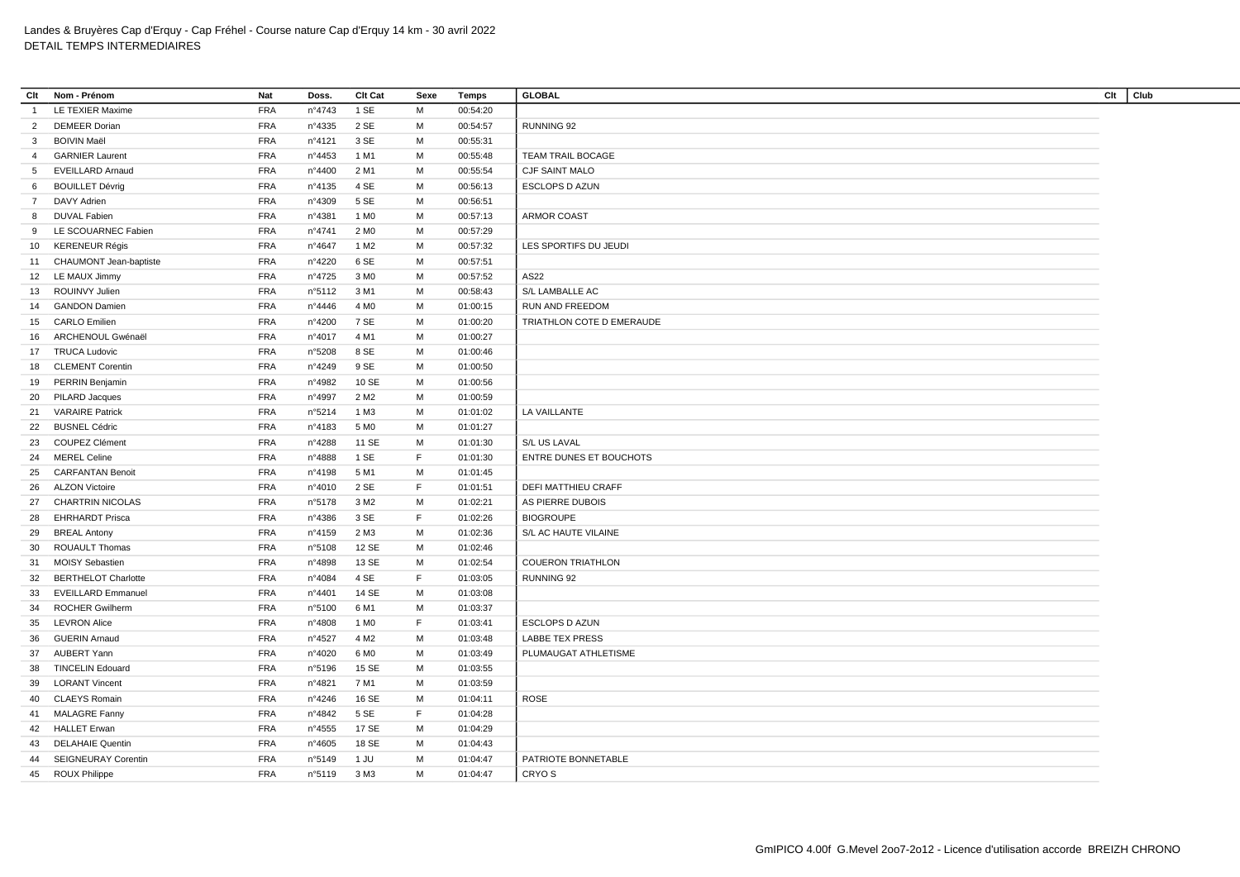| Clt              | Nom - Prénom               | <b>Nat</b> | Doss.  | Clt Cat          | Sexe | <b>Temps</b> | <b>GLOBAL</b>             | Club<br>Clt |
|------------------|----------------------------|------------|--------|------------------|------|--------------|---------------------------|-------------|
| $\overline{1}$   | LE TEXIER Maxime           | <b>FRA</b> | n°4743 | 1 SE             | M    | 00:54:20     |                           |             |
| $\overline{2}$   | <b>DEMEER Dorian</b>       | <b>FRA</b> | n°4335 | 2 SE             | M    | 00:54:57     | RUNNING 92                |             |
| 3                | <b>BOIVIN Maël</b>         | <b>FRA</b> | n°4121 | 3 SE             | M    | 00:55:31     |                           |             |
| $\overline{4}$   | <b>GARNIER Laurent</b>     | <b>FRA</b> | n°4453 | 1 M1             | M    | 00:55:48     | TEAM TRAIL BOCAGE         |             |
| 5                | <b>EVEILLARD Arnaud</b>    | <b>FRA</b> | n°4400 | 2 M1             | M    | 00:55:54     | CJF SAINT MALO            |             |
| 6                | <b>BOUILLET Dévrig</b>     | <b>FRA</b> | nº4135 | 4 SE             | M    | 00:56:13     | ESCLOPS D AZUN            |             |
| $7^{\circ}$      | <b>DAVY Adrien</b>         | <b>FRA</b> | n°4309 | 5 SE             | M    | 00:56:51     |                           |             |
| 8                | <b>DUVAL Fabien</b>        | <b>FRA</b> | n°4381 | 1 M <sub>0</sub> | м    | 00:57:13     | ARMOR COAST               |             |
| 9                | LE SCOUARNEC Fabien        | <b>FRA</b> | n°4741 | 2 M <sub>0</sub> | M    | 00:57:29     |                           |             |
| 10 <sup>10</sup> | <b>KERENEUR Régis</b>      | <b>FRA</b> | n°4647 | 1 M2             | M    | 00:57:32     | LES SPORTIFS DU JEUDI     |             |
|                  | 11 CHAUMONT Jean-baptiste  | <b>FRA</b> | n°4220 | 6 SE             | м    | 00:57:51     |                           |             |
|                  | 12 LE MAUX Jimmy           | <b>FRA</b> | n°4725 | 3 M <sub>0</sub> | M    | 00:57:52     | AS22                      |             |
| 13               | ROUINVY Julien             | <b>FRA</b> | n°5112 | 3 M1             | м    | 00:58:43     | S/L LAMBALLE AC           |             |
| 14               | <b>GANDON Damien</b>       | <b>FRA</b> | n°4446 | 4 M <sub>0</sub> | M    | 01:00:15     | RUN AND FREEDOM           |             |
| 15               | <b>CARLO Emilien</b>       | <b>FRA</b> | n°4200 | 7 SE             | м    | 01:00:20     | TRIATHLON COTE D EMERAUDE |             |
| 16               | ARCHENOUL Gwénaël          | <b>FRA</b> | n°4017 | 4 M1             | M    | 01:00:27     |                           |             |
| 17               | <b>TRUCA Ludovic</b>       | <b>FRA</b> | n°5208 | 8 SE             | M    | 01:00:46     |                           |             |
| 18               | <b>CLEMENT Corentin</b>    | <b>FRA</b> | n°4249 | 9 SE             | м    | 01:00:50     |                           |             |
| 19               | PERRIN Benjamin            | <b>FRA</b> | n°4982 | 10 SE            | M    | 01:00:56     |                           |             |
| 20               | PILARD Jacques             | <b>FRA</b> | n°4997 | 2 M <sub>2</sub> | М    | 01:00:59     |                           |             |
|                  | 21 VARAIRE Patrick         | <b>FRA</b> | n°5214 | 1 M3             | M    | 01:01:02     | LA VAILLANTE              |             |
| 22               | <b>BUSNEL Cédric</b>       | <b>FRA</b> | n°4183 | 5 M <sub>0</sub> | м    | 01:01:27     |                           |             |
| 23               | <b>COUPEZ Clément</b>      | <b>FRA</b> | n°4288 | 11 SE            | M    | 01:01:30     | S/L US LAVAL              |             |
| 24               | <b>MEREL Celine</b>        | <b>FRA</b> | n°4888 | 1 SE             | F.   | 01:01:30     | ENTRE DUNES ET BOUCHOTS   |             |
|                  | 25 CARFANTAN Benoit        | <b>FRA</b> | n°4198 | 5 M1             | м    | 01:01:45     |                           |             |
| 26               | <b>ALZON Victoire</b>      | <b>FRA</b> | n°4010 | 2 SE             | F.   | 01:01:51     | DEFI MATTHIEU CRAFF       |             |
| 27               | <b>CHARTRIN NICOLAS</b>    | <b>FRA</b> | n°5178 | 3 M <sub>2</sub> | M    | 01:02:21     | AS PIERRE DUBOIS          |             |
| 28               | <b>EHRHARDT Prisca</b>     | <b>FRA</b> | n°4386 | 3 SE             | F.   | 01:02:26     | <b>BIOGROUPE</b>          |             |
| 29               | <b>BREAL Antony</b>        | <b>FRA</b> | n°4159 | 2 M3             | M    | 01:02:36     | S/L AC HAUTE VILAINE      |             |
| 30               | <b>ROUAULT Thomas</b>      | <b>FRA</b> | n°5108 | 12 SE            | M    | 01:02:46     |                           |             |
| 31               | <b>MOISY Sebastien</b>     | <b>FRA</b> | n°4898 | 13 SE            | м    | 01:02:54     | <b>COUERON TRIATHLON</b>  |             |
|                  | <b>BERTHELOT Charlotte</b> | <b>FRA</b> | n°4084 | 4 SE             | F.   | 01:03:05     | RUNNING 92                |             |
| 32<br>33         | <b>EVEILLARD Emmanuel</b>  | <b>FRA</b> | n°4401 | 14 SE            | м    | 01:03:08     |                           |             |
| 34               | <b>ROCHER Gwilherm</b>     | <b>FRA</b> | n°5100 | 6 M1             | м    | 01:03:37     |                           |             |
| 35               | <b>LEVRON Alice</b>        | <b>FRA</b> | n°4808 | 1 M <sub>0</sub> | F.   | 01:03:41     | <b>ESCLOPS D AZUN</b>     |             |
|                  | <b>GUERIN Arnaud</b>       | <b>FRA</b> | n°4527 | 4 M <sub>2</sub> | м    | 01:03:48     | <b>LABBE TEX PRESS</b>    |             |
| 36               | <b>AUBERT Yann</b>         | <b>FRA</b> | n°4020 | 6 M <sub>0</sub> | M    | 01:03:49     | PLUMAUGAT ATHLETISME      |             |
| 37               |                            |            |        |                  |      |              |                           |             |
| 38               | <b>TINCELIN Edouard</b>    | <b>FRA</b> | n°5196 | 15 SE            | м    | 01:03:55     |                           |             |
| 39               | <b>LORANT Vincent</b>      | <b>FRA</b> | n°4821 | 7 M1             | M    | 01:03:59     |                           |             |
| 40               | <b>CLAEYS Romain</b>       | <b>FRA</b> | nº4246 | 16 SE            | M    | 01:04:11     | <b>ROSE</b>               |             |
|                  | 41 MALAGRE Fanny           | <b>FRA</b> | n°4842 | 5 SE             | F.   | 01:04:28     |                           |             |
| 42               | <b>HALLET Erwan</b>        | <b>FRA</b> | n°4555 | 17 SE            | M    | 01:04:29     |                           |             |
| 43               | <b>DELAHAIE Quentin</b>    | <b>FRA</b> | n°4605 | 18 SE            | М    | 01:04:43     |                           |             |
| 44               | SEIGNEURAY Corentin        | <b>FRA</b> | n°5149 | 1 JU             | M    | 01:04:47     | PATRIOTE BONNETABLE       |             |
|                  | 45 ROUX Philippe           | <b>FRA</b> | n°5119 | 3 M3             | M    | 01:04:47     | CRYO <sub>S</sub>         |             |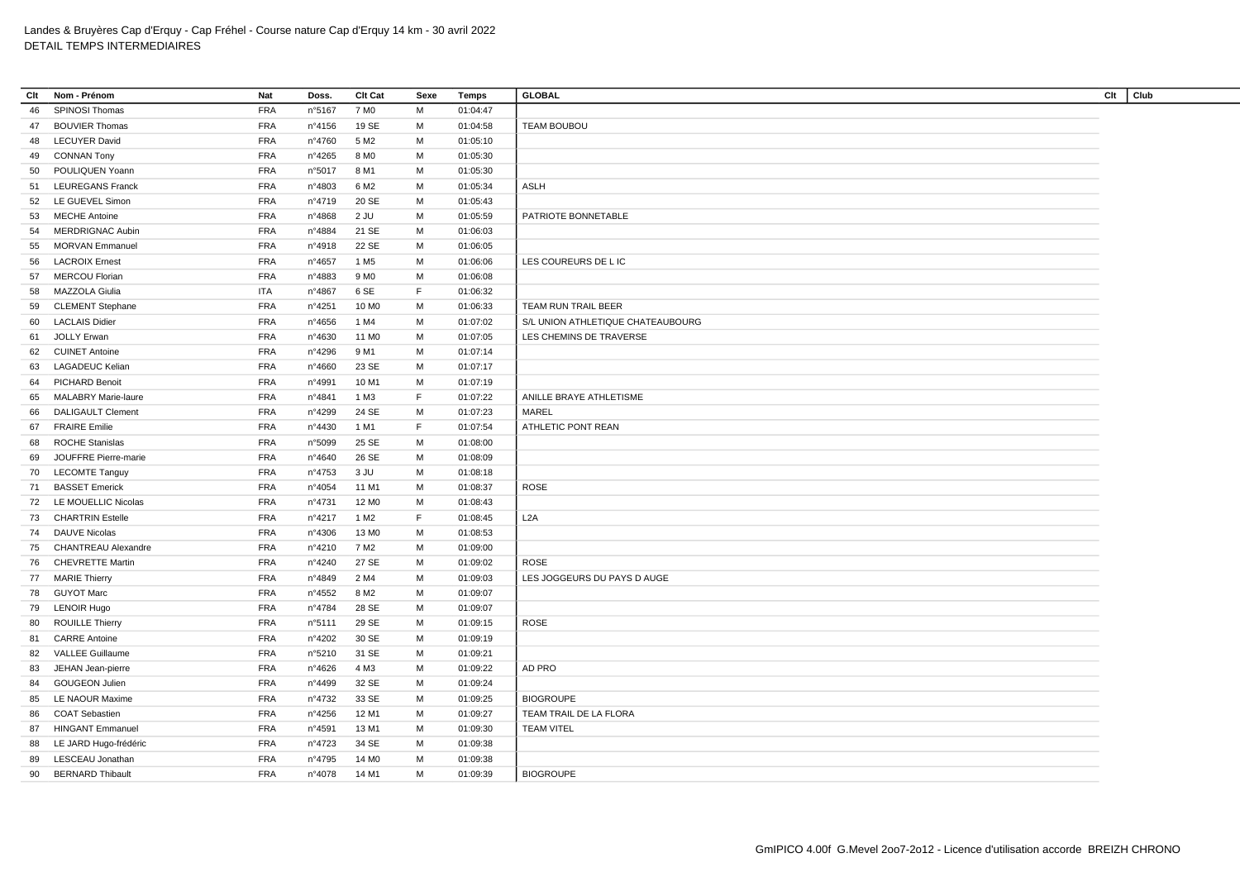| Clt | Nom - Prénom                                   | Nat        | Doss.  | Clt Cat           | Sexe   | Temps                | <b>GLOBAL</b>                     | Clt<br>Club |  |
|-----|------------------------------------------------|------------|--------|-------------------|--------|----------------------|-----------------------------------|-------------|--|
| 46  | SPINOSI Thomas                                 | <b>FRA</b> | n°5167 | 7 M <sub>0</sub>  | M      | 01:04:47             |                                   |             |  |
| 47  | <b>BOUVIER Thomas</b>                          | <b>FRA</b> | n°4156 | 19 SE             | М      | 01:04:58             | TEAM BOUBOU                       |             |  |
| 48  | <b>LECUYER David</b>                           | <b>FRA</b> | n°4760 | 5 M <sub>2</sub>  | М      | 01:05:10             |                                   |             |  |
| 49  | <b>CONNAN Tony</b>                             | <b>FRA</b> | n°4265 | 8 M <sub>0</sub>  | M      | 01:05:30             |                                   |             |  |
| 50  | POULIQUEN Yoann                                | <b>FRA</b> | n°5017 | 8 M1              | м      | 01:05:30             |                                   |             |  |
| 51  | <b>LEUREGANS Franck</b>                        | <b>FRA</b> | n°4803 | 6 M <sub>2</sub>  | M      | 01:05:34             | <b>ASLH</b>                       |             |  |
| 52  | LE GUEVEL Simon                                | <b>FRA</b> | n°4719 | 20 SE             | М      | 01:05:43             |                                   |             |  |
| 53  | <b>MECHE Antoine</b>                           | <b>FRA</b> | n°4868 | $2$ JU            | M      | 01:05:59             | PATRIOTE BONNETABLE               |             |  |
| 54  | <b>MERDRIGNAC Aubin</b>                        | <b>FRA</b> | n°4884 | 21 SE             | М      | 01:06:03             |                                   |             |  |
| 55  | <b>MORVAN Emmanuel</b>                         | <b>FRA</b> | n°4918 | 22 SE             | M      | 01:06:05             |                                   |             |  |
| 56  | <b>LACROIX Ernest</b>                          | <b>FRA</b> | n°4657 | 1 M <sub>5</sub>  | M      | 01:06:06             | LES COUREURS DE L IC              |             |  |
| 57  | <b>MERCOU Florian</b>                          | <b>FRA</b> | n°4883 | 9 M <sub>0</sub>  | М      | 01:06:08             |                                   |             |  |
| 58  | MAZZOLA Giulia                                 | <b>ITA</b> | n°4867 | 6 SE              | F      | 01:06:32             |                                   |             |  |
| 59  | <b>CLEMENT Stephane</b>                        | <b>FRA</b> | nº4251 | 10 M <sub>0</sub> | М      | 01:06:33             | TEAM RUN TRAIL BEER               |             |  |
| 60  | <b>LACLAIS Didier</b>                          | <b>FRA</b> | n°4656 | 1 M4              | м      | 01:07:02             | S/L UNION ATHLETIQUE CHATEAUBOURG |             |  |
| 61  | <b>JOLLY Erwan</b>                             | <b>FRA</b> | n°4630 | 11 M <sub>0</sub> | M      | 01:07:05             | LES CHEMINS DE TRAVERSE           |             |  |
| 62  | <b>CUINET Antoine</b>                          | <b>FRA</b> | n°4296 | 9 M1              | М      | 01:07:14             |                                   |             |  |
| 63  | <b>LAGADEUC Kelian</b>                         | <b>FRA</b> | n°4660 | 23 SE             | М      | 01:07:17             |                                   |             |  |
| 64  | PICHARD Benoit                                 | <b>FRA</b> | n°4991 | 10 M1             | М      | 01:07:19             |                                   |             |  |
| 65  | <b>MALABRY Marie-laure</b>                     | <b>FRA</b> | n°4841 | 1 M3              | F.     | 01:07:22             | ANILLE BRAYE ATHLETISME           |             |  |
| 66  | <b>DALIGAULT Clement</b>                       | <b>FRA</b> | n°4299 | 24 SE             | М      | 01:07:23             | MAREL                             |             |  |
| 67  | <b>FRAIRE Emilie</b>                           | <b>FRA</b> | n°4430 | 1 M1              | F      | 01:07:54             | ATHLETIC PONT REAN                |             |  |
| 68  | <b>ROCHE Stanislas</b>                         | <b>FRA</b> | n°5099 | 25 SE             | М      | 01:08:00             |                                   |             |  |
| 69  | JOUFFRE Pierre-marie                           | <b>FRA</b> | n°4640 | 26 SE             | М      | 01:08:09             |                                   |             |  |
| 70  | <b>LECOMTE Tanguy</b>                          | <b>FRA</b> | n°4753 | 3 JU              | М      | 01:08:18             |                                   |             |  |
| 71  | <b>BASSET Emerick</b>                          | <b>FRA</b> | n°4054 | 11 M1             | М      | 01:08:37             | <b>ROSE</b>                       |             |  |
| 72  | LE MOUELLIC Nicolas                            | <b>FRA</b> | n°4731 | 12 M <sub>0</sub> | М      | 01:08:43             |                                   |             |  |
| 73  | <b>CHARTRIN Estelle</b>                        | <b>FRA</b> | n°4217 | 1 M <sub>2</sub>  | F      | 01:08:45             | L2A                               |             |  |
| 74  | <b>DAUVE Nicolas</b>                           | <b>FRA</b> | n°4306 | 13 MO             | M      | 01:08:53             |                                   |             |  |
| 75  | <b>CHANTREAU Alexandre</b>                     | <b>FRA</b> | n°4210 | 7 M2              | М      | 01:09:00             |                                   |             |  |
| 76  | <b>CHEVRETTE Martin</b>                        | <b>FRA</b> | n°4240 | 27 SE             | М      | 01:09:02             | <b>ROSE</b>                       |             |  |
|     | 77 MARIE Thierry                               | <b>FRA</b> | n°4849 | 2 M4              | М      | 01:09:03             | LES JOGGEURS DU PAYS D AUGE       |             |  |
| 78  | <b>GUYOT Marc</b>                              | <b>FRA</b> | n°4552 | 8 M <sub>2</sub>  | м      |                      |                                   |             |  |
|     |                                                | <b>FRA</b> | n°4784 | 28 SE             | M      | 01:09:07<br>01:09:07 |                                   |             |  |
| 79  | <b>LENOIR Hugo</b>                             |            |        |                   |        |                      |                                   |             |  |
| 80  | <b>ROUILLE Thierry</b><br><b>CARRE Antoine</b> | <b>FRA</b> | n°5111 | 29 SE             | М<br>M | 01:09:15             | <b>ROSE</b>                       |             |  |
| 81  |                                                | <b>FRA</b> | n°4202 | 30 SE             |        | 01:09:19             |                                   |             |  |
| 82  | <b>VALLEE Guillaume</b>                        | <b>FRA</b> | n°5210 | 31 SE             | M      | 01:09:21             |                                   |             |  |
| 83  | JEHAN Jean-pierre                              | <b>FRA</b> | n°4626 | 4 M3              | M      | 01:09:22             | AD PRO                            |             |  |
| 84  | <b>GOUGEON Julien</b>                          | <b>FRA</b> | n°4499 | 32 SE             | М      | 01:09:24             |                                   |             |  |
| 85  | LE NAOUR Maxime                                | <b>FRA</b> | n°4732 | 33 SE             | М      | 01:09:25             | <b>BIOGROUPE</b>                  |             |  |
| 86  | <b>COAT Sebastien</b>                          | <b>FRA</b> | n°4256 | 12 M1             | М      | 01:09:27             | TEAM TRAIL DE LA FLORA            |             |  |
| 87  | <b>HINGANT Emmanuel</b>                        | <b>FRA</b> | n°4591 | 13 M1             | М      | 01:09:30             | <b>TEAM VITEL</b>                 |             |  |
| 88  | LE JARD Hugo-frédéric                          | <b>FRA</b> | n°4723 | 34 SE             | м      | 01:09:38             |                                   |             |  |
| 89  | LESCEAU Jonathan                               | <b>FRA</b> | n°4795 | 14 M <sub>0</sub> | M      | 01:09:38             |                                   |             |  |
| 90  | <b>BERNARD Thibault</b>                        | <b>FRA</b> | n°4078 | 14 M1             | М      | 01:09:39             | <b>BIOGROUPE</b>                  |             |  |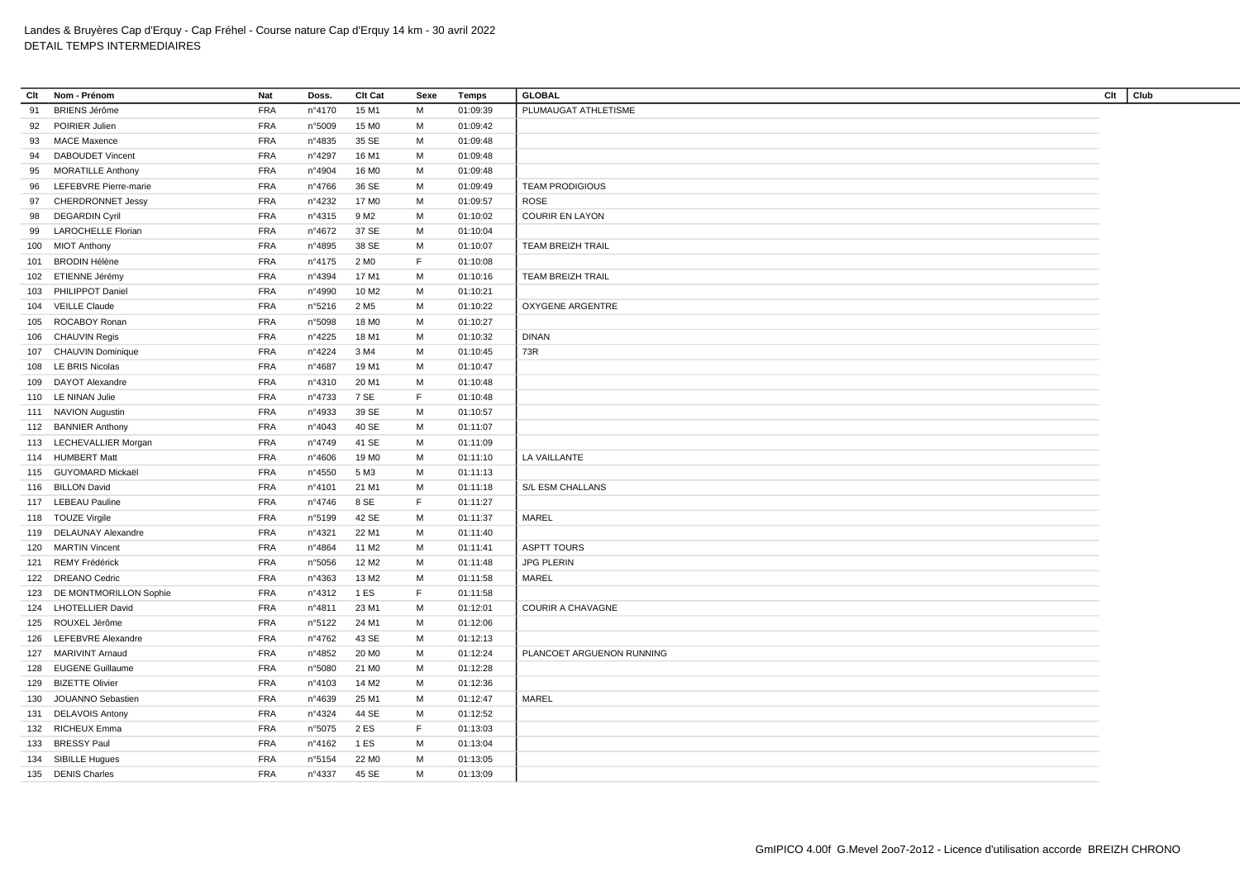| Clt | Nom - Prénom                            | <b>Nat</b> | Doss.            | Clt Cat           | Sexe | Temps    | <b>GLOBAL</b>             | Clt | Club |
|-----|-----------------------------------------|------------|------------------|-------------------|------|----------|---------------------------|-----|------|
| 91  | <b>BRIENS Jérôme</b>                    | <b>FRA</b> | n°4170           | 15 M1             | М    | 01:09:39 | PLUMAUGAT ATHLETISME      |     |      |
| 92  | POIRIER Julien                          | <b>FRA</b> | n°5009           | 15 MO             | м    | 01:09:42 |                           |     |      |
| 93  | <b>MACE Maxence</b>                     | <b>FRA</b> | n°4835           | 35 SE             | М    | 01:09:48 |                           |     |      |
| 94  | <b>DABOUDET Vincent</b>                 | <b>FRA</b> | n°4297           | 16 M1             | M    | 01:09:48 |                           |     |      |
| 95  | <b>MORATILLE Anthony</b>                | <b>FRA</b> | n°4904           | 16 M <sub>0</sub> | м    | 01:09:48 |                           |     |      |
| 96  | LEFEBVRE Pierre-marie                   | <b>FRA</b> | n°4766           | 36 SE             | М    | 01:09:49 | <b>TEAM PRODIGIOUS</b>    |     |      |
| 97  | <b>CHERDRONNET Jessy</b>                | <b>FRA</b> | n°4232           | 17 M <sub>0</sub> | М    | 01:09:57 | ROSE                      |     |      |
| 98  | <b>DEGARDIN Cyril</b>                   | <b>FRA</b> | nº4315           | 9 M <sub>2</sub>  | М    | 01:10:02 | <b>COURIR EN LAYON</b>    |     |      |
| 99  | <b>LAROCHELLE Florian</b>               | <b>FRA</b> | n°4672           | 37 SE             | М    | 01:10:04 |                           |     |      |
| 100 | <b>MIOT Anthony</b>                     | <b>FRA</b> | n°4895           | 38 SE             | М    | 01:10:07 | <b>TEAM BREIZH TRAIL</b>  |     |      |
| 101 | <b>BRODIN Hélène</b>                    | <b>FRA</b> | n°4175           | 2 M <sub>0</sub>  | F.   | 01:10:08 |                           |     |      |
|     | 102 ETIENNE Jérémy                      | <b>FRA</b> | n°4394           | 17 M1             | М    | 01:10:16 | TEAM BREIZH TRAIL         |     |      |
| 103 | PHILIPPOT Daniel                        | <b>FRA</b> | n°4990           | 10 M <sub>2</sub> | М    | 01:10:21 |                           |     |      |
|     | 104 VEILLE Claude                       | <b>FRA</b> | n°5216           | 2 M <sub>5</sub>  | M    | 01:10:22 | OXYGENE ARGENTRE          |     |      |
| 105 | ROCABOY Ronan                           | <b>FRA</b> | n°5098           | 18 M <sub>0</sub> | М    | 01:10:27 |                           |     |      |
|     | 106 CHAUVIN Regis                       | <b>FRA</b> | n°4225           | 18 M1             | M    | 01:10:32 | <b>DINAN</b>              |     |      |
| 107 | <b>CHAUVIN Dominique</b>                | <b>FRA</b> | n°4224           | 3 M4              | м    | 01:10:45 | 73R                       |     |      |
|     | 108 LE BRIS Nicolas                     | <b>FRA</b> | n°4687           | 19 M1             | M    | 01:10:47 |                           |     |      |
| 109 | <b>DAYOT Alexandre</b>                  | <b>FRA</b> | nº4310           | 20 M1             | M    | 01:10:48 |                           |     |      |
|     | 110 LE NINAN Julie                      | <b>FRA</b> | n°4733           | 7 SE              | F.   | 01:10:48 |                           |     |      |
|     | 111 NAVION Augustin                     | <b>FRA</b> | n°4933           | 39 SE             | м    | 01:10:57 |                           |     |      |
|     | 112 BANNIER Anthony                     | <b>FRA</b> | n°4043           | 40 SE             | M    | 01:11:07 |                           |     |      |
|     | 113 LECHEVALLIER Morgan                 | <b>FRA</b> | n°4749           | 41 SE             | M    | 01:11:09 |                           |     |      |
|     | 114 HUMBERT Matt                        | <b>FRA</b> | n°4606           | 19 M <sub>0</sub> | М    | 01:11:10 | LA VAILLANTE              |     |      |
|     | 115 GUYOMARD Mickaël                    | <b>FRA</b> | n°4550           | 5 M3              | M    | 01:11:13 |                           |     |      |
|     | 116 BILLON David                        | <b>FRA</b> | n°4101           | 21 M1             | М    | 01:11:18 | S/L ESM CHALLANS          |     |      |
|     | 117 LEBEAU Pauline                      | <b>FRA</b> | n°4746           | 8 SE              | F    | 01:11:27 |                           |     |      |
|     |                                         | <b>FRA</b> |                  | 42 SE             | М    | 01:11:37 | MAREL                     |     |      |
|     | 118 TOUZE Virgile<br>DELAUNAY Alexandre | <b>FRA</b> | n°5199<br>n°4321 | 22 M1             | м    |          |                           |     |      |
| 119 | <b>MARTIN Vincent</b>                   | <b>FRA</b> |                  |                   | М    | 01:11:40 | <b>ASPTT TOURS</b>        |     |      |
| 120 |                                         |            | n°4864           | 11 M <sub>2</sub> |      | 01:11:41 |                           |     |      |
| 121 | REMY Frédérick                          | <b>FRA</b> | n°5056           | 12 M <sub>2</sub> | М    | 01:11:48 | <b>JPG PLERIN</b>         |     |      |
|     | 122 DREANO Cedric                       | <b>FRA</b> | n°4363           | 13 M2             | M    | 01:11:58 | <b>MAREL</b>              |     |      |
|     | 123 DE MONTMORILLON Sophie              | <b>FRA</b> | n°4312           | 1 ES              | F    | 01:11:58 |                           |     |      |
| 124 | <b>LHOTELLIER David</b>                 | <b>FRA</b> | n°4811           | 23 M1             | м    | 01:12:01 | <b>COURIR A CHAVAGNE</b>  |     |      |
|     | 125 ROUXEL Jérôme                       | <b>FRA</b> | n°5122           | 24 M1             | М    | 01:12:06 |                           |     |      |
| 126 | LEFEBVRE Alexandre                      | <b>FRA</b> | n°4762           | 43 SE             | М    | 01:12:13 |                           |     |      |
| 127 | <b>MARIVINT Arnaud</b>                  | <b>FRA</b> | n°4852           | 20 M <sub>0</sub> | M    | 01:12:24 | PLANCOET ARGUENON RUNNING |     |      |
|     | 128 EUGENE Guillaume                    | <b>FRA</b> | n°5080           | 21 M <sub>0</sub> | М    | 01:12:28 |                           |     |      |
| 129 | <b>BIZETTE Olivier</b>                  | <b>FRA</b> | n°4103           | 14 M <sub>2</sub> | M    | 01:12:36 |                           |     |      |
| 130 | JOUANNO Sebastien                       | <b>FRA</b> | n°4639           | 25 M1             | М    | 01:12:47 | MAREL                     |     |      |
|     | 131 DELAVOIS Antony                     | <b>FRA</b> | n°4324           | 44 SE             | м    | 01:12:52 |                           |     |      |
|     | 132 RICHEUX Emma                        | <b>FRA</b> | n°5075           | 2 ES              | F    | 01:13:03 |                           |     |      |
| 133 | <b>BRESSY Paul</b>                      | <b>FRA</b> | n°4162           | 1 ES              | м    | 01:13:04 |                           |     |      |
|     | 134 SIBILLE Hugues                      | <b>FRA</b> | n°5154           | 22 M <sub>0</sub> | M    | 01:13:05 |                           |     |      |
|     | 135 DENIS Charles                       | <b>FRA</b> | n°4337           | 45 SE             | М    | 01:13:09 |                           |     |      |
|     |                                         |            |                  |                   |      |          |                           |     |      |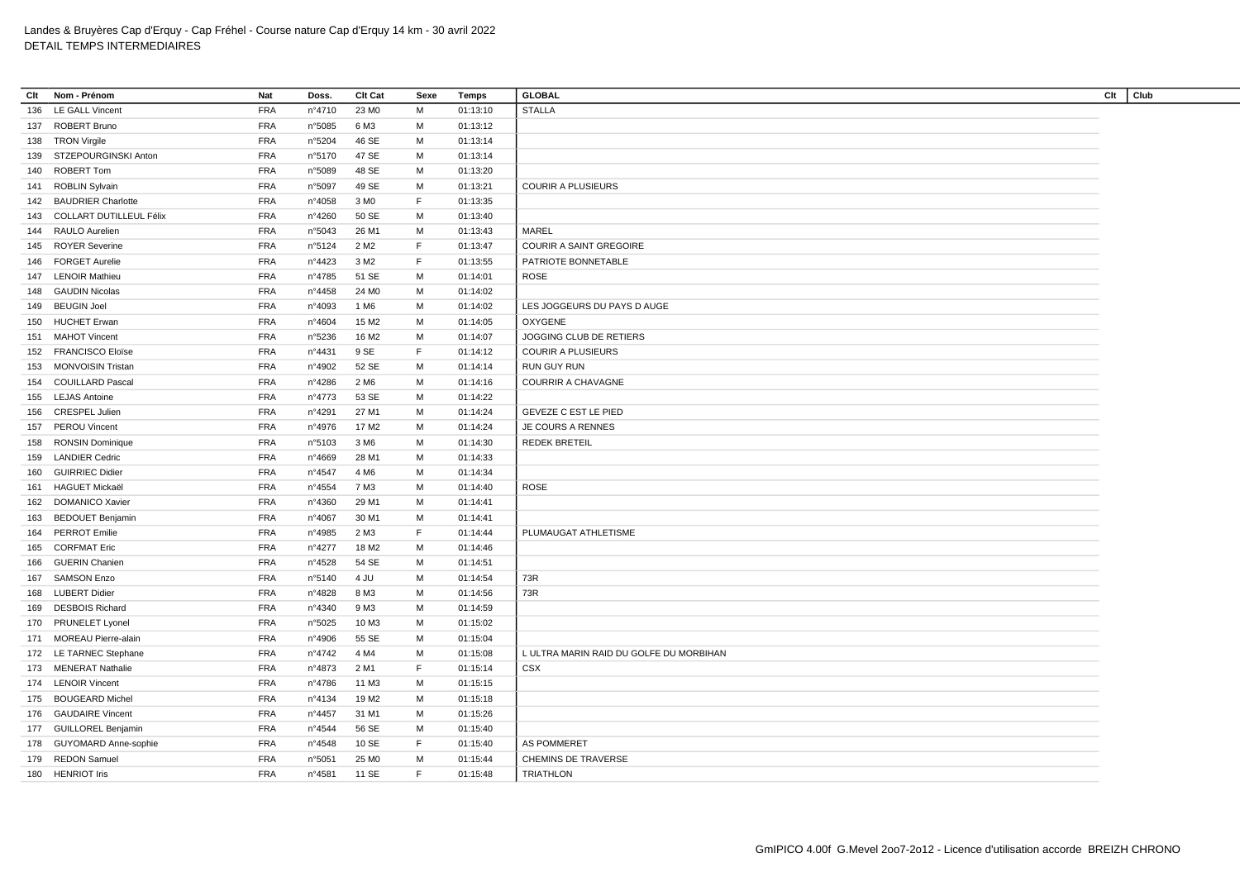| Clt | Nom - Prénom                   | <b>Nat</b> | Doss.  | Clt Cat           | Sexe        | Temps    | <b>GLOBAL</b>                           | Clt | Club |
|-----|--------------------------------|------------|--------|-------------------|-------------|----------|-----------------------------------------|-----|------|
| 136 | <b>LE GALL Vincent</b>         | <b>FRA</b> | nº4710 | 23 MO             | M           | 01:13:10 | <b>STALLA</b>                           |     |      |
|     | 137 ROBERT Bruno               | <b>FRA</b> | n°5085 | 6 M3              | М           | 01:13:12 |                                         |     |      |
| 138 | <b>TRON Virgile</b>            | FRA        | n°5204 | 46 SE             | М           | 01:13:14 |                                         |     |      |
| 139 | STZEPOURGINSKI Anton           | <b>FRA</b> | n°5170 | 47 SE             | М           | 01:13:14 |                                         |     |      |
| 140 | ROBERT Tom                     | <b>FRA</b> | n°5089 | 48 SE             | М           | 01:13:20 |                                         |     |      |
| 141 | <b>ROBLIN Sylvain</b>          | <b>FRA</b> | n°5097 | 49 SE             | М           | 01:13:21 | <b>COURIR A PLUSIEURS</b>               |     |      |
|     | 142 BAUDRIER Charlotte         | <b>FRA</b> | n°4058 | 3 M <sub>0</sub>  | F           | 01:13:35 |                                         |     |      |
| 143 | <b>COLLART DUTILLEUL Félix</b> | <b>FRA</b> | n°4260 | 50 SE             | М           | 01:13:40 |                                         |     |      |
| 144 | <b>RAULO Aurelien</b>          | <b>FRA</b> | n°5043 | 26 M1             | М           | 01:13:43 | <b>MAREL</b>                            |     |      |
| 145 | <b>ROYER Severine</b>          | <b>FRA</b> | n°5124 | 2 M <sub>2</sub>  | F           | 01:13:47 | <b>COURIR A SAINT GREGOIRE</b>          |     |      |
| 146 | <b>FORGET Aurelie</b>          | <b>FRA</b> | n°4423 | 3 M2              | F.          | 01:13:55 | PATRIOTE BONNETABLE                     |     |      |
| 147 | <b>LENOIR Mathieu</b>          | <b>FRA</b> | n°4785 | 51 SE             | M           | 01:14:01 | <b>ROSE</b>                             |     |      |
| 148 | <b>GAUDIN Nicolas</b>          | <b>FRA</b> | n°4458 | 24 M <sub>0</sub> | М           | 01:14:02 |                                         |     |      |
| 149 | <b>BEUGIN Joel</b>             | <b>FRA</b> | n°4093 | 1 M <sub>6</sub>  | м           | 01:14:02 | LES JOGGEURS DU PAYS D AUGE             |     |      |
|     | <b>HUCHET Erwan</b>            | <b>FRA</b> | n°4604 | 15 M <sub>2</sub> | М           | 01:14:05 | <b>OXYGENE</b>                          |     |      |
| 150 |                                | <b>FRA</b> |        |                   | M           |          |                                         |     |      |
|     | 151 MAHOT Vincent              | <b>FRA</b> | n°5236 | 16 M <sub>2</sub> | $\mathsf F$ | 01:14:07 | JOGGING CLUB DE RETIERS                 |     |      |
|     | 152 FRANCISCO Eloïse           |            | n°4431 | 9 SE              |             | 01:14:12 | <b>COURIR A PLUSIEURS</b>               |     |      |
|     | 153 MONVOISIN Tristan          | <b>FRA</b> | n°4902 | 52 SE             | M           | 01:14:14 | <b>RUN GUY RUN</b>                      |     |      |
| 154 | <b>COUILLARD Pascal</b>        | <b>FRA</b> | n°4286 | 2 M <sub>6</sub>  | М           | 01:14:16 | <b>COURRIR A CHAVAGNE</b>               |     |      |
| 155 | <b>LEJAS Antoine</b>           | <b>FRA</b> | n°4773 | 53 SE             | M           | 01:14:22 |                                         |     |      |
| 156 | <b>CRESPEL Julien</b>          | <b>FRA</b> | n°4291 | 27 M1             | M           | 01:14:24 | GEVEZE C EST LE PIED                    |     |      |
| 157 | <b>PEROU Vincent</b>           | <b>FRA</b> | n°4976 | 17 M <sub>2</sub> | м           | 01:14:24 | <b>JE COURS A RENNES</b>                |     |      |
| 158 | <b>RONSIN Dominique</b>        | <b>FRA</b> | n°5103 | 3 M <sub>6</sub>  | М           | 01:14:30 | <b>REDEK BRETEIL</b>                    |     |      |
| 159 | <b>LANDIER Cedric</b>          | <b>FRA</b> | n°4669 | 28 M1             | М           | 01:14:33 |                                         |     |      |
| 160 | <b>GUIRRIEC Didier</b>         | <b>FRA</b> | n°4547 | 4 M <sub>6</sub>  | М           | 01:14:34 |                                         |     |      |
|     | 161 HAGUET Mickaël             | <b>FRA</b> | n°4554 | 7 M3              | M           | 01:14:40 | <b>ROSE</b>                             |     |      |
| 162 | <b>DOMANICO Xavier</b>         | <b>FRA</b> | n°4360 | 29 M1             | М           | 01:14:41 |                                         |     |      |
| 163 | <b>BEDOUET Benjamin</b>        | <b>FRA</b> | n°4067 | 30 M1             | М           | 01:14:41 |                                         |     |      |
| 164 | <b>PERROT Emilie</b>           | <b>FRA</b> | n°4985 | 2 M3              | F.          | 01:14:44 | PLUMAUGAT ATHLETISME                    |     |      |
| 165 | <b>CORFMAT Eric</b>            | <b>FRA</b> | n°4277 | 18 M2             | M           | 01:14:46 |                                         |     |      |
| 166 | <b>GUERIN Chanien</b>          | <b>FRA</b> | n°4528 | 54 SE             | М           | 01:14:51 |                                         |     |      |
|     | 167 SAMSON Enzo                | <b>FRA</b> | n°5140 | 4 JU              | M           | 01:14:54 | 73R                                     |     |      |
|     | 168 LUBERT Didier              | <b>FRA</b> | n°4828 | 8 M3              | M           | 01:14:56 | 73R                                     |     |      |
| 169 | <b>DESBOIS Richard</b>         | <b>FRA</b> | n°4340 | 9 M3              | м           | 01:14:59 |                                         |     |      |
|     | 170 PRUNELET Lyonel            | <b>FRA</b> | n°5025 | 10 M3             | M           | 01:15:02 |                                         |     |      |
|     | 171 MOREAU Pierre-alain        | <b>FRA</b> | n°4906 | 55 SE             | М           | 01:15:04 |                                         |     |      |
|     | 172 LE TARNEC Stephane         | <b>FRA</b> | n°4742 | 4 M4              | М           | 01:15:08 | L ULTRA MARIN RAID DU GOLFE DU MORBIHAN |     |      |
|     | 173 MENERAT Nathalie           | <b>FRA</b> | n°4873 | 2 M1              | F           | 01:15:14 | CSX                                     |     |      |
|     | 174 LENOIR Vincent             | <b>FRA</b> | n°4786 | 11 M3             | M           | 01:15:15 |                                         |     |      |
| 175 | <b>BOUGEARD Michel</b>         | <b>FRA</b> | n°4134 | 19 M <sub>2</sub> | M           | 01:15:18 |                                         |     |      |
|     | 176 GAUDAIRE Vincent           | <b>FRA</b> | n°4457 | 31 M1             | M           | 01:15:26 |                                         |     |      |
|     | 177 GUILLOREL Benjamin         | <b>FRA</b> | n°4544 | 56 SE             | М           | 01:15:40 |                                         |     |      |
| 178 | <b>GUYOMARD Anne-sophie</b>    | <b>FRA</b> | n°4548 | 10 SE             | F           | 01:15:40 | <b>AS POMMERET</b>                      |     |      |
| 179 | <b>REDON Samuel</b>            | <b>FRA</b> | n°5051 | 25 MO             | M           | 01:15:44 | CHEMINS DE TRAVERSE                     |     |      |
|     | 180 HENRIOT Iris               | <b>FRA</b> | n°4581 | 11 SE             | F           | 01:15:48 | <b>TRIATHLON</b>                        |     |      |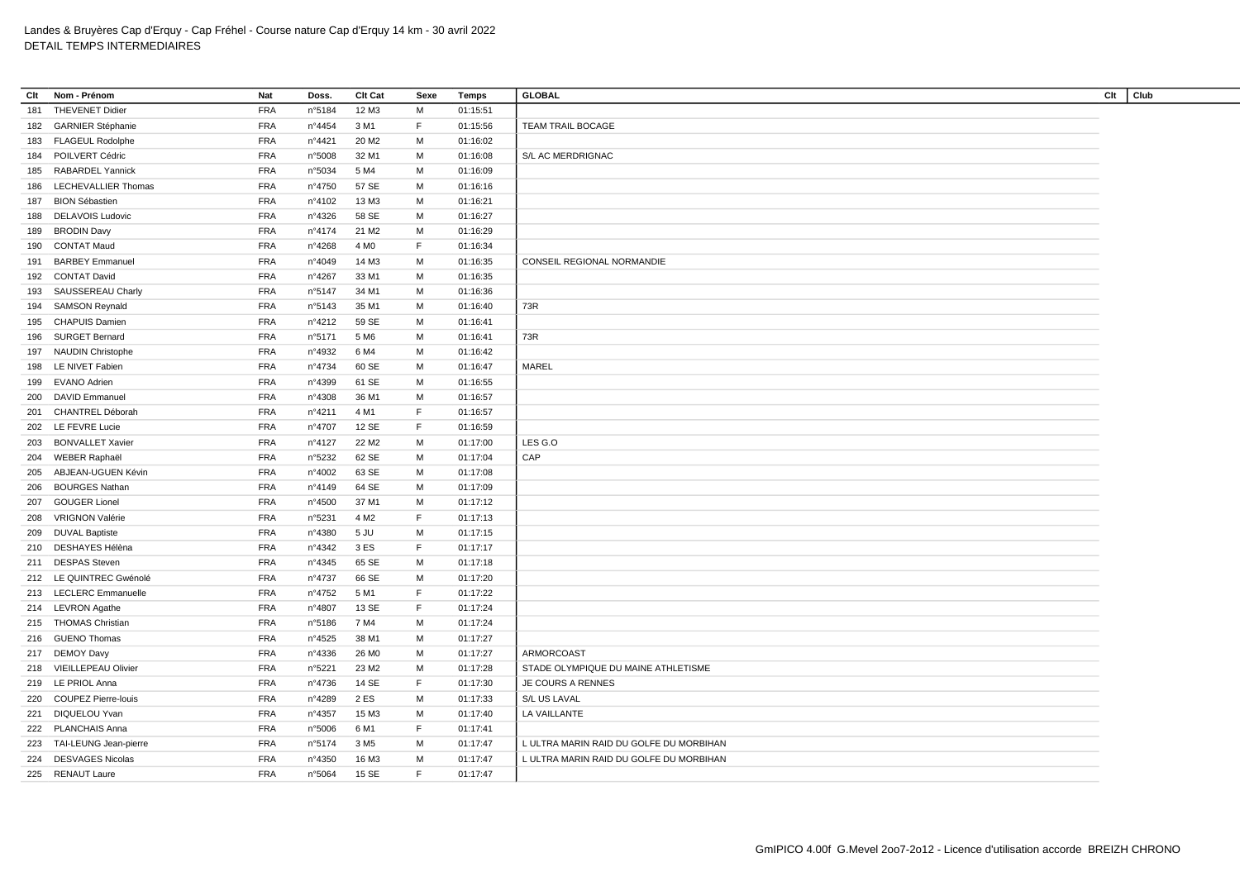| Clt | Nom - Prénom                                 | <b>Nat</b> | Doss.            | <b>Clt Cat</b>    | Sexe   | Temps                | <b>GLOBAL</b>                           | Clt | Club |
|-----|----------------------------------------------|------------|------------------|-------------------|--------|----------------------|-----------------------------------------|-----|------|
| 181 | <b>THEVENET Didier</b>                       | <b>FRA</b> | n°5184           | 12 M3             | M      | 01:15:51             |                                         |     |      |
|     | 182 GARNIER Stéphanie                        | <b>FRA</b> | $n^{\circ}$ 4454 | 3 M1              | F      | 01:15:56             | <b>TEAM TRAIL BOCAGE</b>                |     |      |
|     | 183 FLAGEUL Rodolphe                         | <b>FRA</b> | n°4421           | 20 M <sub>2</sub> | M      | 01:16:02             |                                         |     |      |
| 184 | POILVERT Cédric                              | <b>FRA</b> | n°5008           | 32 M1             | M      | 01:16:08             | S/L AC MERDRIGNAC                       |     |      |
| 185 | <b>RABARDEL Yannick</b>                      | <b>FRA</b> | n°5034           | 5 M4              | M      | 01:16:09             |                                         |     |      |
| 186 | LECHEVALLIER Thomas                          | <b>FRA</b> | n°4750           | 57 SE             | M      | 01:16:16             |                                         |     |      |
| 187 | <b>BION Sébastien</b>                        | <b>FRA</b> | n°4102           | 13 M3             | M      | 01:16:21             |                                         |     |      |
| 188 | DELAVOIS Ludovic                             | <b>FRA</b> | n°4326           | 58 SE             | M      | 01:16:27             |                                         |     |      |
| 189 | <b>BRODIN Davy</b>                           | <b>FRA</b> | nº4174           | 21 M <sub>2</sub> | M      | 01:16:29             |                                         |     |      |
| 190 | <b>CONTAT Maud</b>                           | <b>FRA</b> | n°4268           | 4 M <sub>0</sub>  | F      | 01:16:34             |                                         |     |      |
| 191 | <b>BARBEY Emmanuel</b>                       | <b>FRA</b> | n°4049           | 14 M3             | M      | 01:16:35             | CONSEIL REGIONAL NORMANDIE              |     |      |
|     | 192 CONTAT David                             | <b>FRA</b> | n°4267           | 33 M1             | М      | 01:16:35             |                                         |     |      |
| 193 | SAUSSEREAU Charly                            | <b>FRA</b> | n°5147           | 34 M1             | м      | 01:16:36             |                                         |     |      |
| 194 | <b>SAMSON Reynald</b>                        | <b>FRA</b> | n°5143           | 35 M1             | M      | 01:16:40             | 73R                                     |     |      |
| 195 | <b>CHAPUIS Damien</b>                        | <b>FRA</b> | n°4212           | 59 SE             | М      | 01:16:41             |                                         |     |      |
| 196 | <b>SURGET Bernard</b>                        | <b>FRA</b> | n°5171           | 5 M <sub>6</sub>  | M      | 01:16:41             | 73R                                     |     |      |
| 197 | <b>NAUDIN Christophe</b>                     | <b>FRA</b> | n°4932           | 6 M4              | М      | 01:16:42             |                                         |     |      |
|     | 198 LE NIVET Fabien                          | <b>FRA</b> | n°4734           | 60 SE             | м      | 01:16:47             | MAREL                                   |     |      |
| 199 | <b>EVANO Adrien</b>                          | <b>FRA</b> | n°4399           | 61 SE             | M      | 01:16:55             |                                         |     |      |
| 200 | <b>DAVID Emmanuel</b>                        | <b>FRA</b> | n°4308           | 36 M1             | M      | 01:16:57             |                                         |     |      |
| 201 | <b>CHANTREL Déborah</b>                      | <b>FRA</b> | nº4211           | 4 M1              | F      | 01:16:57             |                                         |     |      |
| 202 | LE FEVRE Lucie                               | <b>FRA</b> | nº4707           | 12 SE             | F      | 01:16:59             |                                         |     |      |
| 203 | <b>BONVALLET Xavier</b>                      | <b>FRA</b> | n°4127           | 22 M <sub>2</sub> | M      | 01:17:00             | LES G.O                                 |     |      |
|     | WEBER Raphaël                                | <b>FRA</b> | n°5232           | 62 SE             | M      | 01:17:04             | CAP                                     |     |      |
| 204 |                                              | <b>FRA</b> |                  |                   |        |                      |                                         |     |      |
| 205 | ABJEAN-UGUEN Kévin<br><b>BOURGES Nathan</b>  |            | n°4002           | 63 SE<br>64 SE    | м<br>M | 01:17:08<br>01:17:09 |                                         |     |      |
| 206 |                                              | <b>FRA</b> | n°4149           |                   | M      |                      |                                         |     |      |
| 207 | <b>GOUGER Lionel</b>                         | <b>FRA</b> | n°4500           | 37 M1             | F      | 01:17:12             |                                         |     |      |
| 208 | <b>VRIGNON Valérie</b>                       | <b>FRA</b> | n°5231           | 4 M <sub>2</sub>  |        | 01:17:13             |                                         |     |      |
| 209 | <b>DUVAL Baptiste</b><br>210 DESHAYES Hélèna | <b>FRA</b> | n°4380           | 5 JU<br>3 ES      | M<br>F | 01:17:15             |                                         |     |      |
|     |                                              | <b>FRA</b> | n°4342           |                   |        | 01:17:17             |                                         |     |      |
|     | 211 DESPAS Steven                            | <b>FRA</b> | n°4345           | 65 SE             | M      | 01:17:18             |                                         |     |      |
|     | 212 LE QUINTREC Gwénolé                      | <b>FRA</b> | n°4737           | 66 SE             | M      | 01:17:20             |                                         |     |      |
|     | 213 LECLERC Emmanuelle                       | <b>FRA</b> | n°4752           | 5 M1              | F      | 01:17:22             |                                         |     |      |
|     | 214 LEVRON Agathe                            | <b>FRA</b> | n°4807           | 13 SE             | F      | 01:17:24             |                                         |     |      |
|     | 215 THOMAS Christian                         | <b>FRA</b> | n°5186           | 7 M4              | М      | 01:17:24             |                                         |     |      |
|     | 216 GUENO Thomas                             | <b>FRA</b> | n°4525           | 38 M1             | м      | 01:17:27             |                                         |     |      |
|     | 217 DEMOY Davy                               | <b>FRA</b> | $n^{\circ}4336$  | 26 M <sub>0</sub> | M      | 01:17:27             | ARMORCOAST                              |     |      |
|     | 218 VIEILLEPEAU Olivier                      | <b>FRA</b> | n°5221           | 23 M2             | M      | 01:17:28             | STADE OLYMPIQUE DU MAINE ATHLETISME     |     |      |
|     | 219 LE PRIOL Anna                            | <b>FRA</b> | nº4736           | 14 SE             | F      | 01:17:30             | JE COURS A RENNES                       |     |      |
| 220 | <b>COUPEZ Pierre-louis</b>                   | <b>FRA</b> | n°4289           | 2 ES              | М      | 01:17:33             | S/L US LAVAL                            |     |      |
|     | 221 DIQUELOU Yvan                            | <b>FRA</b> | n°4357           | 15 M3             | м      | 01:17:40             | LA VAILLANTE                            |     |      |
|     | 222 PLANCHAIS Anna                           | <b>FRA</b> | n°5006           | 6 M1              | F      | 01:17:41             |                                         |     |      |
| 223 | TAI-LEUNG Jean-pierre                        | <b>FRA</b> | n°5174           | 3 M <sub>5</sub>  | M      | 01:17:47             | L ULTRA MARIN RAID DU GOLFE DU MORBIHAN |     |      |
|     | 224 DESVAGES Nicolas                         | <b>FRA</b> | n°4350           | 16 M3             | M      | 01:17:47             | L ULTRA MARIN RAID DU GOLFE DU MORBIHAN |     |      |
|     | 225 RENAUT Laure                             | <b>FRA</b> | n°5064           | 15 SE             | F.     | 01:17:47             |                                         |     |      |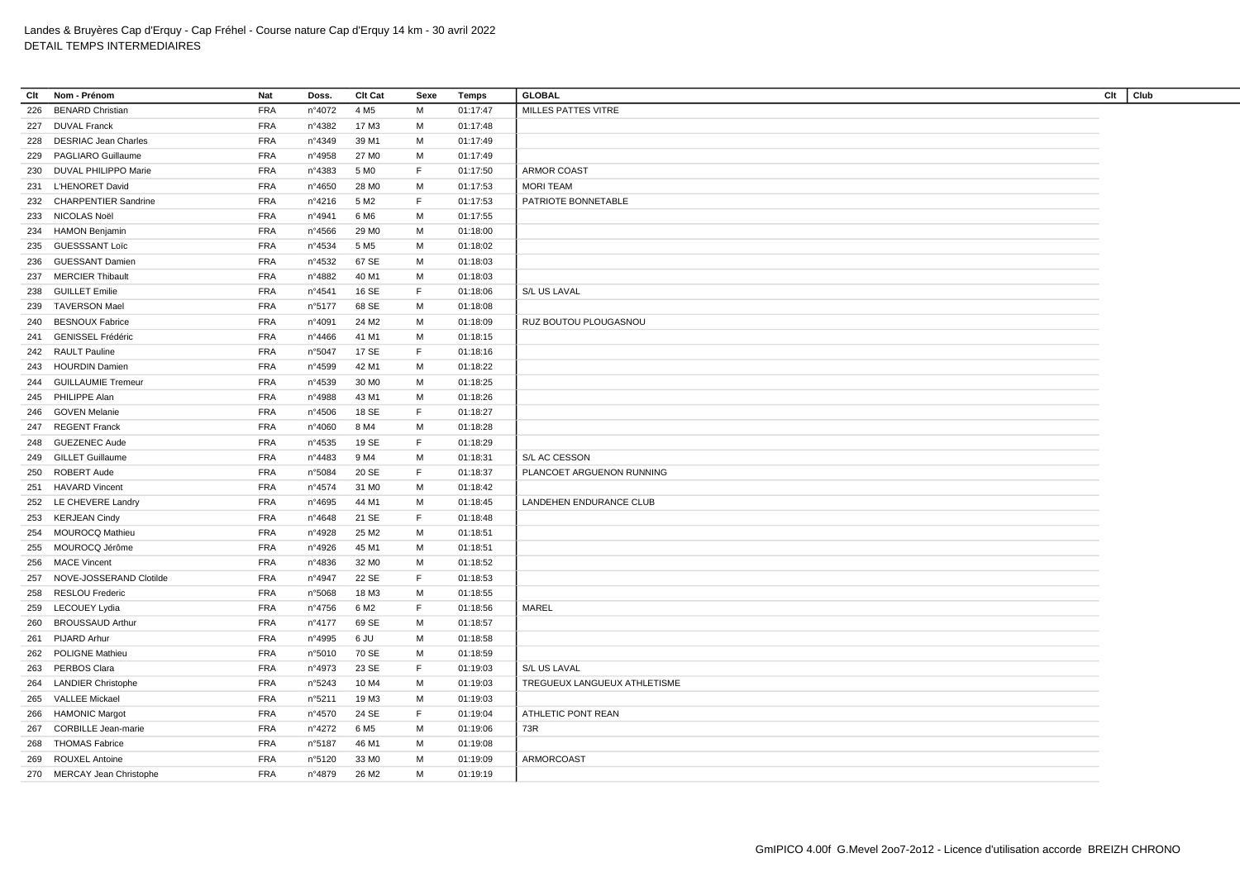| Clt |                             | <b>Nat</b> |                 |                   |      |          | <b>GLOBAL</b>                | Clt |      |
|-----|-----------------------------|------------|-----------------|-------------------|------|----------|------------------------------|-----|------|
|     | Nom - Prénom                |            | Doss.           | Clt Cat           | Sexe | Temps    |                              |     | Club |
| 226 | <b>BENARD Christian</b>     | <b>FRA</b> | n°4072          | 4 M <sub>5</sub>  | M    | 01:17:47 | MILLES PATTES VITRE          |     |      |
| 227 | <b>DUVAL Franck</b>         | <b>FRA</b> | n°4382          | 17 M3             | M    | 01:17:48 |                              |     |      |
| 228 | <b>DESRIAC Jean Charles</b> | <b>FRA</b> | n°4349          | 39 M1             | м    | 01:17:49 |                              |     |      |
| 229 | <b>PAGLIARO Guillaume</b>   | <b>FRA</b> | n°4958          | 27 M <sub>0</sub> | M    | 01:17:49 |                              |     |      |
|     | 230 DUVAL PHILIPPO Marie    | <b>FRA</b> | n°4383          | 5 M <sub>0</sub>  | F.   | 01:17:50 | ARMOR COAST                  |     |      |
| 231 | L'HENORET David             | <b>FRA</b> | n°4650          | 28 M <sub>0</sub> | м    | 01:17:53 | <b>MORI TEAM</b>             |     |      |
| 232 | <b>CHARPENTIER Sandrine</b> | <b>FRA</b> | nº4216          | 5 M <sub>2</sub>  | F.   | 01:17:53 | PATRIOTE BONNETABLE          |     |      |
| 233 | NICOLAS Noël                | <b>FRA</b> | n°4941          | 6 M6              | м    | 01:17:55 |                              |     |      |
|     | 234 HAMON Benjamin          | <b>FRA</b> | $n^{\circ}4566$ | 29 M <sub>0</sub> | M    | 01:18:00 |                              |     |      |
|     | 235 GUESSSANT Loïc          | <b>FRA</b> | n°4534          | 5 M <sub>5</sub>  | M    | 01:18:02 |                              |     |      |
| 236 | <b>GUESSANT Damien</b>      | <b>FRA</b> | n°4532          | 67 SE             | м    | 01:18:03 |                              |     |      |
| 237 | <b>MERCIER Thibault</b>     | <b>FRA</b> | n°4882          | 40 M1             | M    | 01:18:03 |                              |     |      |
| 238 | <b>GUILLET Emilie</b>       | <b>FRA</b> | n°4541          | 16 SE             | F.   | 01:18:06 | S/L US LAVAL                 |     |      |
| 239 | TAVERSON Mael               | <b>FRA</b> | n°5177          | 68 SE             | м    | 01:18:08 |                              |     |      |
| 240 | <b>BESNOUX Fabrice</b>      | <b>FRA</b> | n°4091          | 24 M <sub>2</sub> | M    | 01:18:09 | RUZ BOUTOU PLOUGASNOU        |     |      |
| 241 | <b>GENISSEL Frédéric</b>    | <b>FRA</b> | n°4466          | 41 M1             | м    | 01:18:15 |                              |     |      |
|     | 242 RAULT Pauline           | <b>FRA</b> | n°5047          | 17 SE             | F    | 01:18:16 |                              |     |      |
|     | 243 HOURDIN Damien          | <b>FRA</b> | n°4599          | 42 M1             | м    | 01:18:22 |                              |     |      |
|     | 244 GUILLAUMIE Tremeur      | <b>FRA</b> | n°4539          | 30 M <sub>0</sub> | M    | 01:18:25 |                              |     |      |
|     | 245 PHILIPPE Alan           | <b>FRA</b> | n°4988          | 43 M1             | M    | 01:18:26 |                              |     |      |
| 246 | <b>GOVEN Melanie</b>        | <b>FRA</b> | n°4506          | 18 SE             | F.   | 01:18:27 |                              |     |      |
|     |                             |            |                 |                   |      |          |                              |     |      |
| 247 | <b>REGENT Franck</b>        | <b>FRA</b> | n°4060          | 8 M4              | м    | 01:18:28 |                              |     |      |
| 248 | <b>GUEZENEC Aude</b>        | <b>FRA</b> | $n^{\circ}4535$ | 19 SE             | F.   | 01:18:29 |                              |     |      |
| 249 | <b>GILLET Guillaume</b>     | <b>FRA</b> | n°4483          | 9 M4              | M    | 01:18:31 | S/L AC CESSON                |     |      |
| 250 | <b>ROBERT Aude</b>          | <b>FRA</b> | n°5084          | 20 SE             | F.   | 01:18:37 | PLANCOET ARGUENON RUNNING    |     |      |
| 251 | <b>HAVARD Vincent</b>       | <b>FRA</b> | n°4574          | 31 M <sub>0</sub> | M    | 01:18:42 |                              |     |      |
|     | 252 LE CHEVERE Landry       | <b>FRA</b> | n°4695          | 44 M1             | м    | 01:18:45 | LANDEHEN ENDURANCE CLUB      |     |      |
|     | 253 KERJEAN Cindy           | <b>FRA</b> | n°4648          | 21 SE             | F.   | 01:18:48 |                              |     |      |
| 254 | <b>MOUROCQ Mathieu</b>      | <b>FRA</b> | n°4928          | 25 M <sub>2</sub> | M    | 01:18:51 |                              |     |      |
| 255 | MOUROCQ Jérôme              | <b>FRA</b> | n°4926          | 45 M1             | M    | 01:18:51 |                              |     |      |
| 256 | <b>MACE Vincent</b>         | <b>FRA</b> | n°4836          | 32 M <sub>0</sub> | м    | 01:18:52 |                              |     |      |
| 257 | NOVE-JOSSERAND Clotilde     | <b>FRA</b> | n°4947          | 22 SE             | F    | 01:18:53 |                              |     |      |
| 258 | <b>RESLOU Frederic</b>      | <b>FRA</b> | n°5068          | 18 M3             | м    | 01:18:55 |                              |     |      |
| 259 | LECOUEY Lydia               | <b>FRA</b> | n°4756          | 6 M <sub>2</sub>  | F    | 01:18:56 | MAREL                        |     |      |
| 260 | <b>BROUSSAUD Arthur</b>     | <b>FRA</b> | nº4177          | 69 SE             | M    | 01:18:57 |                              |     |      |
| 261 | <b>PIJARD Arhur</b>         | <b>FRA</b> | n°4995          | 6 JU              | м    | 01:18:58 |                              |     |      |
| 262 | <b>POLIGNE Mathieu</b>      | <b>FRA</b> | n°5010          | 70 SE             | м    | 01:18:59 |                              |     |      |
|     | 263 PERBOS Clara            | <b>FRA</b> | n°4973          | 23 SE             | F.   | 01:19:03 | S/L US LAVAL                 |     |      |
| 264 | <b>LANDIER Christophe</b>   | <b>FRA</b> | n°5243          | 10 M4             | м    | 01:19:03 | TREGUEUX LANGUEUX ATHLETISME |     |      |
| 265 | VALLEE Mickael              | <b>FRA</b> | n°5211          | 19 M3             | M    | 01:19:03 |                              |     |      |
|     | 266 HAMONIC Margot          | <b>FRA</b> | n°4570          | 24 SE             | F.   | 01:19:04 | ATHLETIC PONT REAN           |     |      |
| 267 | <b>CORBILLE Jean-marie</b>  | <b>FRA</b> | n°4272          | 6 M <sub>5</sub>  | м    | 01:19:06 | 73R                          |     |      |
| 268 | <b>THOMAS Fabrice</b>       | <b>FRA</b> | n°5187          | 46 M1             | M    | 01:19:08 |                              |     |      |
| 269 | <b>ROUXEL Antoine</b>       | <b>FRA</b> | n°5120          | 33 MO             | м    | 01:19:09 | ARMORCOAST                   |     |      |
|     | 270 MERCAY Jean Christophe  | <b>FRA</b> | n°4879          | 26 M <sub>2</sub> | М    | 01:19:19 |                              |     |      |
|     |                             |            |                 |                   |      |          |                              |     |      |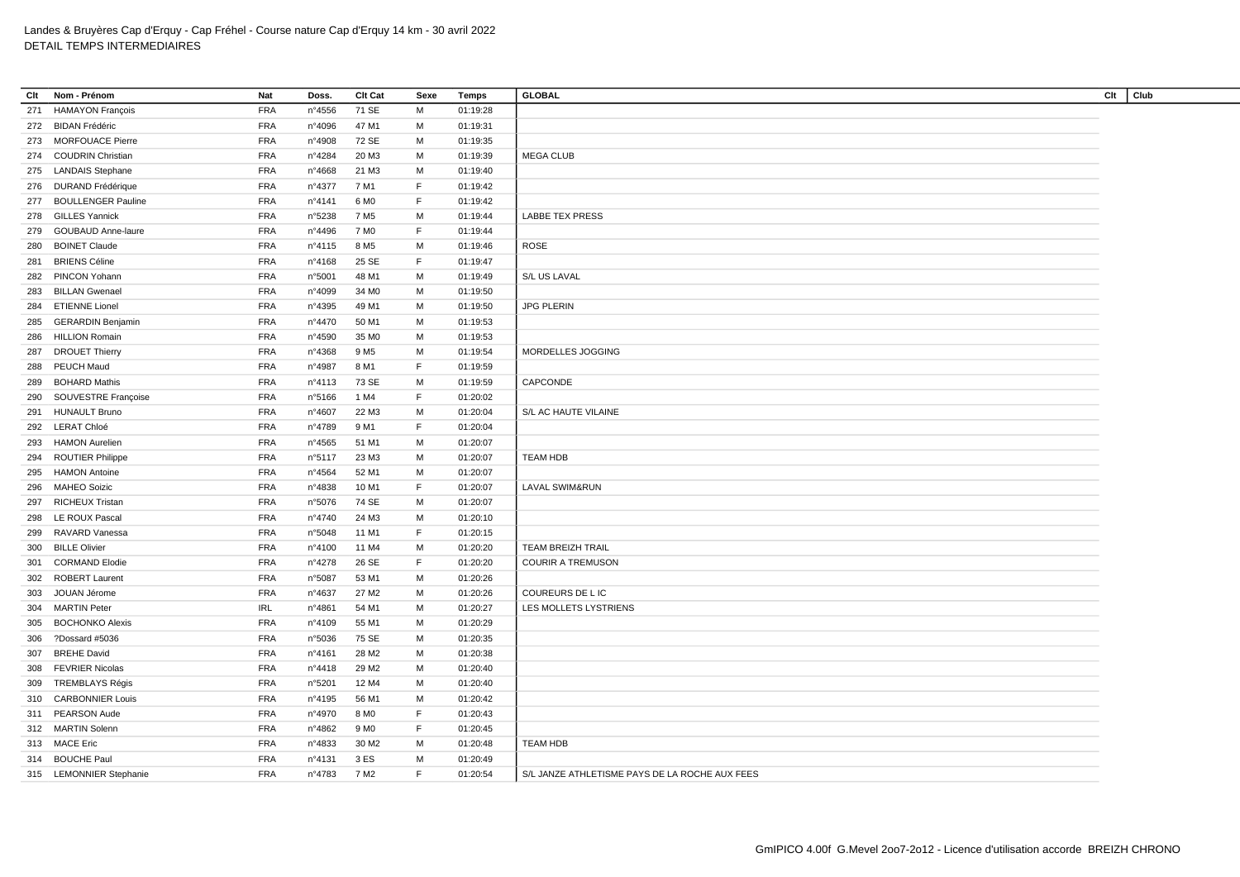| Clt | Nom - Prénom              | <b>Nat</b> | Doss.           | <b>Clt Cat</b>    | Sexe        | Temps    | <b>GLOBAL</b>                                  | Clt | Club |
|-----|---------------------------|------------|-----------------|-------------------|-------------|----------|------------------------------------------------|-----|------|
|     | 271 HAMAYON François      | <b>FRA</b> | n°4556          | 71 SE             | M           | 01:19:28 |                                                |     |      |
|     | 272 BIDAN Frédéric        | <b>FRA</b> | n°4096          | 47 M1             | M           | 01:19:31 |                                                |     |      |
|     | 273 MORFOUACE Pierre      | <b>FRA</b> | n°4908          | 72 SE             | M           | 01:19:35 |                                                |     |      |
| 274 | <b>COUDRIN Christian</b>  | <b>FRA</b> | n°4284          | 20 M3             | M           | 01:19:39 | <b>MEGA CLUB</b>                               |     |      |
|     | 275 LANDAIS Stephane      | <b>FRA</b> | n°4668          | 21 M3             | M           | 01:19:40 |                                                |     |      |
|     | 276 DURAND Frédérique     | <b>FRA</b> | n°4377          | 7 M1              | F           | 01:19:42 |                                                |     |      |
|     | 277 BOULLENGER Pauline    | <b>FRA</b> | nº4141          | 6 M <sub>0</sub>  | F           | 01:19:42 |                                                |     |      |
|     | 278 GILLES Yannick        | <b>FRA</b> | n°5238          | 7 M <sub>5</sub>  | М           | 01:19:44 | <b>LABBE TEX PRESS</b>                         |     |      |
| 279 | <b>GOUBAUD Anne-laure</b> | <b>FRA</b> | n°4496          | 7 M <sub>0</sub>  | F           | 01:19:44 |                                                |     |      |
| 280 | <b>BOINET Claude</b>      | <b>FRA</b> | n°4115          | 8 M <sub>5</sub>  | М           | 01:19:46 | <b>ROSE</b>                                    |     |      |
| 281 | <b>BRIENS Céline</b>      | <b>FRA</b> | nº4168          | 25 SE             | F.          | 01:19:47 |                                                |     |      |
|     | 282 PINCON Yohann         | <b>FRA</b> | n°5001          | 48 M1             | М           | 01:19:49 | S/L US LAVAL                                   |     |      |
|     | 283 BILLAN Gwenael        | <b>FRA</b> | n°4099          | 34 M <sub>0</sub> | M           | 01:19:50 |                                                |     |      |
|     | 284 ETIENNE Lionel        | <b>FRA</b> | n°4395          | 49 M1             | M           | 01:19:50 | <b>JPG PLERIN</b>                              |     |      |
| 285 | <b>GERARDIN Benjamin</b>  | <b>FRA</b> | n°4470          | 50 M1             | M           | 01:19:53 |                                                |     |      |
|     | 286 HILLION Romain        | <b>FRA</b> | n°4590          | 35 MO             | м           | 01:19:53 |                                                |     |      |
| 287 | <b>DROUET Thierry</b>     | <b>FRA</b> | n°4368          | 9 M <sub>5</sub>  | М           | 01:19:54 | MORDELLES JOGGING                              |     |      |
|     | 288 PEUCH Maud            | <b>FRA</b> | n°4987          | 8 M1              | F           | 01:19:59 |                                                |     |      |
| 289 | <b>BOHARD Mathis</b>      | <b>FRA</b> | nº4113          | 73 SE             | M           | 01:19:59 | CAPCONDE                                       |     |      |
| 290 | SOUVESTRE Françoise       | <b>FRA</b> | n°5166          | 1 M4              | $\mathsf F$ | 01:20:02 |                                                |     |      |
|     | 291 HUNAULT Bruno         | <b>FRA</b> | n°4607          | 22 M3             | м           | 01:20:04 | S/L AC HAUTE VILAINE                           |     |      |
|     | 292 LERAT Chloé           | <b>FRA</b> |                 |                   | $\mathsf F$ |          |                                                |     |      |
|     |                           |            | n°4789          | 9 M1              |             | 01:20:04 |                                                |     |      |
|     | 293 HAMON Aurelien        | <b>FRA</b> | n°4565          | 51 M1             | M           | 01:20:07 |                                                |     |      |
| 294 | <b>ROUTIER Philippe</b>   | <b>FRA</b> | n°5117          | 23 M3             | M           | 01:20:07 | <b>TEAM HDB</b>                                |     |      |
| 295 | <b>HAMON Antoine</b>      | <b>FRA</b> | n°4564          | 52 M1             | M           | 01:20:07 |                                                |     |      |
| 296 | <b>MAHEO Soizic</b>       | <b>FRA</b> | n°4838          | 10 M1             | F           | 01:20:07 | <b>LAVAL SWIM&amp;RUN</b>                      |     |      |
| 297 | <b>RICHEUX Tristan</b>    | <b>FRA</b> | n°5076          | 74 SE             | M           | 01:20:07 |                                                |     |      |
|     | 298 LE ROUX Pascal        | <b>FRA</b> | n°4740          | 24 M3             | M           | 01:20:10 |                                                |     |      |
| 299 | RAVARD Vanessa            | <b>FRA</b> | n°5048          | 11 M1             | F           | 01:20:15 |                                                |     |      |
|     | 300 BILLE Olivier         | <b>FRA</b> | n°4100          | 11 M4             | М           | 01:20:20 | <b>TEAM BREIZH TRAIL</b>                       |     |      |
| 301 | <b>CORMAND Elodie</b>     | <b>FRA</b> | n°4278          | 26 SE             | F           | 01:20:20 | <b>COURIR A TREMUSON</b>                       |     |      |
|     | 302 ROBERT Laurent        | <b>FRA</b> | n°5087          | 53 M1             | M           | 01:20:26 |                                                |     |      |
| 303 | JOUAN Jérome              | <b>FRA</b> | n°4637          | 27 M2             | м           | 01:20:26 | COUREURS DE L IC                               |     |      |
|     | 304 MARTIN Peter          | <b>IRL</b> | n°4861          | 54 M1             | М           | 01:20:27 | LES MOLLETS LYSTRIENS                          |     |      |
| 305 | <b>BOCHONKO Alexis</b>    | <b>FRA</b> | n°4109          | 55 M1             | M           | 01:20:29 |                                                |     |      |
| 306 | ?Dossard #5036            | <b>FRA</b> | n°5036          | 75 SE             | M           | 01:20:35 |                                                |     |      |
| 307 | <b>BREHE David</b>        | <b>FRA</b> | nº4161          | 28 M2             | M           | 01:20:38 |                                                |     |      |
|     | 308 FEVRIER Nicolas       | <b>FRA</b> | $n^{\circ}4418$ | 29 M <sub>2</sub> | M           | 01:20:40 |                                                |     |      |
|     | 309 TREMBLAYS Régis       | <b>FRA</b> | n°5201          | 12 M4             | М           | 01:20:40 |                                                |     |      |
| 310 | <b>CARBONNIER Louis</b>   | <b>FRA</b> | n°4195          | 56 M1             | м           | 01:20:42 |                                                |     |      |
|     | 311 PEARSON Aude          | <b>FRA</b> | n°4970          | 8 M <sub>0</sub>  | F           | 01:20:43 |                                                |     |      |
|     | 312 MARTIN Solenn         | <b>FRA</b> | n°4862          | 9 M <sub>0</sub>  | F           | 01:20:45 |                                                |     |      |
|     | 313 MACE Eric             | <b>FRA</b> | n°4833          | 30 M <sub>2</sub> | М           | 01:20:48 | <b>TEAM HDB</b>                                |     |      |
|     | 314 BOUCHE Paul           | <b>FRA</b> | n°4131          | 3 ES              | м           | 01:20:49 |                                                |     |      |
|     | 315 LEMONNIER Stephanie   | <b>FRA</b> | n°4783          | 7 M <sub>2</sub>  | F.          | 01:20:54 | S/L JANZE ATHLETISME PAYS DE LA ROCHE AUX FEES |     |      |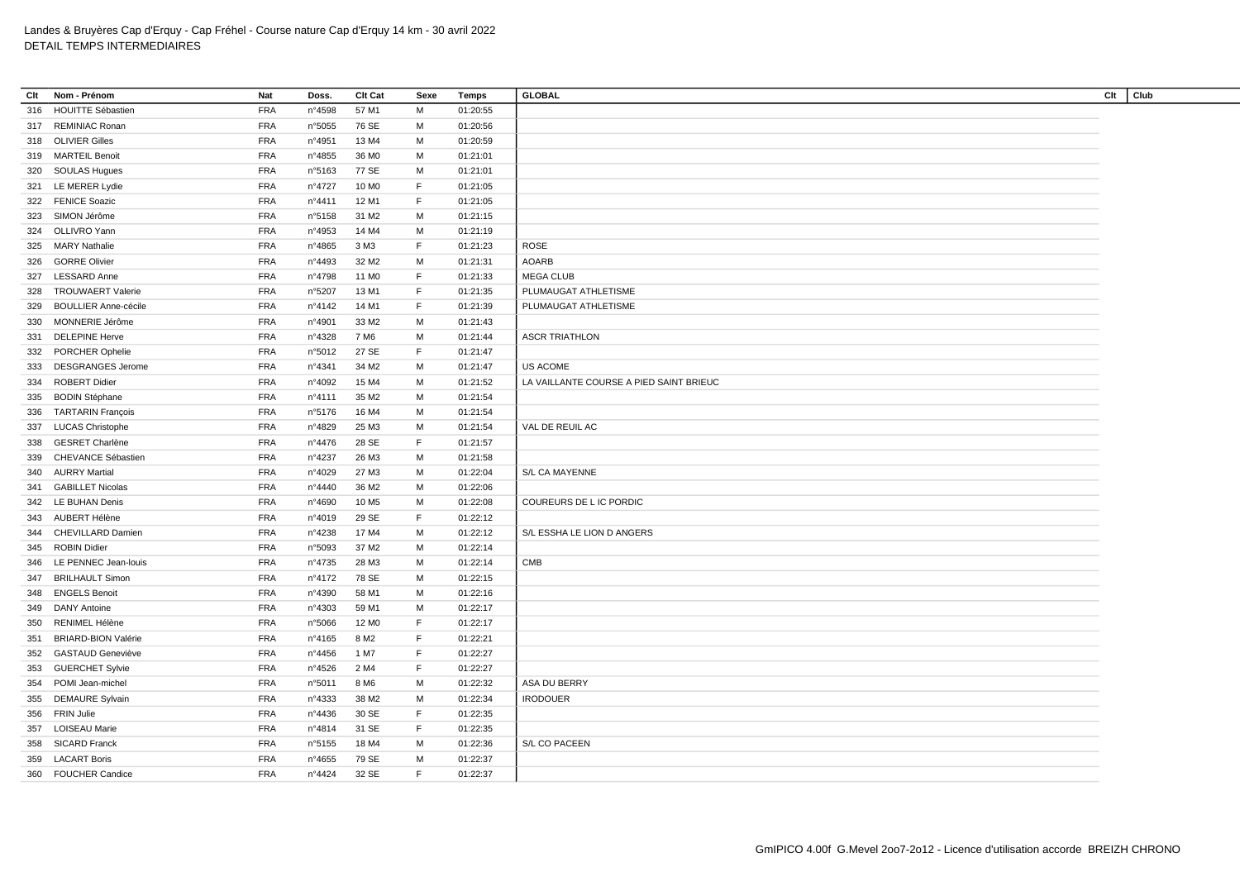| Clt        | Nom - Prénom                | Nat        | Doss.           | Clt Cat           | Sexe | Temps    | <b>GLOBAL</b>                           | Clt<br>Club |
|------------|-----------------------------|------------|-----------------|-------------------|------|----------|-----------------------------------------|-------------|
| 316        | <b>HOUITTE Sébastien</b>    | <b>FRA</b> | n°4598          | 57 M1             | M    | 01:20:55 |                                         |             |
|            | 317 REMINIAC Ronan          | <b>FRA</b> | n°5055          | 76 SE             | M    | 01:20:56 |                                         |             |
|            | 318 OLIVIER Gilles          | <b>FRA</b> | n°4951          | 13 M4             | м    | 01:20:59 |                                         |             |
|            | 319 MARTEIL Benoit          | <b>FRA</b> | n°4855          | 36 M <sub>0</sub> | м    | 01:21:01 |                                         |             |
|            | 320 SOULAS Hugues           | <b>FRA</b> | n°5163          | 77 SE             | M    | 01:21:01 |                                         |             |
|            | 321 LE MERER Lydie          | <b>FRA</b> | n°4727          | 10 M <sub>0</sub> | F.   | 01:21:05 |                                         |             |
|            | 322 FENICE Soazic           | <b>FRA</b> | n°4411          | 12 M1             | F.   | 01:21:05 |                                         |             |
| 323        | SIMON Jérôme                | <b>FRA</b> | n°5158          | 31 M2             | м    | 01:21:15 |                                         |             |
|            | 324 OLLIVRO Yann            | <b>FRA</b> | n°4953          | 14 M4             | M    | 01:21:19 |                                         |             |
| 325        | <b>MARY Nathalie</b>        | <b>FRA</b> | n°4865          | 3 M3              | F.   | 01:21:23 | <b>ROSE</b>                             |             |
| 326        | <b>GORRE Olivier</b>        | <b>FRA</b> | n°4493          | 32 M <sub>2</sub> | M    | 01:21:31 | <b>AOARB</b>                            |             |
| 327        | <b>LESSARD Anne</b>         | <b>FRA</b> | n°4798          | 11 M <sub>0</sub> | F.   | 01:21:33 | <b>MEGA CLUB</b>                        |             |
| 328        | <b>TROUWAERT Valerie</b>    | <b>FRA</b> | n°5207          | 13 M1             | F.   | 01:21:35 | PLUMAUGAT ATHLETISME                    |             |
| 329        | <b>BOULLIER Anne-cécile</b> | <b>FRA</b> | n°4142          | 14 M1             | F.   | 01:21:39 | PLUMAUGAT ATHLETISME                    |             |
|            | 330 MONNERIE Jérôme         | <b>FRA</b> | n°4901          | 33 M2             | M    | 01:21:43 |                                         |             |
| 331        | <b>DELEPINE Herve</b>       | <b>FRA</b> | n°4328          | 7 M <sub>6</sub>  | M    | 01:21:44 | <b>ASCR TRIATHLON</b>                   |             |
| 332        | <b>PORCHER Ophelie</b>      | <b>FRA</b> | n°5012          | 27 SE             | F.   | 01:21:47 |                                         |             |
| 333        | <b>DESGRANGES Jerome</b>    | <b>FRA</b> | n°4341          | 34 M2             | м    | 01:21:47 | US ACOME                                |             |
| 334        | <b>ROBERT Didier</b>        | <b>FRA</b> | n°4092          | 15 M4             | M    | 01:21:52 | LA VAILLANTE COURSE A PIED SAINT BRIEUC |             |
|            | 335 BODIN Stéphane          | <b>FRA</b> | nº4111          | 35 M2             | M    | 01:21:54 |                                         |             |
| 336        | <b>TARTARIN François</b>    | <b>FRA</b> | n°5176          | 16 M4             | м    | 01:21:54 |                                         |             |
| 337        | <b>LUCAS Christophe</b>     | <b>FRA</b> | n°4829          | 25 M3             | M    | 01:21:54 | VAL DE REUIL AC                         |             |
| 338        | <b>GESRET Charlène</b>      | <b>FRA</b> | n°4476          | 28 SE             | F.   | 01:21:57 |                                         |             |
| 339        | CHEVANCE Sébastien          | <b>FRA</b> | n°4237          | 26 M3             | M    | 01:21:58 |                                         |             |
|            | 340 AURRY Martial           | <b>FRA</b> | n°4029          | 27 M3             | M    | 01:22:04 | S/L CA MAYENNE                          |             |
| 341        | <b>GABILLET Nicolas</b>     | <b>FRA</b> | $n^{\circ}4440$ | 36 M2             | M    | 01:22:06 |                                         |             |
|            | 342 LE BUHAN Denis          | <b>FRA</b> | n°4690          | 10 M <sub>5</sub> | M    | 01:22:08 | COUREURS DE L IC PORDIC                 |             |
|            | 343 AUBERT Hélène           | <b>FRA</b> | n°4019          | 29 SE             | F.   | 01:22:12 |                                         |             |
|            | 344 CHEVILLARD Damien       | <b>FRA</b> | n°4238          | 17 M4             | M    | 01:22:12 | S/L ESSHA LE LION D ANGERS              |             |
|            | 345 ROBIN Didier            | <b>FRA</b> | n°5093          | 37 M2             | M    | 01:22:14 |                                         |             |
| 346        | LE PENNEC Jean-louis        | <b>FRA</b> | n°4735          | 28 M3             | м    | 01:22:14 | <b>CMB</b>                              |             |
| 347        | <b>BRILHAULT Simon</b>      | <b>FRA</b> | n°4172          | 78 SE             | M    | 01:22:15 |                                         |             |
|            | <b>ENGELS Benoit</b>        | <b>FRA</b> | n°4390          |                   | м    | 01:22:16 |                                         |             |
| 348<br>349 | <b>DANY Antoine</b>         | <b>FRA</b> | n°4303          | 58 M1<br>59 M1    | M    | 01:22:17 |                                         |             |
|            | RENIMEL Hélène              | <b>FRA</b> |                 | 12 M <sub>0</sub> | F.   | 01:22:17 |                                         |             |
| 350        | <b>BRIARD-BION Valérie</b>  | <b>FRA</b> | n°5066          | 8 M <sub>2</sub>  | F.   | 01:22:21 |                                         |             |
| 351        |                             |            | n°4165          |                   | F.   |          |                                         |             |
| 352        | <b>GASTAUD Geneviève</b>    | <b>FRA</b> | n°4456          | 1 M7              |      | 01:22:27 |                                         |             |
|            | 353 GUERCHET Sylvie         | <b>FRA</b> | $n^{\circ}4526$ | 2 M4              | F.   | 01:22:27 |                                         |             |
| 354        | POMI Jean-michel            | <b>FRA</b> | n°5011          | 8 M <sub>6</sub>  | M    | 01:22:32 | ASA DU BERRY                            |             |
| 355        | <b>DEMAURE Sylvain</b>      | <b>FRA</b> | n°4333          | 38 M2             | M    | 01:22:34 | <b>IRODOUER</b>                         |             |
|            | 356 FRIN Julie              | <b>FRA</b> | n°4436          | 30 SE             | F.   | 01:22:35 |                                         |             |
| 357        | <b>LOISEAU Marie</b>        | <b>FRA</b> | n°4814          | 31 SE             | F.   | 01:22:35 |                                         |             |
| 358        | <b>SICARD Franck</b>        | <b>FRA</b> | n°5155          | 18 M4             | M    | 01:22:36 | S/L CO PACEEN                           |             |
| 359        | <b>LACART Boris</b>         | <b>FRA</b> | n°4655          | 79 SE             | M    | 01:22:37 |                                         |             |
|            | 360 FOUCHER Candice         | <b>FRA</b> | n°4424          | 32 SE             | F.   | 01:22:37 |                                         |             |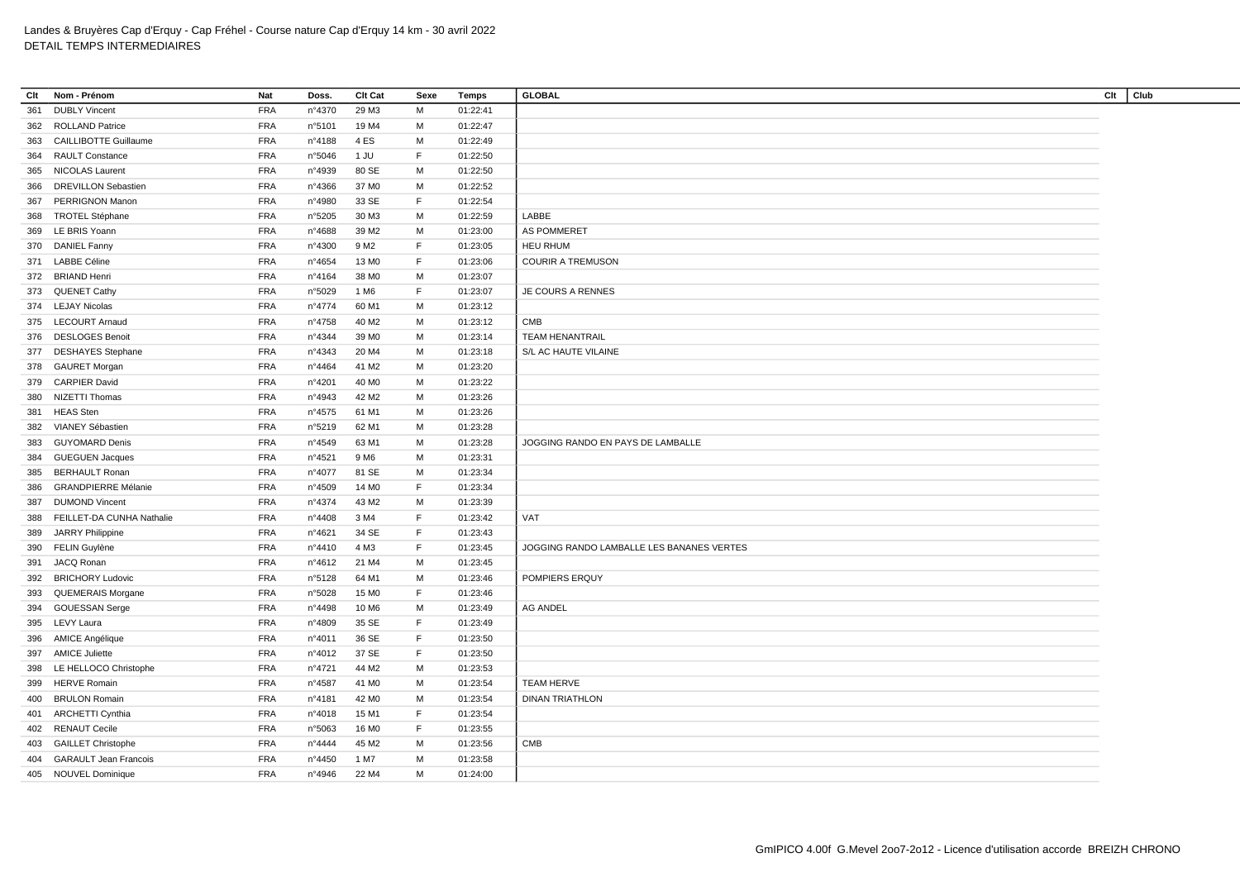| Clt | Nom - Prénom                 | Nat        | Doss.  | Clt Cat           | Sexe | Temps    | <b>GLOBAL</b>                             | Clt | Club |
|-----|------------------------------|------------|--------|-------------------|------|----------|-------------------------------------------|-----|------|
| 361 | <b>DUBLY Vincent</b>         | <b>FRA</b> | n°4370 | 29 M3             | M    | 01:22:41 |                                           |     |      |
| 362 | <b>ROLLAND Patrice</b>       | <b>FRA</b> | n°5101 | 19 M4             | м    | 01:22:47 |                                           |     |      |
| 363 | <b>CAILLIBOTTE Guillaume</b> | <b>FRA</b> | n°4188 | 4ES               | М    | 01:22:49 |                                           |     |      |
| 364 | <b>RAULT Constance</b>       | <b>FRA</b> | n°5046 | 1 JU              | F    | 01:22:50 |                                           |     |      |
|     | 365 NICOLAS Laurent          | <b>FRA</b> | n°4939 | 80 SE             | M    | 01:22:50 |                                           |     |      |
| 366 | <b>DREVILLON Sebastien</b>   | <b>FRA</b> | n°4366 | 37 MO             | M    | 01:22:52 |                                           |     |      |
| 367 | <b>PERRIGNON Manon</b>       | <b>FRA</b> | n°4980 | 33 SE             | F.   | 01:22:54 |                                           |     |      |
| 368 | <b>TROTEL Stéphane</b>       | <b>FRA</b> | n°5205 | 30 M3             | М    | 01:22:59 | LABBE                                     |     |      |
|     | 369 LE BRIS Yoann            | <b>FRA</b> | n°4688 | 39 M <sub>2</sub> | М    | 01:23:00 | AS POMMERET                               |     |      |
|     | 370 DANIEL Fanny             | <b>FRA</b> | n°4300 | 9 M <sub>2</sub>  | F    | 01:23:05 | <b>HEU RHUM</b>                           |     |      |
| 371 | <b>LABBE Céline</b>          | <b>FRA</b> | n°4654 | 13 M <sub>0</sub> | F.   | 01:23:06 | <b>COURIR A TREMUSON</b>                  |     |      |
|     | 372 BRIAND Henri             | <b>FRA</b> | n°4164 | 38 MO             | м    | 01:23:07 |                                           |     |      |
|     | 373 QUENET Cathy             | <b>FRA</b> | n°5029 | 1 M <sub>6</sub>  | F    | 01:23:07 | JE COURS A RENNES                         |     |      |
|     | 374 LEJAY Nicolas            | <b>FRA</b> | n°4774 | 60 M1             | M    | 01:23:12 |                                           |     |      |
|     | 375 LECOURT Arnaud           | <b>FRA</b> | n°4758 | 40 M <sub>2</sub> | М    | 01:23:12 | CMB                                       |     |      |
| 376 | <b>DESLOGES Benoit</b>       | <b>FRA</b> | n°4344 | 39 M <sub>0</sub> | М    | 01:23:14 | <b>TEAM HENANTRAIL</b>                    |     |      |
|     | 377 DESHAYES Stephane        | <b>FRA</b> | n°4343 | 20 M4             | M    | 01:23:18 | S/L AC HAUTE VILAINE                      |     |      |
|     | 378 GAURET Morgan            | <b>FRA</b> | n°4464 | 41 M2             | М    | 01:23:20 |                                           |     |      |
| 379 | <b>CARPIER David</b>         | <b>FRA</b> | n°4201 | 40 M <sub>0</sub> | М    | 01:23:22 |                                           |     |      |
| 380 | NIZETTI Thomas               | <b>FRA</b> | n°4943 | 42 M <sub>2</sub> | М    | 01:23:26 |                                           |     |      |
| 381 | <b>HEAS Sten</b>             | <b>FRA</b> | n°4575 | 61 M1             | М    | 01:23:26 |                                           |     |      |
| 382 | VIANEY Sébastien             | <b>FRA</b> | n°5219 | 62 M1             | М    | 01:23:28 |                                           |     |      |
| 383 | <b>GUYOMARD Denis</b>        | <b>FRA</b> | n°4549 | 63 M1             | M    | 01:23:28 | JOGGING RANDO EN PAYS DE LAMBALLE         |     |      |
| 384 | <b>GUEGUEN Jacques</b>       | <b>FRA</b> | n°4521 | 9 M <sub>6</sub>  | M    | 01:23:31 |                                           |     |      |
| 385 | <b>BERHAULT Ronan</b>        | <b>FRA</b> | n°4077 | 81 SE             | М    | 01:23:34 |                                           |     |      |
| 386 | <b>GRANDPIERRE Mélanie</b>   | <b>FRA</b> | n°4509 | 14 M <sub>0</sub> | F.   | 01:23:34 |                                           |     |      |
| 387 | <b>DUMOND Vincent</b>        | <b>FRA</b> | n°4374 | 43 M2             | М    | 01:23:39 |                                           |     |      |
| 388 | FEILLET-DA CUNHA Nathalie    | <b>FRA</b> | n°4408 | 3 M4              | F.   | 01:23:42 | VAT                                       |     |      |
| 389 | JARRY Philippine             | <b>FRA</b> | n°4621 | 34 SE             | F    | 01:23:43 |                                           |     |      |
|     | 390 FELIN Guylène            | <b>FRA</b> | n°4410 | 4 M3              | F.   | 01:23:45 | JOGGING RANDO LAMBALLE LES BANANES VERTES |     |      |
| 391 | JACQ Ronan                   | <b>FRA</b> | n°4612 | 21 M4             | м    | 01:23:45 |                                           |     |      |
| 392 | <b>BRICHORY Ludovic</b>      | <b>FRA</b> | n°5128 | 64 M1             | M    | 01:23:46 | POMPIERS ERQUY                            |     |      |
| 393 | QUEMERAIS Morgane            | <b>FRA</b> | n°5028 | 15 M <sub>0</sub> | F.   | 01:23:46 |                                           |     |      |
| 394 | <b>GOUESSAN Serge</b>        | <b>FRA</b> | n°4498 | 10 M6             | M    | 01:23:49 | <b>AG ANDEL</b>                           |     |      |
| 395 | LEVY Laura                   | <b>FRA</b> | n°4809 | 35 SE             | F    | 01:23:49 |                                           |     |      |
|     | 396 AMICE Angélique          | <b>FRA</b> | n°4011 | 36 SE             | F.   | 01:23:50 |                                           |     |      |
| 397 | <b>AMICE Juliette</b>        | <b>FRA</b> | n°4012 | 37 SE             | F.   | 01:23:50 |                                           |     |      |
| 398 | LE HELLOCO Christophe        | <b>FRA</b> | n°4721 | 44 M2             | М    | 01:23:53 |                                           |     |      |
| 399 | <b>HERVE Romain</b>          | <b>FRA</b> | n°4587 | 41 M <sub>0</sub> | М    | 01:23:54 | <b>TEAM HERVE</b>                         |     |      |
| 400 | <b>BRULON Romain</b>         | <b>FRA</b> | n°4181 | 42 M <sub>0</sub> | м    | 01:23:54 | <b>DINAN TRIATHLON</b>                    |     |      |
|     | 401 ARCHETTI Cynthia         | <b>FRA</b> | n°4018 | 15 M1             | F.   | 01:23:54 |                                           |     |      |
|     | 402 RENAUT Cecile            | <b>FRA</b> | n°5063 | 16 M <sub>0</sub> | F    | 01:23:55 |                                           |     |      |
|     | 403 GAILLET Christophe       | <b>FRA</b> | n°4444 | 45 M2             | м    | 01:23:56 | CMB                                       |     |      |
| 404 | <b>GARAULT Jean Francois</b> | <b>FRA</b> | n°4450 | 1 M7              | M    | 01:23:58 |                                           |     |      |
|     | 405 NOUVEL Dominique         | <b>FRA</b> | n°4946 | 22 M4             | M    | 01:24:00 |                                           |     |      |
|     |                              |            |        |                   |      |          |                                           |     |      |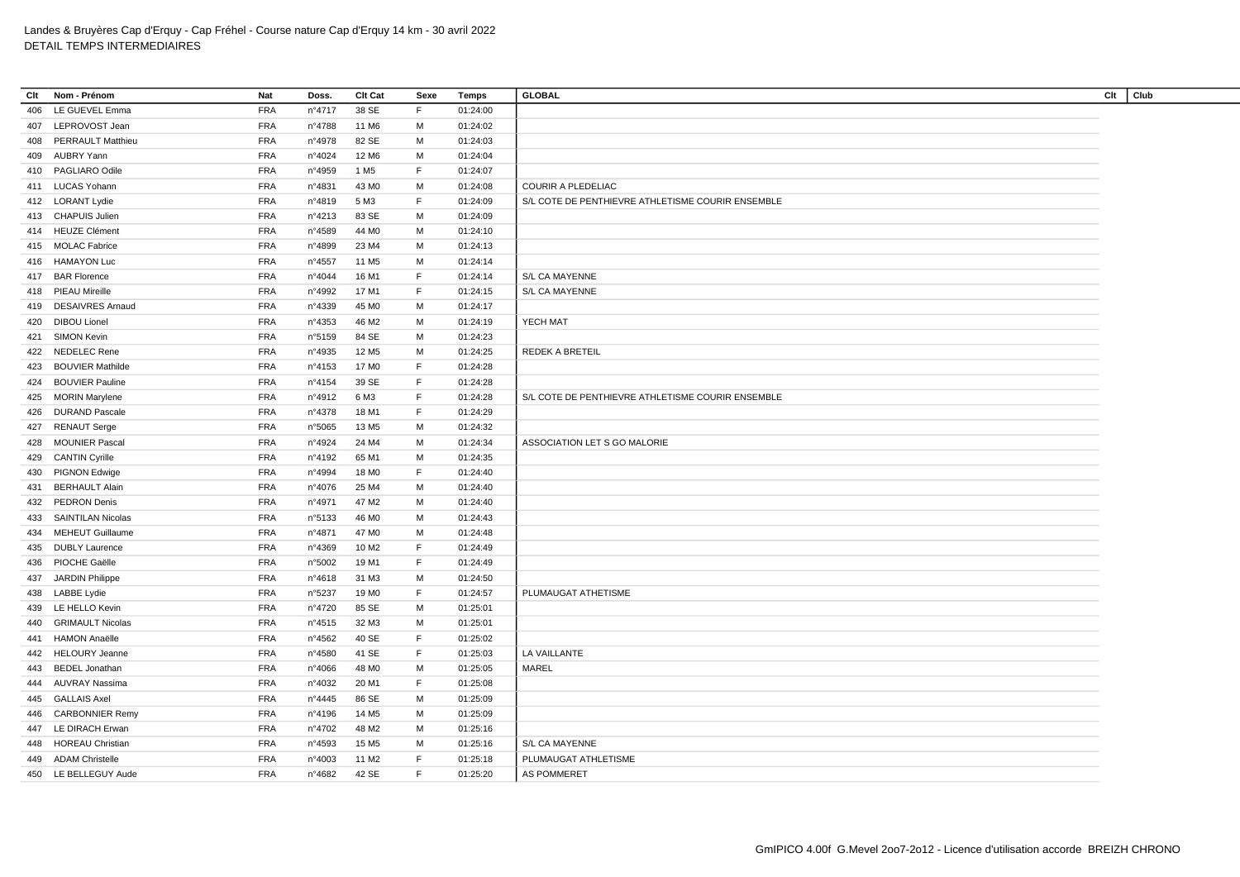| Clt | Nom - Prénom             | <b>Nat</b> | Doss.  | Clt Cat           | Sexe | Temps    | <b>GLOBAL</b>                                     | Clt | Club |
|-----|--------------------------|------------|--------|-------------------|------|----------|---------------------------------------------------|-----|------|
| 406 | LE GUEVEL Emma           | <b>FRA</b> | n°4717 | 38 SE             | F.   | 01:24:00 |                                                   |     |      |
| 407 | LEPROVOST Jean           | <b>FRA</b> | n°4788 | 11 M <sub>6</sub> | M    | 01:24:02 |                                                   |     |      |
| 408 | <b>PERRAULT Matthieu</b> | <b>FRA</b> | n°4978 | 82 SE             | M    | 01:24:03 |                                                   |     |      |
| 409 | AUBRY Yann               | <b>FRA</b> | nº4024 | 12 M6             | М    | 01:24:04 |                                                   |     |      |
|     | 410 PAGLIARO Odile       | <b>FRA</b> | n°4959 | 1 M <sub>5</sub>  | F.   | 01:24:07 |                                                   |     |      |
|     | 411 LUCAS Yohann         | <b>FRA</b> | n°4831 | 43 MO             | М    | 01:24:08 | COURIR A PLEDELIAC                                |     |      |
|     | 412 LORANT Lydie         | <b>FRA</b> | n°4819 | 5 M3              | F    | 01:24:09 | S/L COTE DE PENTHIEVRE ATHLETISME COURIR ENSEMBLE |     |      |
|     | 413 CHAPUIS Julien       | <b>FRA</b> | n°4213 | 83 SE             | М    | 01:24:09 |                                                   |     |      |
|     | 414 HEUZE Clément        | <b>FRA</b> | n°4589 | 44 M <sub>0</sub> | M    | 01:24:10 |                                                   |     |      |
|     | 415 MOLAC Fabrice        | <b>FRA</b> | n°4899 | 23 M4             | M    | 01:24:13 |                                                   |     |      |
|     | 416 HAMAYON Luc          | <b>FRA</b> | n°4557 | 11 M <sub>5</sub> | м    | 01:24:14 |                                                   |     |      |
|     | 417 BAR Florence         | <b>FRA</b> | n°4044 | 16 M1             | F.   | 01:24:14 | S/L CA MAYENNE                                    |     |      |
| 418 | PIEAU Mireille           | <b>FRA</b> | n°4992 | 17 M1             | F    | 01:24:15 | S/L CA MAYENNE                                    |     |      |
| 419 | <b>DESAIVRES Arnaud</b>  | <b>FRA</b> | n°4339 | 45 M <sub>0</sub> | M    | 01:24:17 |                                                   |     |      |
| 420 | <b>DIBOU Lionel</b>      | <b>FRA</b> | n°4353 | 46 M <sub>2</sub> | М    | 01:24:19 | YECH MAT                                          |     |      |
| 421 | SIMON Kevin              | <b>FRA</b> | n°5159 | 84 SE             | M    | 01:24:23 |                                                   |     |      |
|     | 422 NEDELEC Rene         | <b>FRA</b> | n°4935 | 12 M <sub>5</sub> | M    | 01:24:25 | <b>REDEK A BRETEIL</b>                            |     |      |
| 423 | <b>BOUVIER Mathilde</b>  | <b>FRA</b> | n°4153 | 17 M <sub>0</sub> | F    | 01:24:28 |                                                   |     |      |
| 424 | <b>BOUVIER Pauline</b>   | <b>FRA</b> | n°4154 | 39 SE             | F.   | 01:24:28 |                                                   |     |      |
| 425 | <b>MORIN Marylene</b>    | <b>FRA</b> | n°4912 | 6 M3              | F    | 01:24:28 | S/L COTE DE PENTHIEVRE ATHLETISME COURIR ENSEMBLE |     |      |
| 426 | <b>DURAND Pascale</b>    | <b>FRA</b> | n°4378 | 18 M1             | F    | 01:24:29 |                                                   |     |      |
| 427 | <b>RENAUT Serge</b>      | <b>FRA</b> | n°5065 | 13 M <sub>5</sub> | м    | 01:24:32 |                                                   |     |      |
| 428 | <b>MOUNIER Pascal</b>    | <b>FRA</b> | n°4924 | 24 M4             | м    | 01:24:34 | ASSOCIATION LET S GO MALORIE                      |     |      |
|     | 429 CANTIN Cyrille       | <b>FRA</b> | n°4192 | 65 M1             | М    | 01:24:35 |                                                   |     |      |
| 430 | <b>PIGNON Edwige</b>     | <b>FRA</b> | n°4994 | 18 M <sub>0</sub> | F    | 01:24:40 |                                                   |     |      |
| 431 | <b>BERHAULT Alain</b>    | <b>FRA</b> | n°4076 | 25 M4             | M    | 01:24:40 |                                                   |     |      |
| 432 | PEDRON Denis             | <b>FRA</b> | n°4971 | 47 M2             | м    | 01:24:40 |                                                   |     |      |
| 433 | <b>SAINTILAN Nicolas</b> | <b>FRA</b> | n°5133 | 46 M <sub>0</sub> | M    | 01:24:43 |                                                   |     |      |
| 434 | <b>MEHEUT Guillaume</b>  | <b>FRA</b> | n°4871 | 47 M <sub>0</sub> | М    | 01:24:48 |                                                   |     |      |
| 435 | <b>DUBLY Laurence</b>    | <b>FRA</b> | n°4369 | 10 M <sub>2</sub> | F    | 01:24:49 |                                                   |     |      |
| 436 | PIOCHE Gaëlle            | <b>FRA</b> | n°5002 | 19 M1             | F    | 01:24:49 |                                                   |     |      |
|     | 437 JARDIN Philippe      | <b>FRA</b> | n°4618 | 31 M3             | M    | 01:24:50 |                                                   |     |      |
| 438 | <b>LABBE Lydie</b>       | <b>FRA</b> | n°5237 | 19 M <sub>0</sub> | F.   | 01:24:57 | PLUMAUGAT ATHETISME                               |     |      |
| 439 | LE HELLO Kevin           | <b>FRA</b> | n°4720 | 85 SE             | М    | 01:25:01 |                                                   |     |      |
| 440 | <b>GRIMAULT Nicolas</b>  | <b>FRA</b> | n°4515 | 32 M3             | M    | 01:25:01 |                                                   |     |      |
| 441 | <b>HAMON Anaëlle</b>     | <b>FRA</b> | n°4562 | 40 SE             | F    | 01:25:02 |                                                   |     |      |
| 442 | HELOURY Jeanne           | <b>FRA</b> | n°4580 | 41 SE             | F    | 01:25:03 | LA VAILLANTE                                      |     |      |
| 443 | <b>BEDEL Jonathan</b>    | <b>FRA</b> | n°4066 | 48 MO             | M    | 01:25:05 | <b>MAREL</b>                                      |     |      |
| 444 | AUVRAY Nassima           | <b>FRA</b> | n°4032 | 20 M1             | F.   | 01:25:08 |                                                   |     |      |
| 445 | <b>GALLAIS Axel</b>      | <b>FRA</b> | n°4445 | 86 SE             | M    | 01:25:09 |                                                   |     |      |
| 446 | <b>CARBONNIER Remy</b>   | <b>FRA</b> | n°4196 | 14 M <sub>5</sub> | м    | 01:25:09 |                                                   |     |      |
| 447 | LE DIRACH Erwan          | <b>FRA</b> | n°4702 | 48 M2             | М    | 01:25:16 |                                                   |     |      |
| 448 | <b>HOREAU Christian</b>  | <b>FRA</b> | n°4593 | 15 M <sub>5</sub> | м    | 01:25:16 | S/L CA MAYENNE                                    |     |      |
| 449 | <b>ADAM Christelle</b>   | <b>FRA</b> | n°4003 | 11 M <sub>2</sub> | F.   | 01:25:18 | PLUMAUGAT ATHLETISME                              |     |      |
|     | 450 LE BELLEGUY Aude     | <b>FRA</b> | n°4682 | 42 SE             | F.   | 01:25:20 | AS POMMERET                                       |     |      |
|     |                          |            |        |                   |      |          |                                                   |     |      |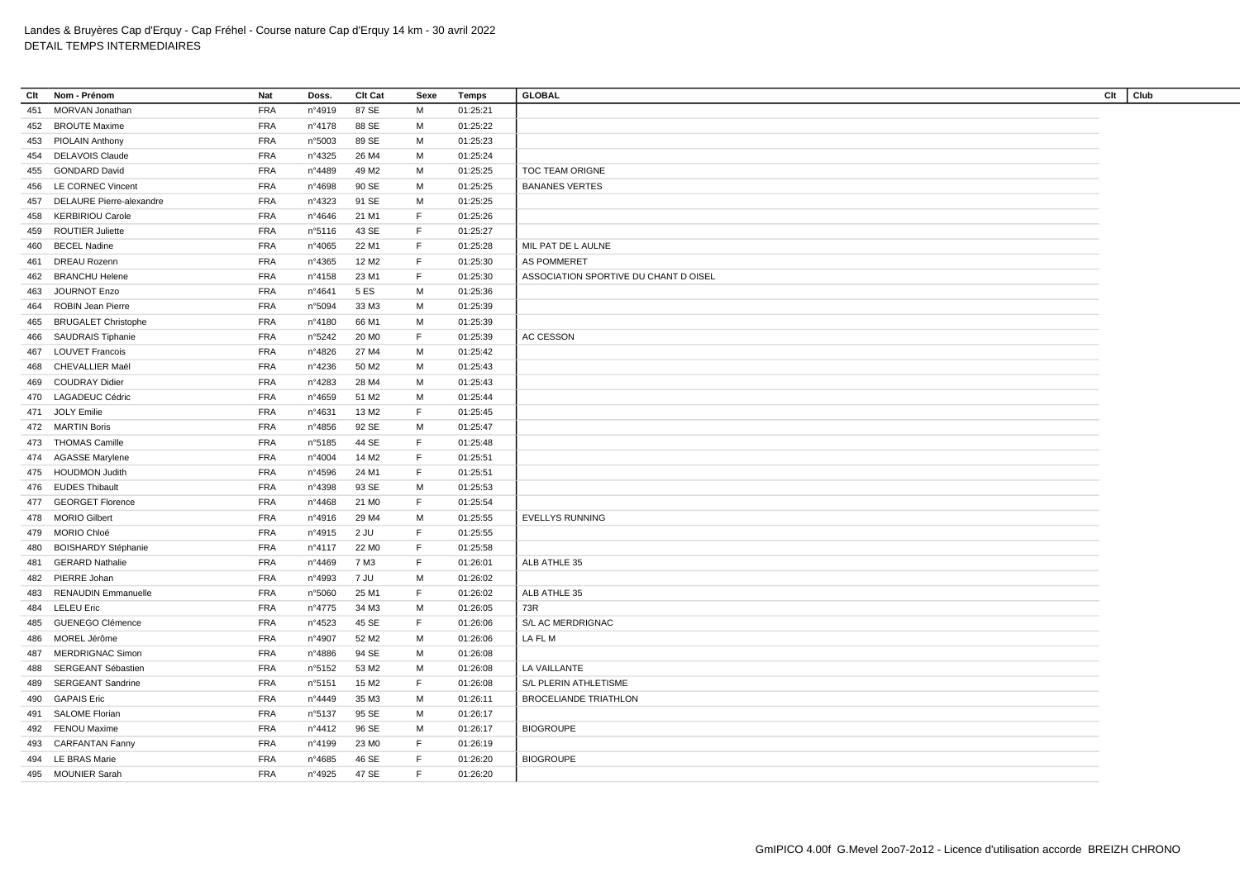| Clt | Nom - Prénom               | <b>Nat</b> | Doss.           | Clt Cat           | Sexe        | Temps    | <b>GLOBAL</b>                         | Clt | Club |
|-----|----------------------------|------------|-----------------|-------------------|-------------|----------|---------------------------------------|-----|------|
| 451 | MORVAN Jonathan            | <b>FRA</b> | n°4919          | 87 SE             | М           | 01:25:21 |                                       |     |      |
|     | 452 BROUTE Maxime          | <b>FRA</b> | nº4178          | 88 SE             | м           | 01:25:22 |                                       |     |      |
|     | 453 PIOLAIN Anthony        | <b>FRA</b> | n°5003          | 89 SE             | М           | 01:25:23 |                                       |     |      |
|     | 454 DELAVOIS Claude        | <b>FRA</b> | n°4325          | 26 M4             | M           | 01:25:24 |                                       |     |      |
|     | 455 GONDARD David          | <b>FRA</b> | n°4489          | 49 M2             | м           | 01:25:25 | <b>TOC TEAM ORIGNE</b>                |     |      |
| 456 | LE CORNEC Vincent          | <b>FRA</b> | n°4698          | 90 SE             | M           | 01:25:25 | <b>BANANES VERTES</b>                 |     |      |
| 457 | DELAURE Pierre-alexandre   | <b>FRA</b> | n°4323          | 91 SE             | M           | 01:25:25 |                                       |     |      |
| 458 | <b>KERBIRIOU Carole</b>    | <b>FRA</b> | n°4646          | 21 M1             | F           | 01:25:26 |                                       |     |      |
| 459 | <b>ROUTIER Juliette</b>    | <b>FRA</b> | n°5116          | 43 SE             | F           | 01:25:27 |                                       |     |      |
| 460 | <b>BECEL Nadine</b>        | <b>FRA</b> | $n^{\circ}4065$ | 22 M1             | F           | 01:25:28 | MIL PAT DE L AULNE                    |     |      |
| 461 | <b>DREAU Rozenn</b>        | <b>FRA</b> | n°4365          | 12 M <sub>2</sub> | $\mathsf F$ | 01:25:30 | AS POMMERET                           |     |      |
| 462 | <b>BRANCHU Helene</b>      | <b>FRA</b> | nº4158          | 23 M1             | F           | 01:25:30 | ASSOCIATION SPORTIVE DU CHANT D OISEL |     |      |
| 463 | <b>JOURNOT Enzo</b>        | <b>FRA</b> | n°4641          | 5 ES              | M           | 01:25:36 |                                       |     |      |
| 464 | ROBIN Jean Pierre          | <b>FRA</b> | n°5094          | 33 M3             | M           | 01:25:39 |                                       |     |      |
| 465 | <b>BRUGALET Christophe</b> | <b>FRA</b> | nº4180          | 66 M1             | M           | 01:25:39 |                                       |     |      |
| 466 | <b>SAUDRAIS Tiphanie</b>   | <b>FRA</b> | n°5242          | 20 M <sub>0</sub> | F           | 01:25:39 | AC CESSON                             |     |      |
| 467 | <b>LOUVET Francois</b>     | <b>FRA</b> | n°4826          | 27 M4             | м           | 01:25:42 |                                       |     |      |
|     |                            |            |                 |                   |             |          |                                       |     |      |
| 468 | CHEVALLIER Maël            | <b>FRA</b> | n°4236          | 50 M2             | M           | 01:25:43 |                                       |     |      |
| 469 | <b>COUDRAY Didier</b>      | <b>FRA</b> | n°4283          | 28 M4             | M           | 01:25:43 |                                       |     |      |
| 470 | LAGADEUC Cédric            | <b>FRA</b> | n°4659          | 51 M2             | M           | 01:25:44 |                                       |     |      |
|     | 471 JOLY Emilie            | <b>FRA</b> | n°4631          | 13 M2             | F           | 01:25:45 |                                       |     |      |
|     | 472 MARTIN Boris           | <b>FRA</b> | n°4856          | 92 SE             | M           | 01:25:47 |                                       |     |      |
|     | 473 THOMAS Camille         | <b>FRA</b> | n°5185          | 44 SE             | F           | 01:25:48 |                                       |     |      |
|     | 474 AGASSE Marylene        | <b>FRA</b> | n°4004          | 14 M2             | F           | 01:25:51 |                                       |     |      |
|     | 475 HOUDMON Judith         | <b>FRA</b> | n°4596          | 24 M1             | F           | 01:25:51 |                                       |     |      |
|     | 476 EUDES Thibault         | <b>FRA</b> | n°4398          | 93 SE             | м           | 01:25:53 |                                       |     |      |
| 477 | <b>GEORGET Florence</b>    | <b>FRA</b> | n°4468          | 21 M <sub>0</sub> | F           | 01:25:54 |                                       |     |      |
|     | 478 MORIO Gilbert          | <b>FRA</b> | n°4916          | 29 M4             | M           | 01:25:55 | <b>EVELLYS RUNNING</b>                |     |      |
| 479 | MORIO Chloé                | <b>FRA</b> | nº4915          | 2 JU              | F           | 01:25:55 |                                       |     |      |
| 480 | <b>BOISHARDY Stéphanie</b> | <b>FRA</b> | nº4117          | 22 M <sub>0</sub> | F           | 01:25:58 |                                       |     |      |
| 481 | <b>GERARD Nathalie</b>     | <b>FRA</b> | n°4469          | 7 M3              | F           | 01:26:01 | ALB ATHLE 35                          |     |      |
|     | 482 PIERRE Johan           | <b>FRA</b> | n°4993          | 7 JU              | M           | 01:26:02 |                                       |     |      |
| 483 | RENAUDIN Emmanuelle        | <b>FRA</b> | n°5060          | 25 M1             | F           | 01:26:02 | ALB ATHLE 35                          |     |      |
| 484 | <b>LELEU Eric</b>          | <b>FRA</b> | n°4775          | 34 M3             | м           | 01:26:05 | 73R                                   |     |      |
| 485 | <b>GUENEGO Clémence</b>    | <b>FRA</b> | n°4523          | 45 SE             | F           | 01:26:06 | S/L AC MERDRIGNAC                     |     |      |
| 486 | MOREL Jérôme               | <b>FRA</b> | n°4907          | 52 M <sub>2</sub> | М           | 01:26:06 | LA FL M                               |     |      |
| 487 | <b>MERDRIGNAC Simon</b>    | <b>FRA</b> | n°4886          | 94 SE             | M           | 01:26:08 |                                       |     |      |
| 488 | SERGEANT Sébastien         | <b>FRA</b> | n°5152          | 53 M2             | M           | 01:26:08 | LA VAILLANTE                          |     |      |
| 489 | <b>SERGEANT Sandrine</b>   | <b>FRA</b> | n°5151          | 15 M2             | F           | 01:26:08 | S/L PLERIN ATHLETISME                 |     |      |
| 490 | <b>GAPAIS Eric</b>         | <b>FRA</b> | n°4449          | 35 M3             | М           | 01:26:11 | <b>BROCELIANDE TRIATHLON</b>          |     |      |
| 491 | <b>SALOME Florian</b>      | <b>FRA</b> | n°5137          | 95 SE             | M           | 01:26:17 |                                       |     |      |
|     | <b>FENOU Maxime</b>        | <b>FRA</b> | n°4412          | 96 SE             | M           | 01:26:17 | <b>BIOGROUPE</b>                      |     |      |
| 492 |                            |            |                 |                   | F           |          |                                       |     |      |
| 493 | <b>CARFANTAN Fanny</b>     | <b>FRA</b> | n°4199          | 23 M <sub>0</sub> | F           | 01:26:19 |                                       |     |      |
|     | 494 LE BRAS Marie          | <b>FRA</b> | n°4685          | 46 SE             |             | 01:26:20 | <b>BIOGROUPE</b>                      |     |      |
|     | 495 MOUNIER Sarah          | <b>FRA</b> | n°4925          | 47 SE             | F.          | 01:26:20 |                                       |     |      |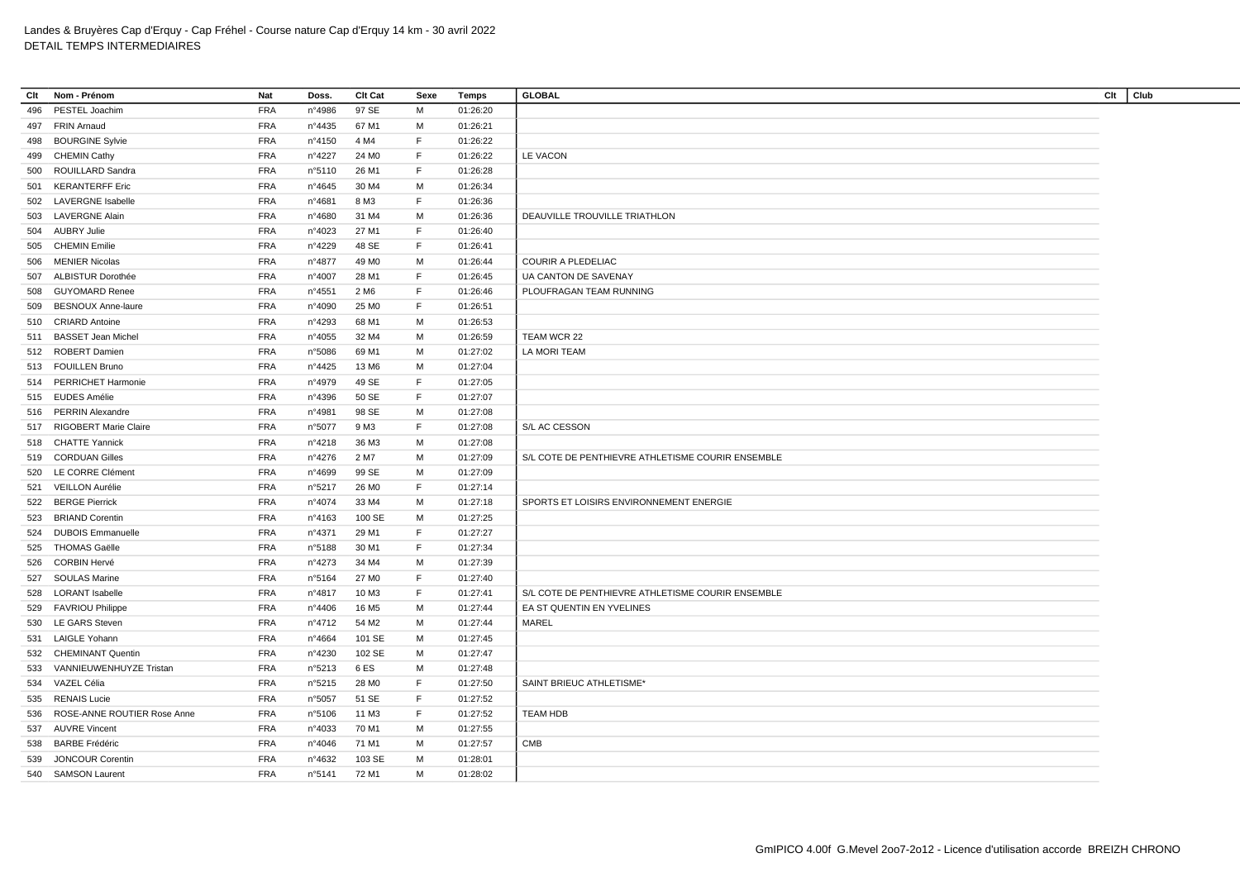| Clt | Nom - Prénom                | Nat        | Doss.            | Clt Cat           | Sexe | Temps    | <b>GLOBAL</b>                                     | Club<br>Clt |
|-----|-----------------------------|------------|------------------|-------------------|------|----------|---------------------------------------------------|-------------|
| 496 | PESTEL Joachim              | <b>FRA</b> | n°4986           | 97 SE             | M    | 01:26:20 |                                                   |             |
| 497 | <b>FRIN Arnaud</b>          | <b>FRA</b> | n°4435           | 67 M1             | М    | 01:26:21 |                                                   |             |
| 498 | <b>BOURGINE Sylvie</b>      | <b>FRA</b> | nº4150           | 4 M4              | F    | 01:26:22 |                                                   |             |
|     | 499 CHEMIN Cathy            | <b>FRA</b> | n°4227           | 24 M <sub>0</sub> | F    | 01:26:22 | LE VACON                                          |             |
| 500 | ROUILLARD Sandra            | <b>FRA</b> | n°5110           | 26 M1             | F    | 01:26:28 |                                                   |             |
| 501 | <b>KERANTERFF Eric</b>      | <b>FRA</b> | $n^{\circ}4645$  | 30 M4             | M    | 01:26:34 |                                                   |             |
|     | 502 LAVERGNE Isabelle       | <b>FRA</b> | n°4681           | 8 M3              | F    | 01:26:36 |                                                   |             |
| 503 | <b>LAVERGNE Alain</b>       | <b>FRA</b> | n°4680           | 31 M4             | M    | 01:26:36 | DEAUVILLE TROUVILLE TRIATHLON                     |             |
|     | 504 AUBRY Julie             | <b>FRA</b> | n°4023           | 27 M1             | F    | 01:26:40 |                                                   |             |
| 505 | <b>CHEMIN Emilie</b>        | <b>FRA</b> | n°4229           | 48 SE             | F    | 01:26:41 |                                                   |             |
| 506 | MENIER Nicolas              | <b>FRA</b> | n°4877           | 49 M <sub>0</sub> | M    | 01:26:44 | <b>COURIR A PLEDELIAC</b>                         |             |
| 507 | ALBISTUR Dorothée           | <b>FRA</b> | n°4007           | 28 M1             | F    | 01:26:45 | UA CANTON DE SAVENAY                              |             |
| 508 | GUYOMARD Renee              | <b>FRA</b> | n°4551           | 2 M <sub>6</sub>  | F    | 01:26:46 | PLOUFRAGAN TEAM RUNNING                           |             |
| 509 | <b>BESNOUX Anne-laure</b>   | <b>FRA</b> | n°4090           | 25 M <sub>0</sub> | F    | 01:26:51 |                                                   |             |
|     | 510 CRIARD Antoine          | <b>FRA</b> | n°4293           | 68 M1             | м    | 01:26:53 |                                                   |             |
|     | 511 BASSET Jean Michel      | <b>FRA</b> | n°4055           | 32 M4             | M    | 01:26:59 | TEAM WCR 22                                       |             |
|     | 512 ROBERT Damien           | <b>FRA</b> | n°5086           | 69 M1             | M    | 01:27:02 | LA MORI TEAM                                      |             |
|     | 513 FOUILLEN Bruno          | <b>FRA</b> | n°4425           | 13 M <sub>6</sub> | M    | 01:27:04 |                                                   |             |
|     | 514 PERRICHET Harmonie      | <b>FRA</b> | n°4979           | 49 SE             | F    | 01:27:05 |                                                   |             |
|     | 515 EUDES Amélie            | <b>FRA</b> | n°4396           | 50 SE             | F    | 01:27:07 |                                                   |             |
|     | 516 PERRIN Alexandre        | <b>FRA</b> | n°4981           | 98 SE             | M    | 01:27:08 |                                                   |             |
|     | RIGOBERT Marie Claire       | <b>FRA</b> |                  | 9 M3              | F    | 01:27:08 | S/L AC CESSON                                     |             |
| 517 | 518 CHATTE Yannick          | <b>FRA</b> | n°5077<br>nº4218 | 36 M3             | M    | 01:27:08 |                                                   |             |
|     |                             |            |                  | 2 M7              | М    | 01:27:09 | S/L COTE DE PENTHIEVRE ATHLETISME COURIR ENSEMBLE |             |
|     | 519 CORDUAN Gilles          | <b>FRA</b> | n°4276           |                   |      |          |                                                   |             |
|     | 520 LE CORRE Clément        | <b>FRA</b> | n°4699           | 99 SE             | M    | 01:27:09 |                                                   |             |
|     | 521 VEILLON Aurélie         | <b>FRA</b> | n°5217           | 26 M <sub>0</sub> | F    | 01:27:14 |                                                   |             |
|     | 522 BERGE Pierrick          | <b>FRA</b> | n°4074           | 33 M4             | м    | 01:27:18 | SPORTS ET LOISIRS ENVIRONNEMENT ENERGIE           |             |
|     | 523 BRIAND Corentin         | <b>FRA</b> | n°4163           | 100 SE            | M    | 01:27:25 |                                                   |             |
| 524 | <b>DUBOIS Emmanuelle</b>    | <b>FRA</b> | n°4371           | 29 M1             | F    | 01:27:27 |                                                   |             |
|     | 525 THOMAS Gaëlle           | <b>FRA</b> | n°5188           | 30 M1             | F    | 01:27:34 |                                                   |             |
|     | 526 CORBIN Hervé            | <b>FRA</b> | n°4273           | 34 M4             | M    | 01:27:39 |                                                   |             |
| 527 | <b>SOULAS Marine</b>        | <b>FRA</b> | n°5164           | 27 M <sub>0</sub> | F    | 01:27:40 |                                                   |             |
|     | 528 LORANT Isabelle         | <b>FRA</b> | n°4817           | 10 M3             | F    | 01:27:41 | S/L COTE DE PENTHIEVRE ATHLETISME COURIR ENSEMBLE |             |
| 529 | <b>FAVRIOU Philippe</b>     | <b>FRA</b> | n°4406           | 16 M <sub>5</sub> | M    | 01:27:44 | EA ST QUENTIN EN YVELINES                         |             |
|     | 530 LE GARS Steven          | <b>FRA</b> | nº4712           | 54 M2             | M    | 01:27:44 | MAREL                                             |             |
| 531 | <b>LAIGLE Yohann</b>        | <b>FRA</b> | n°4664           | 101 SE            | м    | 01:27:45 |                                                   |             |
|     | 532 CHEMINANT Quentin       | <b>FRA</b> | n°4230           | 102 SE            | M    | 01:27:47 |                                                   |             |
| 533 | VANNIEUWENHUYZE Tristan     | <b>FRA</b> | n°5213           | 6ES               | M    | 01:27:48 |                                                   |             |
| 534 | VAZEL Célia                 | <b>FRA</b> | n°5215           | 28 M <sub>0</sub> | F    | 01:27:50 | SAINT BRIEUC ATHLETISME*                          |             |
|     | 535 RENAIS Lucie            | <b>FRA</b> | n°5057           | 51 SE             | F    | 01:27:52 |                                                   |             |
| 536 | ROSE-ANNE ROUTIER Rose Anne | <b>FRA</b> | n°5106           | 11 M3             | F.   | 01:27:52 | <b>TEAM HDB</b>                                   |             |
| 537 | <b>AUVRE Vincent</b>        | <b>FRA</b> | $n^{\circ}4033$  | 70 M1             | M    | 01:27:55 |                                                   |             |
|     | 538 BARBE Frédéric          | <b>FRA</b> | n°4046           | 71 M1             | м    | 01:27:57 | CMB                                               |             |
| 539 | <b>JONCOUR Corentin</b>     | <b>FRA</b> | n°4632           | 103 SE            | м    | 01:28:01 |                                                   |             |
|     | 540 SAMSON Laurent          | <b>FRA</b> | n°5141           | 72 M1             | M    | 01:28:02 |                                                   |             |
|     |                             |            |                  |                   |      |          |                                                   |             |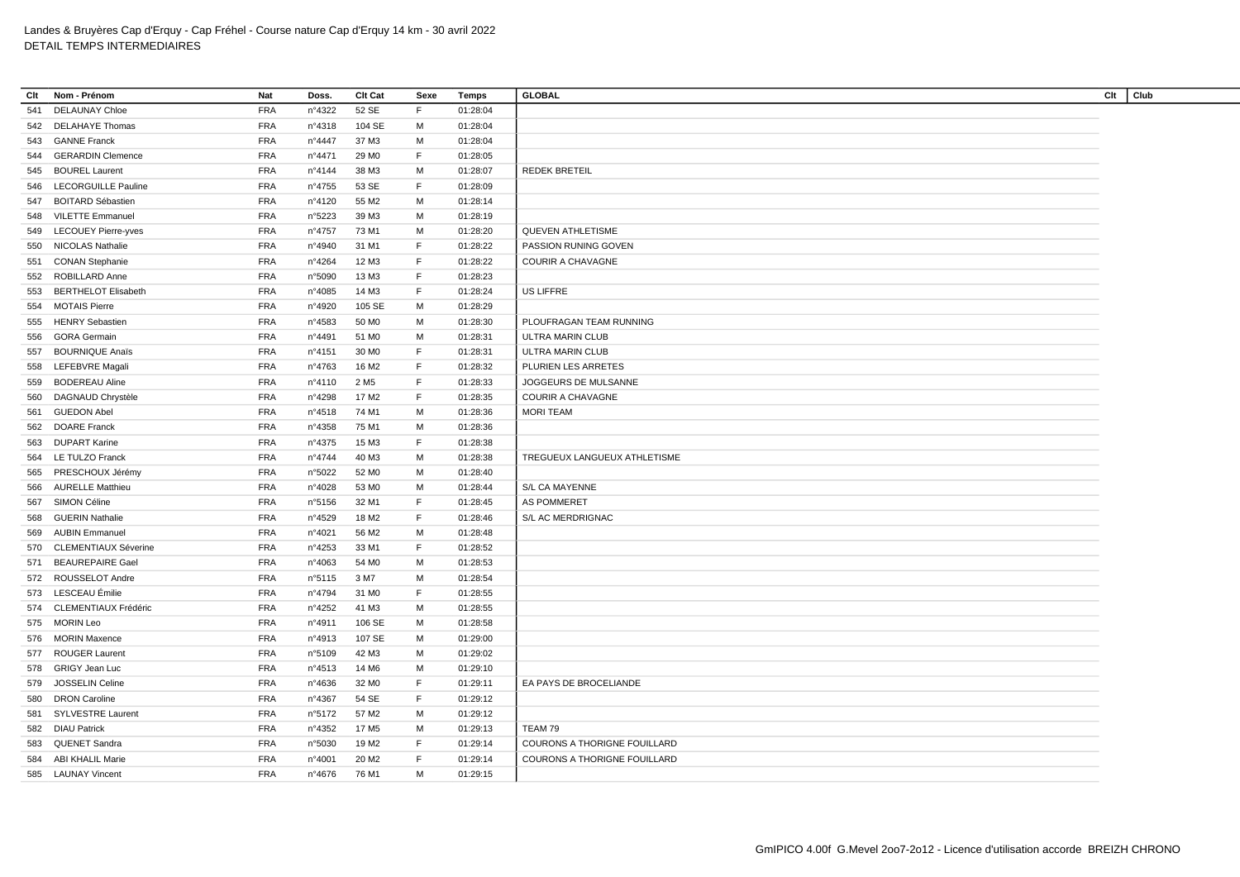| Clt | Nom - Prénom                | <b>Nat</b> | Doss.  | <b>Clt Cat</b>    | Sexe        | Temps    | <b>GLOBAL</b>                       | Clt | Club |
|-----|-----------------------------|------------|--------|-------------------|-------------|----------|-------------------------------------|-----|------|
| 541 | <b>DELAUNAY Chloe</b>       | <b>FRA</b> | n°4322 | 52 SE             | F           | 01:28:04 |                                     |     |      |
|     | 542 DELAHAYE Thomas         | <b>FRA</b> | nº4318 | 104 SE            | м           | 01:28:04 |                                     |     |      |
|     | 543 GANNE Franck            | <b>FRA</b> | n°4447 | 37 M3             | М           | 01:28:04 |                                     |     |      |
| 544 | <b>GERARDIN Clemence</b>    | <b>FRA</b> | n°4471 | 29 M <sub>0</sub> | $\mathsf F$ | 01:28:05 |                                     |     |      |
|     | 545 BOUREL Laurent          | <b>FRA</b> | n°4144 | 38 M3             | M           | 01:28:07 | <b>REDEK BRETEIL</b>                |     |      |
| 546 | <b>LECORGUILLE Pauline</b>  | <b>FRA</b> | n°4755 | 53 SE             | F           | 01:28:09 |                                     |     |      |
|     | 547 BOITARD Sébastien       | <b>FRA</b> | n°4120 | 55 M2             | м           | 01:28:14 |                                     |     |      |
| 548 | <b>VILETTE Emmanuel</b>     | <b>FRA</b> | n°5223 | 39 M3             | M           | 01:28:19 |                                     |     |      |
|     | 549 LECOUEY Pierre-yves     | <b>FRA</b> | n°4757 | 73 M1             | M           | 01:28:20 | <b>QUEVEN ATHLETISME</b>            |     |      |
| 550 | <b>NICOLAS Nathalie</b>     | <b>FRA</b> | n°4940 | 31 M1             | F           | 01:28:22 | PASSION RUNING GOVEN                |     |      |
| 551 | <b>CONAN Stephanie</b>      | <b>FRA</b> | n°4264 | 12 M3             | F           | 01:28:22 | <b>COURIR A CHAVAGNE</b>            |     |      |
| 552 | ROBILLARD Anne              | <b>FRA</b> | n°5090 | 13 M3             | F           | 01:28:23 |                                     |     |      |
| 553 | <b>BERTHELOT Elisabeth</b>  | <b>FRA</b> | n°4085 | 14 M3             | F           | 01:28:24 | US LIFFRE                           |     |      |
|     | 554 MOTAIS Pierre           | <b>FRA</b> | n°4920 | 105 SE            | M           | 01:28:29 |                                     |     |      |
| 555 | <b>HENRY Sebastien</b>      | <b>FRA</b> | n°4583 | 50 MO             | М           | 01:28:30 | PLOUFRAGAN TEAM RUNNING             |     |      |
| 556 | <b>GORA Germain</b>         | <b>FRA</b> | nº4491 | 51 MO             | M           | 01:28:31 | ULTRA MARIN CLUB                    |     |      |
| 557 | <b>BOURNIQUE Anaïs</b>      | <b>FRA</b> | n°4151 | 30 MO             | F           | 01:28:31 | ULTRA MARIN CLUB                    |     |      |
|     | 558 LEFEBVRE Magali         | <b>FRA</b> | n°4763 | 16 M <sub>2</sub> | F.          | 01:28:32 | PLURIEN LES ARRETES                 |     |      |
| 559 | <b>BODEREAU Aline</b>       | <b>FRA</b> | nº4110 | 2 M <sub>5</sub>  | F           | 01:28:33 | JOGGEURS DE MULSANNE                |     |      |
| 560 | DAGNAUD Chrystèle           | <b>FRA</b> | n°4298 | 17 M2             | F           | 01:28:35 | <b>COURIR A CHAVAGNE</b>            |     |      |
| 561 | <b>GUEDON Abel</b>          | <b>FRA</b> | n°4518 | 74 M1             | м           | 01:28:36 | <b>MORI TEAM</b>                    |     |      |
| 562 | <b>DOARE Franck</b>         | <b>FRA</b> | nº4358 | 75 M1             | M           | 01:28:36 |                                     |     |      |
|     | 563 DUPART Karine           | <b>FRA</b> | n°4375 | 15 M3             | F           | 01:28:38 |                                     |     |      |
|     |                             |            |        |                   |             |          |                                     |     |      |
| 564 | <b>LE TULZO Franck</b>      | <b>FRA</b> | n°4744 | 40 M3             | М           | 01:28:38 | TREGUEUX LANGUEUX ATHLETISME        |     |      |
| 565 | PRESCHOUX Jérémy            | <b>FRA</b> | n°5022 | 52 M <sub>0</sub> | M           | 01:28:40 |                                     |     |      |
| 566 | <b>AURELLE Matthieu</b>     | <b>FRA</b> | n°4028 | 53 MO             | м           | 01:28:44 | S/L CA MAYENNE                      |     |      |
| 567 | SIMON Céline                | <b>FRA</b> | n°5156 | 32 M1             | F           | 01:28:45 | <b>AS POMMERET</b>                  |     |      |
| 568 | <b>GUERIN Nathalie</b>      | <b>FRA</b> | n°4529 | 18 M2             | F           | 01:28:46 | S/L AC MERDRIGNAC                   |     |      |
| 569 | <b>AUBIN Emmanuel</b>       | <b>FRA</b> | nº4021 | 56 M2             | м           | 01:28:48 |                                     |     |      |
| 570 | <b>CLEMENTIAUX Séverine</b> | <b>FRA</b> | n°4253 | 33 M1             | F           | 01:28:52 |                                     |     |      |
|     | 571 BEAUREPAIRE Gael        | <b>FRA</b> | n°4063 | 54 M <sub>0</sub> | М           | 01:28:53 |                                     |     |      |
|     | 572 ROUSSELOT Andre         | <b>FRA</b> | n°5115 | 3 M7              | M           | 01:28:54 |                                     |     |      |
|     | 573 LESCEAU Émilie          | <b>FRA</b> | n°4794 | 31 M <sub>0</sub> | F           | 01:28:55 |                                     |     |      |
|     | 574 CLEMENTIAUX Frédéric    | <b>FRA</b> | n°4252 | 41 M3             | м           | 01:28:55 |                                     |     |      |
|     | 575 MORIN Leo               | <b>FRA</b> | n°4911 | 106 SE            | М           | 01:28:58 |                                     |     |      |
| 576 | <b>MORIN Maxence</b>        | <b>FRA</b> | n°4913 | 107 SE            | М           | 01:29:00 |                                     |     |      |
| 577 | <b>ROUGER Laurent</b>       | <b>FRA</b> | n°5109 | 42 M3             | M           | 01:29:02 |                                     |     |      |
|     | 578 GRIGY Jean Luc          | <b>FRA</b> | n°4513 | 14 M <sub>6</sub> | м           | 01:29:10 |                                     |     |      |
| 579 | <b>JOSSELIN Celine</b>      | <b>FRA</b> | n°4636 | 32 M <sub>0</sub> | F           | 01:29:11 | EA PAYS DE BROCELIANDE              |     |      |
| 580 | <b>DRON Caroline</b>        | <b>FRA</b> | n°4367 | 54 SE             | F           | 01:29:12 |                                     |     |      |
|     | 581 SYLVESTRE Laurent       | <b>FRA</b> | n°5172 | 57 M2             | M           | 01:29:12 |                                     |     |      |
|     | 582 DIAU Patrick            | <b>FRA</b> | n°4352 | 17 M <sub>5</sub> | M           | 01:29:13 | TEAM 79                             |     |      |
| 583 | QUENET Sandra               | <b>FRA</b> | n°5030 | 19 M2             | F           | 01:29:14 | COURONS A THORIGNE FOUILLARD        |     |      |
|     | 584 ABI KHALIL Marie        | <b>FRA</b> | nº4001 | 20 M <sub>2</sub> | F           | 01:29:14 | <b>COURONS A THORIGNE FOUILLARD</b> |     |      |
|     | 585 LAUNAY Vincent          | <b>FRA</b> | n°4676 | 76 M1             | M           | 01:29:15 |                                     |     |      |
|     |                             |            |        |                   |             |          |                                     |     |      |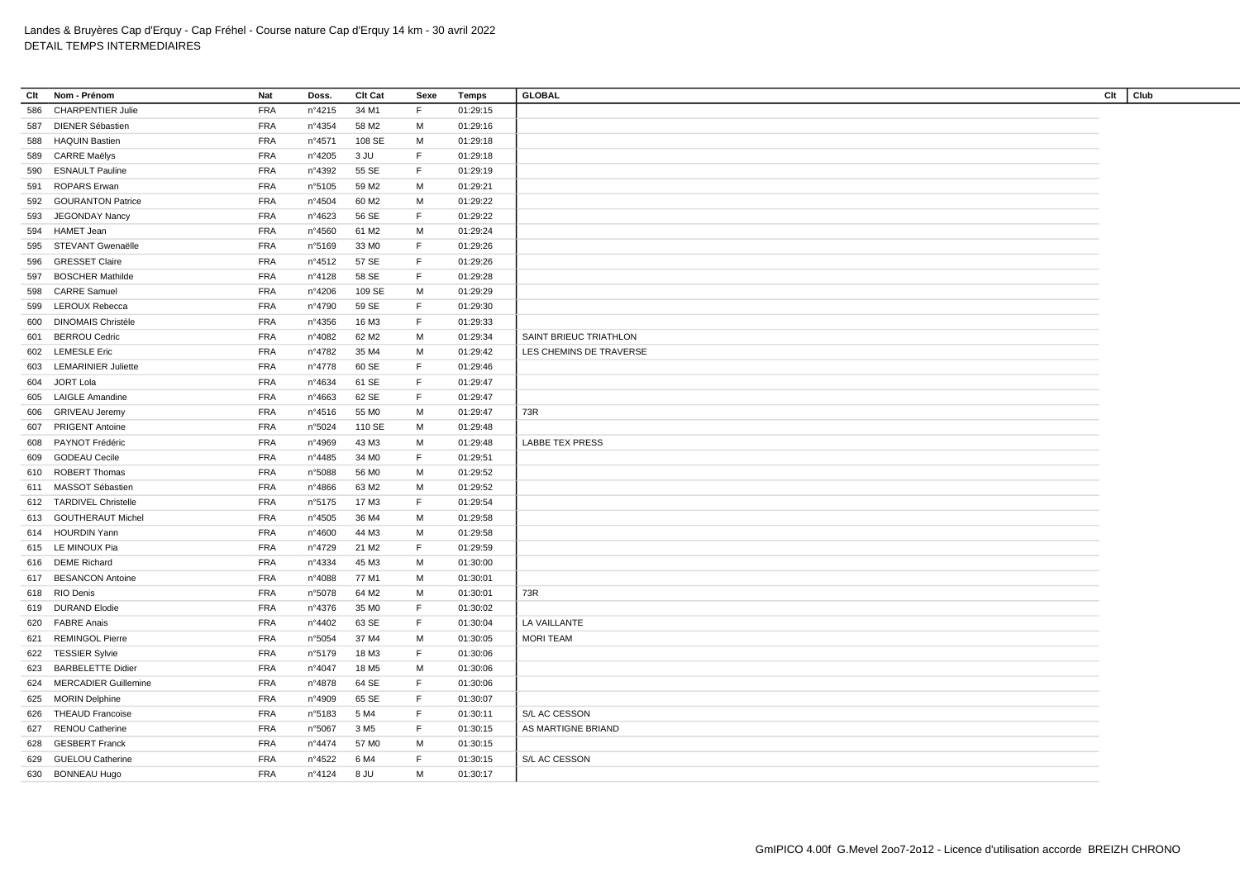| Clt | Nom - Prénom                | <b>Nat</b>               | Doss.           | <b>Clt Cat</b>    | Sexe        | Temps    | <b>GLOBAL</b>           | Clt | Club |
|-----|-----------------------------|--------------------------|-----------------|-------------------|-------------|----------|-------------------------|-----|------|
| 586 | <b>CHARPENTIER Julie</b>    | <b>FRA</b>               | n°4215          | 34 M1             | F           | 01:29:15 |                         |     |      |
| 587 | <b>DIENER Sébastien</b>     | <b>FRA</b>               | nº4354          | 58 M2             | м           | 01:29:16 |                         |     |      |
|     | 588 HAQUIN Bastien          | <b>FRA</b>               | nº4571          | 108 SE            | M           | 01:29:18 |                         |     |      |
| 589 | <b>CARRE Maëlys</b>         | <b>FRA</b>               | n°4205          | 3 JU              | F           | 01:29:18 |                         |     |      |
| 590 | <b>ESNAULT Pauline</b>      | <b>FRA</b>               | n°4392          | 55 SE             | F.          | 01:29:19 |                         |     |      |
| 591 | <b>ROPARS Erwan</b>         | <b>FRA</b>               | n°5105          | 59 M2             | M           | 01:29:21 |                         |     |      |
| 592 | <b>GOURANTON Patrice</b>    | <b>FRA</b>               | n°4504          | 60 M <sub>2</sub> | M           | 01:29:22 |                         |     |      |
| 593 | <b>JEGONDAY Nancy</b>       | <b>FRA</b>               | n°4623          | 56 SE             | F           | 01:29:22 |                         |     |      |
| 594 | HAMET Jean                  | <b>FRA</b>               | n°4560          | 61 M2             | M           | 01:29:24 |                         |     |      |
|     | 595 STEVANT Gwenaëlle       | <b>FRA</b>               | n°5169          | 33 MO             | F           | 01:29:26 |                         |     |      |
| 596 | <b>GRESSET Claire</b>       | <b>FRA</b>               | n°4512          | 57 SE             | F           | 01:29:26 |                         |     |      |
| 597 | <b>BOSCHER Mathilde</b>     | <b>FRA</b>               | n°4128          | 58 SE             | F.          | 01:29:28 |                         |     |      |
| 598 | <b>CARRE Samuel</b>         | <b>FRA</b>               | n°4206          | 109 SE            | M           | 01:29:29 |                         |     |      |
| 599 | LEROUX Rebecca              | <b>FRA</b>               | n°4790          | 59 SE             | F           | 01:29:30 |                         |     |      |
| 600 | <b>DINOMAIS Christèle</b>   | <b>FRA</b>               | n°4356          | 16 M3             | F           | 01:29:33 |                         |     |      |
| 601 | <b>BERROU Cedric</b>        | <b>FRA</b>               | n°4082          | 62 M <sub>2</sub> | м           | 01:29:34 | SAINT BRIEUC TRIATHLON  |     |      |
|     | 602 LEMESLE Eric            | <b>FRA</b>               | n°4782          | 35 M4             | M           | 01:29:42 | LES CHEMINS DE TRAVERSE |     |      |
|     | 603 LEMARINIER Juliette     | <b>FRA</b>               | n°4778          | 60 SE             | F           | 01:29:46 |                         |     |      |
| 604 | JORT Lola                   | <b>FRA</b>               | n°4634          | 61 SE             | F           | 01:29:47 |                         |     |      |
| 605 | <b>LAIGLE Amandine</b>      | <b>FRA</b>               | n°4663          | 62 SE             | $\mathsf F$ | 01:29:47 |                         |     |      |
| 606 | <b>GRIVEAU Jeremy</b>       | <b>FRA</b>               | $n^{\circ}4516$ | 55 MO             | м           | 01:29:47 | 73R                     |     |      |
| 607 | <b>PRIGENT Antoine</b>      | <b>FRA</b>               | n°5024          | 110 SE            | M           | 01:29:48 |                         |     |      |
| 608 | PAYNOT Frédéric             | <b>FRA</b>               | n°4969          | 43 M3             | M           | 01:29:48 | <b>LABBE TEX PRESS</b>  |     |      |
| 609 | <b>GODEAU Cecile</b>        | <b>FRA</b>               | n°4485          | 34 M <sub>0</sub> | F           | 01:29:51 |                         |     |      |
| 610 | <b>ROBERT Thomas</b>        | <b>FRA</b>               | n°5088          | 56 MO             | M           | 01:29:52 |                         |     |      |
|     | 611 MASSOT Sébastien        | <b>FRA</b>               | n°4866          | 63 M2             | м           | 01:29:52 |                         |     |      |
|     | 612 TARDIVEL Christelle     | <b>FRA</b>               | n°5175          | 17 M3             | F           | 01:29:54 |                         |     |      |
|     | 613 GOUTHERAUT Michel       | <b>FRA</b>               | n°4505          | 36 M4             | M           | 01:29:58 |                         |     |      |
|     | 614 HOURDIN Yann            | <b>FRA</b>               | n°4600          | 44 M3             | м           | 01:29:58 |                         |     |      |
|     | 615 LE MINOUX Pia           | <b>FRA</b>               | n°4729          | 21 M <sub>2</sub> | F           | 01:29:59 |                         |     |      |
|     | 616 DEME Richard            | <b>FRA</b>               | n°4334          | 45 M3             | M           | 01:30:00 |                         |     |      |
| 617 | <b>BESANCON Antoine</b>     | <b>FRA</b>               | n°4088          | 77 M1             | M           | 01:30:01 |                         |     |      |
|     | 618 RIO Denis               | <b>FRA</b>               | n°5078          | 64 M2             | M           | 01:30:01 | 73R                     |     |      |
|     | 619 DURAND Elodie           | <b>FRA</b>               | n°4376          | 35 MO             | F           | 01:30:02 |                         |     |      |
|     | <b>FABRE Anais</b>          | <b>FRA</b>               | n°4402          | 63 SE             | F           |          | LA VAILLANTE            |     |      |
| 620 |                             |                          |                 |                   |             | 01:30:04 |                         |     |      |
|     | 621 REMINGOL Pierre         | <b>FRA</b><br><b>FRA</b> | n°5054          | 37 M4             | М<br>F      | 01:30:05 | <b>MORI TEAM</b>        |     |      |
|     | 622 TESSIER Sylvie          |                          | n°5179          | 18 M3             |             | 01:30:06 |                         |     |      |
|     | 623 BARBELETTE Didier       | <b>FRA</b>               | n°4047          | 18 M <sub>5</sub> | M           | 01:30:06 |                         |     |      |
| 624 | <b>MERCADIER Guillemine</b> | <b>FRA</b>               | n°4878          | 64 SE             | F           | 01:30:06 |                         |     |      |
|     | 625 MORIN Delphine          | <b>FRA</b>               | n°4909          | 65 SE             | F           | 01:30:07 |                         |     |      |
| 626 | <b>THEAUD Francoise</b>     | <b>FRA</b>               | n°5183          | 5 M4              | F           | 01:30:11 | S/L AC CESSON           |     |      |
| 627 | <b>RENOU Catherine</b>      | <b>FRA</b>               | n°5067          | 3 M <sub>5</sub>  | F           | 01:30:15 | AS MARTIGNE BRIAND      |     |      |
|     | 628 GESBERT Franck          | <b>FRA</b>               | n°4474          | 57 M <sub>0</sub> | м           | 01:30:15 |                         |     |      |
| 629 | <b>GUELOU Catherine</b>     | <b>FRA</b>               | n°4522          | 6 M4              | F.          | 01:30:15 | S/L AC CESSON           |     |      |
|     | 630 BONNEAU Hugo            | <b>FRA</b>               | n°4124          | 8 JU              | M           | 01:30:17 |                         |     |      |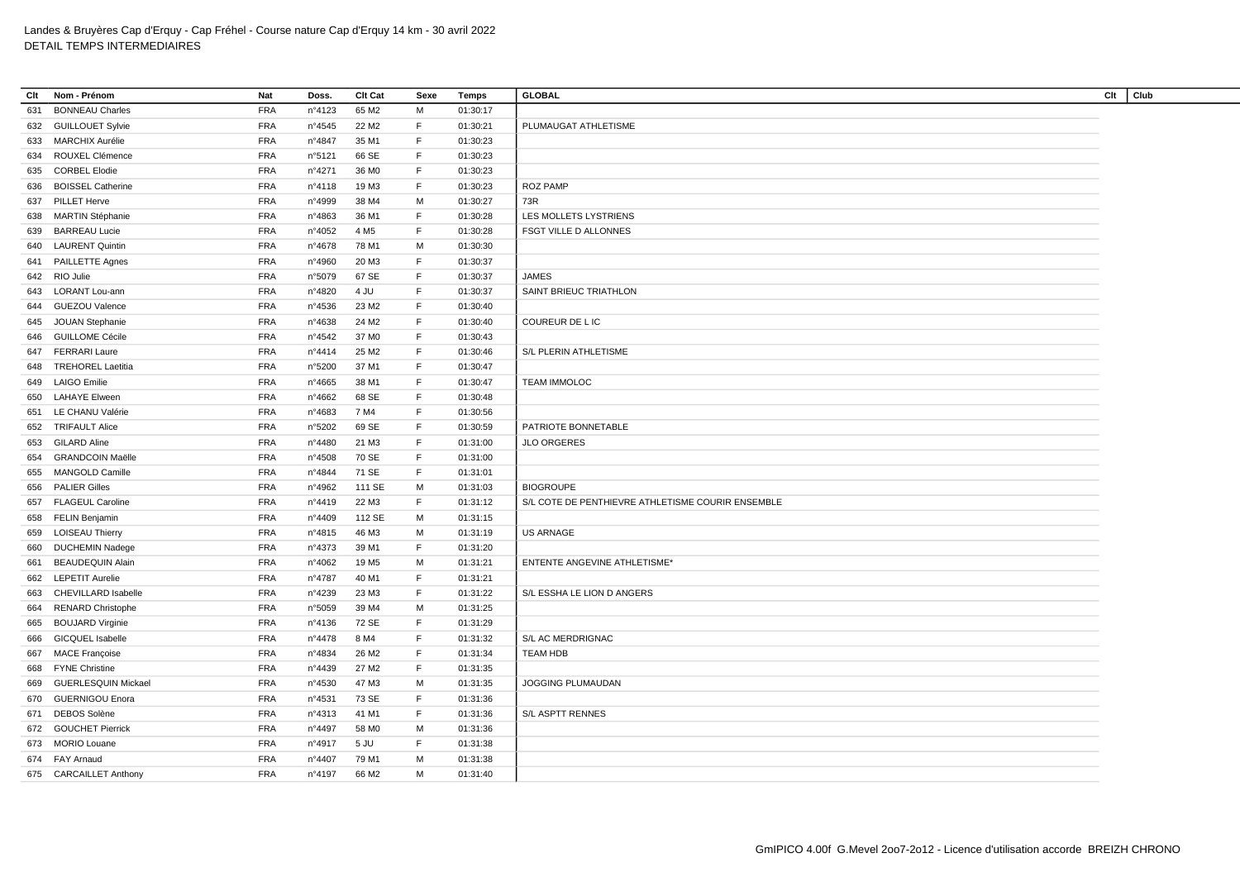| Clt | Nom - Prénom               | Nat                      | Doss.  | Clt Cat           | Sexe | Temps    | <b>GLOBAL</b>                                     | Clt | Club |
|-----|----------------------------|--------------------------|--------|-------------------|------|----------|---------------------------------------------------|-----|------|
| 631 | <b>BONNEAU Charles</b>     | <b>FRA</b>               | n°4123 | 65 M2             | M    | 01:30:17 |                                                   |     |      |
| 632 | <b>GUILLOUET Sylvie</b>    | <b>FRA</b>               | n°4545 | 22 M <sub>2</sub> | F.   | 01:30:21 | PLUMAUGAT ATHLETISME                              |     |      |
| 633 | MARCHIX Aurélie            | <b>FRA</b>               | n°4847 | 35 M1             | F.   | 01:30:23 |                                                   |     |      |
| 634 | ROUXEL Clémence            | <b>FRA</b>               | n°5121 | 66 SE             | F.   | 01:30:23 |                                                   |     |      |
| 635 | <b>CORBEL Elodie</b>       | <b>FRA</b>               | n°4271 | 36 M <sub>0</sub> | F.   | 01:30:23 |                                                   |     |      |
| 636 | <b>BOISSEL Catherine</b>   | <b>FRA</b>               | n°4118 | 19 M3             | F.   | 01:30:23 | <b>ROZ PAMP</b>                                   |     |      |
| 637 | PILLET Herve               | <b>FRA</b>               | n°4999 | 38 M4             | M    | 01:30:27 | 73R                                               |     |      |
| 638 | <b>MARTIN Stéphanie</b>    | <b>FRA</b>               | n°4863 | 36 M1             | F.   | 01:30:28 | LES MOLLETS LYSTRIENS                             |     |      |
| 639 | <b>BARREAU Lucie</b>       | <b>FRA</b>               | n°4052 | 4 M <sub>5</sub>  | F.   | 01:30:28 | FSGT VILLE D ALLONNES                             |     |      |
|     | 640 LAURENT Quintin        | <b>FRA</b>               | n°4678 | 78 M1             | M    | 01:30:30 |                                                   |     |      |
| 641 | PAILLETTE Agnes            | <b>FRA</b>               | n°4960 | 20 M3             | F.   | 01:30:37 |                                                   |     |      |
| 642 | RIO Julie                  | <b>FRA</b>               | n°5079 | 67 SE             | F.   | 01:30:37 | <b>JAMES</b>                                      |     |      |
| 643 | <b>LORANT Lou-ann</b>      | <b>FRA</b>               | n°4820 | 4 JU              | F.   | 01:30:37 | SAINT BRIEUC TRIATHLON                            |     |      |
| 644 | <b>GUEZOU Valence</b>      | <b>FRA</b>               | n°4536 | 23 M <sub>2</sub> | F.   | 01:30:40 |                                                   |     |      |
|     | 645 JOUAN Stephanie        | <b>FRA</b>               | n°4638 | 24 M2             | F.   | 01:30:40 | COUREUR DE L IC                                   |     |      |
|     | 646 GUILLOME Cécile        | <b>FRA</b>               | n°4542 | 37 M <sub>0</sub> | F.   | 01:30:43 |                                                   |     |      |
| 647 | <b>FERRARI Laure</b>       | <b>FRA</b>               | nº4414 | 25 M2             | F.   | 01:30:46 | S/L PLERIN ATHLETISME                             |     |      |
|     | 648 TREHOREL Laetitia      |                          |        |                   | F.   |          |                                                   |     |      |
|     |                            | <b>FRA</b>               | n°5200 | 37 M1             | F.   | 01:30:47 |                                                   |     |      |
| 649 | <b>LAIGO Emilie</b>        | <b>FRA</b><br><b>FRA</b> | n°4665 | 38 M1             | F.   | 01:30:47 | <b>TEAM IMMOLOC</b>                               |     |      |
| 650 | <b>LAHAYE Elween</b>       |                          | n°4662 | 68 SE             | F.   | 01:30:48 |                                                   |     |      |
| 651 | LE CHANU Valérie           | <b>FRA</b>               | n°4683 | 7 M4              |      | 01:30:56 |                                                   |     |      |
| 652 | <b>TRIFAULT Alice</b>      | <b>FRA</b>               | n°5202 | 69 SE             | F.   | 01:30:59 | PATRIOTE BONNETABLE                               |     |      |
|     | 653 GILARD Aline           | <b>FRA</b>               | n°4480 | 21 M3             | F.   | 01:31:00 | <b>JLO ORGERES</b>                                |     |      |
| 654 | <b>GRANDCOIN Maëlle</b>    | <b>FRA</b>               | n°4508 | 70 SE             | F.   | 01:31:00 |                                                   |     |      |
| 655 | <b>MANGOLD Camille</b>     | <b>FRA</b>               | n°4844 | 71 SE             | F.   | 01:31:01 |                                                   |     |      |
| 656 | <b>PALIER Gilles</b>       | <b>FRA</b>               | n°4962 | 111 SE            | M    | 01:31:03 | <b>BIOGROUPE</b>                                  |     |      |
| 657 | <b>FLAGEUL Caroline</b>    | <b>FRA</b>               | nº4419 | 22 M3             | F.   | 01:31:12 | S/L COTE DE PENTHIEVRE ATHLETISME COURIR ENSEMBLE |     |      |
|     | 658 FELIN Benjamin         | <b>FRA</b>               | n°4409 | 112 SE            | м    | 01:31:15 |                                                   |     |      |
| 659 | <b>LOISEAU Thierry</b>     | <b>FRA</b>               | n°4815 | 46 M3             | M    | 01:31:19 | <b>US ARNAGE</b>                                  |     |      |
| 660 | <b>DUCHEMIN Nadege</b>     | <b>FRA</b>               | n°4373 | 39 M1             | F.   | 01:31:20 |                                                   |     |      |
| 661 | <b>BEAUDEQUIN Alain</b>    | <b>FRA</b>               | n°4062 | 19 M <sub>5</sub> | M    | 01:31:21 | <b>ENTENTE ANGEVINE ATHLETISME*</b>               |     |      |
| 662 | <b>LEPETIT Aurelie</b>     | <b>FRA</b>               | n°4787 | 40 M1             | F.   | 01:31:21 |                                                   |     |      |
| 663 | CHEVILLARD Isabelle        | <b>FRA</b>               | n°4239 | 23 M3             | F.   | 01:31:22 | S/L ESSHA LE LION D ANGERS                        |     |      |
| 664 | <b>RENARD Christophe</b>   | <b>FRA</b>               | n°5059 | 39 M4             | M    | 01:31:25 |                                                   |     |      |
| 665 | <b>BOUJARD Virginie</b>    | <b>FRA</b>               | n°4136 | 72 SE             | F.   | 01:31:29 |                                                   |     |      |
| 666 | <b>GICQUEL Isabelle</b>    | <b>FRA</b>               | n°4478 | 8 M4              | F.   | 01:31:32 | S/L AC MERDRIGNAC                                 |     |      |
| 667 | <b>MACE Françoise</b>      | <b>FRA</b>               | n°4834 | 26 M <sub>2</sub> | F.   | 01:31:34 | <b>TEAM HDB</b>                                   |     |      |
| 668 | <b>FYNE Christine</b>      | <b>FRA</b>               | n°4439 | 27 M2             | F.   | 01:31:35 |                                                   |     |      |
| 669 | <b>GUERLESQUIN Mickael</b> | <b>FRA</b>               | n°4530 | 47 M3             | M    | 01:31:35 | JOGGING PLUMAUDAN                                 |     |      |
|     | 670 GUERNIGOU Enora        | <b>FRA</b>               | n°4531 | 73 SE             | F.   | 01:31:36 |                                                   |     |      |
| 671 | <b>DEBOS Solène</b>        | <b>FRA</b>               | n°4313 | 41 M1             | F.   | 01:31:36 | S/L ASPTT RENNES                                  |     |      |
|     | 672 GOUCHET Pierrick       | <b>FRA</b>               | n°4497 | 58 MO             | M    | 01:31:36 |                                                   |     |      |
|     | 673 MORIO Louane           | <b>FRA</b>               | n°4917 | 5 JU              | F.   | 01:31:38 |                                                   |     |      |
| 674 | FAY Arnaud                 | <b>FRA</b>               | n°4407 | 79 M1             | м    | 01:31:38 |                                                   |     |      |
|     | 675 CARCAILLET Anthony     | <b>FRA</b>               | n°4197 | 66 M <sub>2</sub> | м    | 01:31:40 |                                                   |     |      |
|     |                            |                          |        |                   |      |          |                                                   |     |      |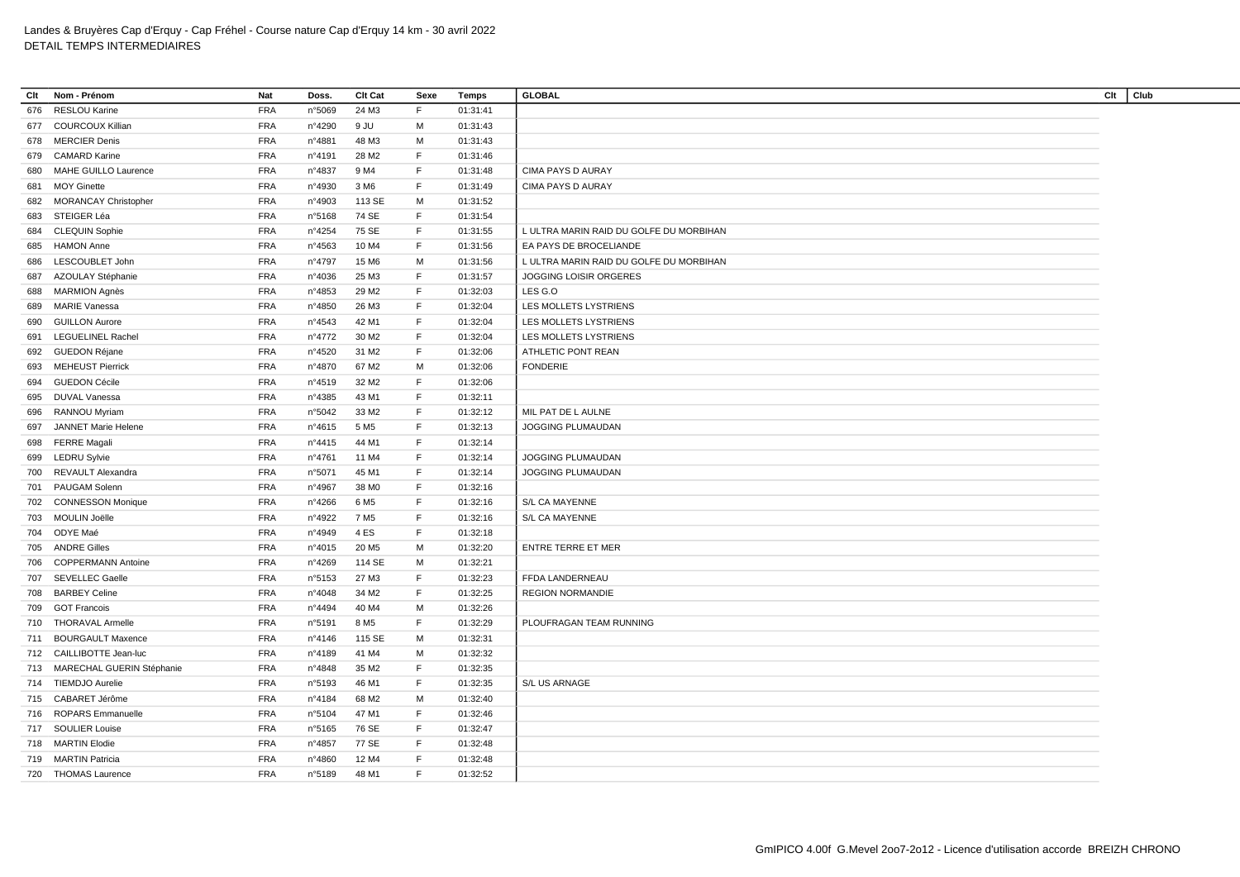| Clt | Nom - Prénom                  | <b>Nat</b> | Doss.           | Clt Cat           | Sexe        | <b>Temps</b> | <b>GLOBAL</b>                           | Club<br>Clt |
|-----|-------------------------------|------------|-----------------|-------------------|-------------|--------------|-----------------------------------------|-------------|
| 676 | <b>RESLOU Karine</b>          | <b>FRA</b> | n°5069          | 24 M3             | F           | 01:31:41     |                                         |             |
|     | 677 COURCOUX Killian          | <b>FRA</b> | n°4290          | 9 JU              | M           | 01:31:43     |                                         |             |
| 678 | <b>MERCIER Denis</b>          | <b>FRA</b> | n°4881          | 48 M3             | M           | 01:31:43     |                                         |             |
| 679 | <b>CAMARD Karine</b>          | <b>FRA</b> | n°4191          | 28 M <sub>2</sub> | F           | 01:31:46     |                                         |             |
| 680 | MAHE GUILLO Laurence          | <b>FRA</b> | n°4837          | 9 M4              | F           | 01:31:48     | <b>CIMA PAYS D AURAY</b>                |             |
| 681 | <b>MOY Ginette</b>            | <b>FRA</b> | n°4930          | 3 M <sub>6</sub>  | F           | 01:31:49     | <b>CIMA PAYS D AURAY</b>                |             |
|     | 682 MORANCAY Christopher      | <b>FRA</b> | n°4903          | 113 SE            | M           | 01:31:52     |                                         |             |
| 683 | STEIGER Léa                   | <b>FRA</b> | n°5168          | 74 SE             | F.          | 01:31:54     |                                         |             |
|     | 684 CLEQUIN Sophie            | <b>FRA</b> | n°4254          | 75 SE             | F           | 01:31:55     | L ULTRA MARIN RAID DU GOLFE DU MORBIHAN |             |
| 685 | <b>HAMON Anne</b>             | <b>FRA</b> | n°4563          | 10 M4             | F           | 01:31:56     | EA PAYS DE BROCELIANDE                  |             |
| 686 | LESCOUBLET John               | <b>FRA</b> | n°4797          | 15 M <sub>6</sub> | M           | 01:31:56     | L ULTRA MARIN RAID DU GOLFE DU MORBIHAN |             |
| 687 | AZOULAY Stéphanie             | <b>FRA</b> | n°4036          | 25 M3             | $\mathsf F$ | 01:31:57     | JOGGING LOISIR ORGERES                  |             |
|     | 688 MARMION Agnès             | <b>FRA</b> | n°4853          | 29 M <sub>2</sub> | $\mathsf F$ | 01:32:03     | LES G.O                                 |             |
| 689 | <b>MARIE Vanessa</b>          | <b>FRA</b> | n°4850          | 26 M3             | $\mathsf F$ | 01:32:04     | LES MOLLETS LYSTRIENS                   |             |
| 690 | <b>GUILLON Aurore</b>         | <b>FRA</b> | $n^{\circ}4543$ | 42 M1             | F           | 01:32:04     | LES MOLLETS LYSTRIENS                   |             |
| 691 | <b>LEGUELINEL Rachel</b>      | <b>FRA</b> | n°4772          | 30 M <sub>2</sub> | F           | 01:32:04     | LES MOLLETS LYSTRIENS                   |             |
| 692 | <b>GUEDON Réjane</b>          | <b>FRA</b> | n°4520          | 31 M2             | F           | 01:32:06     | ATHLETIC PONT REAN                      |             |
|     | 693 MEHEUST Pierrick          | <b>FRA</b> | n°4870          | 67 M2             | M           | 01:32:06     | <b>FONDERIE</b>                         |             |
| 694 | <b>GUEDON Cécile</b>          | <b>FRA</b> | n°4519          | 32 M <sub>2</sub> | F           | 01:32:06     |                                         |             |
|     | 695 DUVAL Vanessa             | <b>FRA</b> | n°4385          | 43 M1             | F.          | 01:32:11     |                                         |             |
| 696 | RANNOU Myriam                 | <b>FRA</b> | n°5042          | 33 M2             | F           | 01:32:12     | MIL PAT DE L AULNE                      |             |
| 697 | JANNET Marie Helene           | <b>FRA</b> | n°4615          | 5 M <sub>5</sub>  | $\mathsf F$ | 01:32:13     | JOGGING PLUMAUDAN                       |             |
|     | 698 FERRE Magali              | <b>FRA</b> | n°4415          | 44 M1             | F           | 01:32:14     |                                         |             |
| 699 | <b>LEDRU Sylvie</b>           | <b>FRA</b> | n°4761          | 11 M4             | F           | 01:32:14     | JOGGING PLUMAUDAN                       |             |
|     | 700 REVAULT Alexandra         | <b>FRA</b> | n°5071          | 45 M1             | F.          | 01:32:14     | JOGGING PLUMAUDAN                       |             |
| 701 | PAUGAM Solenn                 | <b>FRA</b> | n°4967          | 38 MO             | $\mathsf F$ | 01:32:16     |                                         |             |
| 702 | <b>CONNESSON Monique</b>      | <b>FRA</b> | n°4266          | 6 M <sub>5</sub>  | F           | 01:32:16     | S/L CA MAYENNE                          |             |
|     | 703 MOULIN Joëlle             | <b>FRA</b> | n°4922          | 7 M <sub>5</sub>  | F           | 01:32:16     | S/L CA MAYENNE                          |             |
| 704 | ODYE Maé                      | <b>FRA</b> | n°4949          | 4 ES              | F           | 01:32:18     |                                         |             |
|     | 705 ANDRE Gilles              | <b>FRA</b> | n°4015          | 20 M <sub>5</sub> | M           | 01:32:20     | <b>ENTRE TERRE ET MER</b>               |             |
| 706 | <b>COPPERMANN Antoine</b>     | <b>FRA</b> | n°4269          | 114 SE            | M           | 01:32:21     |                                         |             |
| 707 | <b>SEVELLEC Gaelle</b>        | <b>FRA</b> | n°5153          | 27 M3             | F           | 01:32:23     | FFDA LANDERNEAU                         |             |
| 708 | <b>BARBEY Celine</b>          | <b>FRA</b> | n°4048          | 34 M2             | F           | 01:32:25     | <b>REGION NORMANDIE</b>                 |             |
| 709 | <b>GOT Francois</b>           | <b>FRA</b> | n°4494          | 40 M4             | M           | 01:32:26     |                                         |             |
|     | 710 THORAVAL Armelle          | <b>FRA</b> | n°5191          | 8 M <sub>5</sub>  | F           | 01:32:29     | PLOUFRAGAN TEAM RUNNING                 |             |
|     | 711 BOURGAULT Maxence         | <b>FRA</b> | nº4146          | 115 SE            | м           | 01:32:31     |                                         |             |
|     | 712 CAILLIBOTTE Jean-luc      | <b>FRA</b> | n°4189          | 41 M4             | М           | 01:32:32     |                                         |             |
|     | 713 MARECHAL GUERIN Stéphanie | <b>FRA</b> | n°4848          | 35 M2             | F           | 01:32:35     |                                         |             |
|     | 714 TIEMDJO Aurelie           | <b>FRA</b> | n°5193          | 46 M1             | F           | 01:32:35     | S/L US ARNAGE                           |             |
|     | 715 CABARET Jérôme            | <b>FRA</b> | n°4184          | 68 M2             | М           | 01:32:40     |                                         |             |
|     | 716 ROPARS Emmanuelle         | <b>FRA</b> | n°5104          | 47 M1             | F.          | 01:32:46     |                                         |             |
|     | 717 SOULIER Louise            | <b>FRA</b> | n°5165          | 76 SE             | F           | 01:32:47     |                                         |             |
|     | 718 MARTIN Elodie             | <b>FRA</b> | n°4857          | 77 SE             | F.          | 01:32:48     |                                         |             |
|     | 719 MARTIN Patricia           | <b>FRA</b> | n°4860          | 12 M4             | F           | 01:32:48     |                                         |             |
|     | 720 THOMAS Laurence           | <b>FRA</b> | n°5189          | 48 M1             | F.          | 01:32:52     |                                         |             |
|     |                               |            |                 |                   |             |              |                                         |             |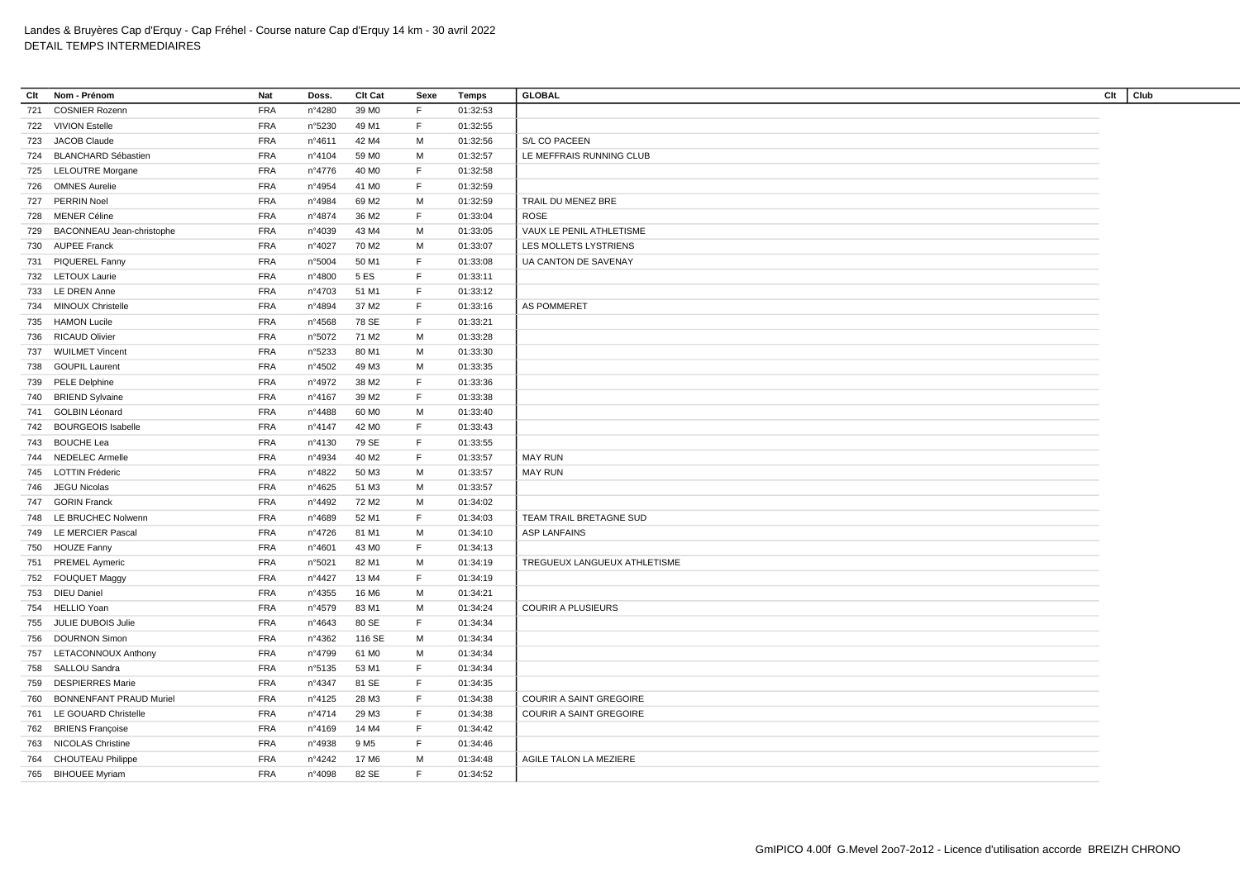| Clt | Nom - Prénom                   | Nat        | Doss.            | Clt Cat           | Sexe | Temps    | <b>GLOBAL</b>                  | Clt<br>Club |
|-----|--------------------------------|------------|------------------|-------------------|------|----------|--------------------------------|-------------|
| 721 | <b>COSNIER Rozenn</b>          | <b>FRA</b> | n°4280           | 39 M <sub>0</sub> | F.   | 01:32:53 |                                |             |
|     | 722 VIVION Estelle             | <b>FRA</b> | n°5230           | 49 M1             | F.   | 01:32:55 |                                |             |
| 723 | <b>JACOB Claude</b>            | <b>FRA</b> | n°4611           | 42 M4             | M    | 01:32:56 | S/L CO PACEEN                  |             |
| 724 | <b>BLANCHARD Sébastien</b>     | <b>FRA</b> | n°4104           | 59 MO             | М    | 01:32:57 | LE MEFFRAIS RUNNING CLUB       |             |
|     | 725 LELOUTRE Morgane           | <b>FRA</b> | n°4776           | 40 M <sub>0</sub> | F    | 01:32:58 |                                |             |
| 726 | <b>OMNES Aurelie</b>           | <b>FRA</b> | n°4954           | 41 M <sub>0</sub> | F    | 01:32:59 |                                |             |
| 727 | <b>PERRIN Noel</b>             | <b>FRA</b> | n°4984           | 69 M <sub>2</sub> | м    | 01:32:59 | TRAIL DU MENEZ BRE             |             |
| 728 | <b>MENER Céline</b>            | <b>FRA</b> | n°4874           | 36 M2             | F.   | 01:33:04 | <b>ROSE</b>                    |             |
| 729 | BACONNEAU Jean-christophe      | <b>FRA</b> | n°4039           | 43 M4             | м    | 01:33:05 | VAUX LE PENIL ATHLETISME       |             |
|     | 730 AUPEE Franck               | <b>FRA</b> | n°4027           | 70 M2             | M    | 01:33:07 | LES MOLLETS LYSTRIENS          |             |
| 731 | <b>PIQUEREL Fanny</b>          | <b>FRA</b> | n°5004           | 50 M1             | F    | 01:33:08 | UA CANTON DE SAVENAY           |             |
| 732 | <b>LETOUX Laurie</b>           | <b>FRA</b> | n°4800           | 5 ES              | F    | 01:33:11 |                                |             |
| 733 | <b>LE DREN Anne</b>            | <b>FRA</b> | n°4703           | 51 M1             | F.   | 01:33:12 |                                |             |
| 734 | <b>MINOUX Christelle</b>       | <b>FRA</b> | n°4894           | 37 M <sub>2</sub> | F.   | 01:33:16 | AS POMMERET                    |             |
|     | 735 HAMON Lucile               | <b>FRA</b> | n°4568           | 78 SE             | F    | 01:33:21 |                                |             |
| 736 | <b>RICAUD Olivier</b>          | <b>FRA</b> | n°5072           | 71 M2             | М    | 01:33:28 |                                |             |
| 737 | <b>WUILMET Vincent</b>         | <b>FRA</b> | n°5233           | 80 M1             | M    | 01:33:30 |                                |             |
| 738 | <b>GOUPIL Laurent</b>          | <b>FRA</b> | n°4502           | 49 M3             | М    | 01:33:35 |                                |             |
|     | 739 PELE Delphine              | <b>FRA</b> | n°4972           | 38 M2             | F.   | 01:33:36 |                                |             |
|     | 740 BRIEND Sylvaine            | <b>FRA</b> | n°4167           | 39 M <sub>2</sub> | F.   | 01:33:38 |                                |             |
| 741 | <b>GOLBIN Léonard</b>          | <b>FRA</b> | n°4488           | 60 M <sub>0</sub> | м    | 01:33:40 |                                |             |
|     | 742 BOURGEOIS Isabelle         | <b>FRA</b> | n°4147           | 42 MO             | F    | 01:33:43 |                                |             |
| 743 | <b>BOUCHE Lea</b>              | <b>FRA</b> | n°4130           | 79 SE             | F    | 01:33:55 |                                |             |
| 744 | <b>NEDELEC Armelle</b>         | <b>FRA</b> | n°4934           | 40 M <sub>2</sub> | F    | 01:33:57 | <b>MAY RUN</b>                 |             |
| 745 | <b>LOTTIN Fréderic</b>         | <b>FRA</b> | n°4822           | 50 M3             | М    | 01:33:57 | <b>MAY RUN</b>                 |             |
|     | 746 JEGU Nicolas               | <b>FRA</b> |                  | 51 M3             | M    |          |                                |             |
|     | <b>GORIN Franck</b>            | <b>FRA</b> | n°4625           | 72 M <sub>2</sub> | М    | 01:33:57 |                                |             |
| 747 |                                |            | n°4492           |                   |      | 01:34:02 |                                |             |
| 748 | LE BRUCHEC Nolwenn             | <b>FRA</b> | n°4689           | 52 M1             | F    | 01:34:03 | TEAM TRAIL BRETAGNE SUD        |             |
|     | 749 LE MERCIER Pascal          | <b>FRA</b> | n°4726           | 81 M1             | М    | 01:34:10 | <b>ASP LANFAINS</b>            |             |
| 750 | <b>HOUZE Fanny</b>             | <b>FRA</b> | n°4601           | 43 MO             | F.   | 01:34:13 |                                |             |
|     | 751 PREMEL Aymeric             | <b>FRA</b> | n°5021           | 82 M1             | M    | 01:34:19 | TREGUEUX LANGUEUX ATHLETISME   |             |
|     | 752 FOUQUET Maggy              | <b>FRA</b> | n°4427           | 13 M4             | F    | 01:34:19 |                                |             |
|     | 753 DIEU Daniel                | <b>FRA</b> | $n^{\circ}$ 4355 | 16 M6             | м    | 01:34:21 |                                |             |
| 754 | <b>HELLIO</b> Yoan             | <b>FRA</b> | n°4579           | 83 M1             | M    | 01:34:24 | <b>COURIR A PLUSIEURS</b>      |             |
|     | 755 JULIE DUBOIS Julie         | <b>FRA</b> | n°4643           | 80 SE             | F    | 01:34:34 |                                |             |
| 756 | <b>DOURNON Simon</b>           | <b>FRA</b> | n°4362           | 116 SE            | м    | 01:34:34 |                                |             |
| 757 | <b>LETACONNOUX Anthony</b>     | <b>FRA</b> | n°4799           | 61 MO             | М    | 01:34:34 |                                |             |
| 758 | SALLOU Sandra                  | <b>FRA</b> | n°5135           | 53 M1             | F.   | 01:34:34 |                                |             |
| 759 | <b>DESPIERRES Marie</b>        | <b>FRA</b> | n°4347           | 81 SE             | F    | 01:34:35 |                                |             |
| 760 | <b>BONNENFANT PRAUD Muriel</b> | <b>FRA</b> | n°4125           | 28 M3             | F    | 01:34:38 | <b>COURIR A SAINT GREGOIRE</b> |             |
| 761 | LE GOUARD Christelle           | <b>FRA</b> | n°4714           | 29 M3             | F.   | 01:34:38 | <b>COURIR A SAINT GREGOIRE</b> |             |
| 762 | <b>BRIENS Françoise</b>        | <b>FRA</b> | n°4169           | 14 M4             | F.   | 01:34:42 |                                |             |
|     | 763 NICOLAS Christine          | <b>FRA</b> | n°4938           | 9 M <sub>5</sub>  | F.   | 01:34:46 |                                |             |
| 764 | <b>CHOUTEAU Philippe</b>       | <b>FRA</b> | n°4242           | 17 M <sub>6</sub> | M    | 01:34:48 | AGILE TALON LA MEZIERE         |             |
|     | 765 BIHOUEE Myriam             | <b>FRA</b> | n°4098           | 82 SE             | F    | 01:34:52 |                                |             |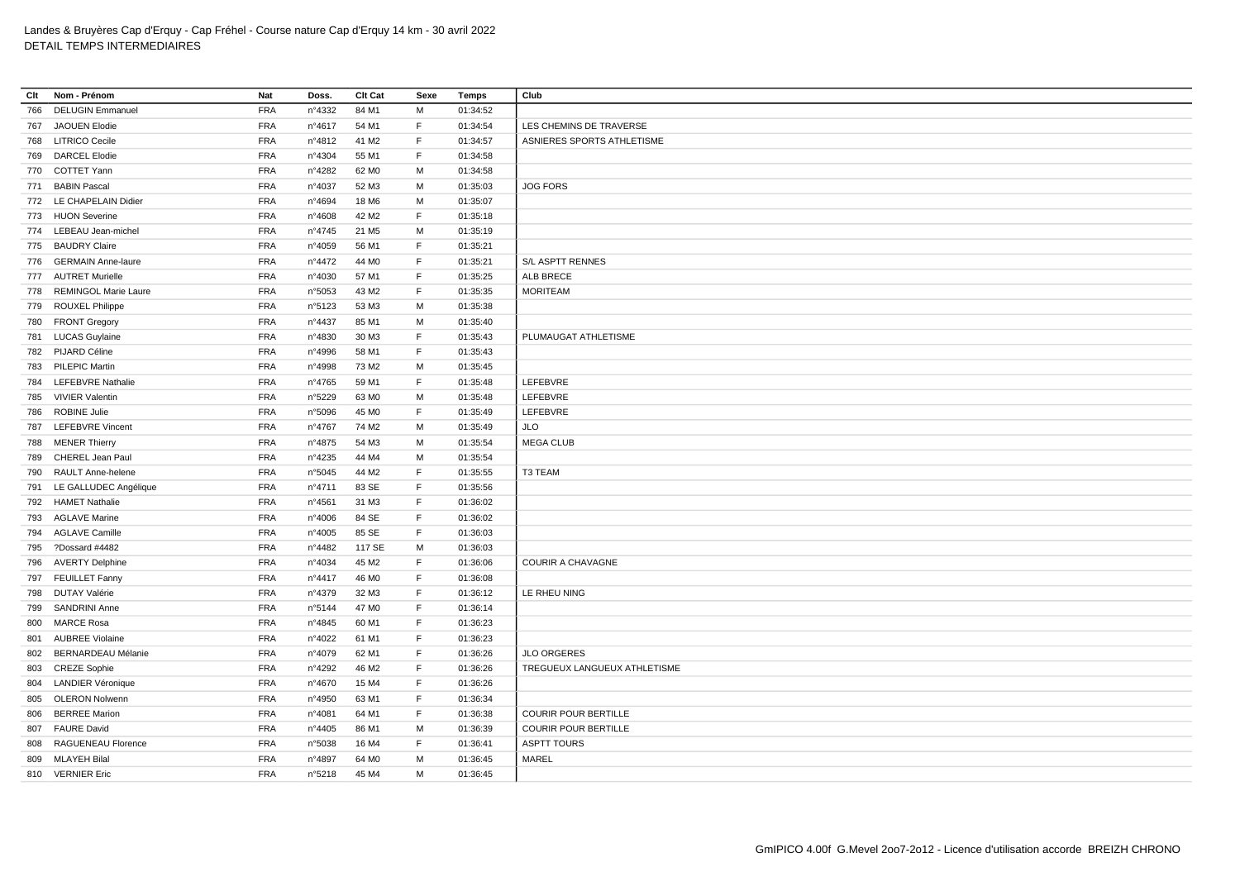| Clt | Nom - Prénom              | Nat        | Doss.           | Clt Cat           | Sexe | Temps    | Club                         |
|-----|---------------------------|------------|-----------------|-------------------|------|----------|------------------------------|
| 766 | <b>DELUGIN Emmanuel</b>   | <b>FRA</b> | n°4332          | 84 M1             | M    | 01:34:52 |                              |
|     | 767 JAOUEN Elodie         | <b>FRA</b> | n°4617          | 54 M1             | F    | 01:34:54 | LES CHEMINS DE TRAVERSE      |
|     | 768 LITRICO Cecile        | <b>FRA</b> | n°4812          | 41 M2             | F.   | 01:34:57 | ASNIERES SPORTS ATHLETISME   |
| 769 | <b>DARCEL Elodie</b>      | <b>FRA</b> | n°4304          | 55 M1             | F    | 01:34:58 |                              |
|     | 770 COTTET Yann           | <b>FRA</b> | n°4282          | 62 M <sub>0</sub> | M    | 01:34:58 |                              |
| 771 | <b>BABIN Pascal</b>       | <b>FRA</b> | n°4037          | 52 M3             | M    | 01:35:03 | <b>JOG FORS</b>              |
|     | 772 LE CHAPELAIN Didier   | <b>FRA</b> | n°4694          | 18 M6             | M    | 01:35:07 |                              |
|     | 773 HUON Severine         | <b>FRA</b> | n°4608          | 42 M <sub>2</sub> | F.   | 01:35:18 |                              |
|     | 774 LEBEAU Jean-michel    | <b>FRA</b> | $n^{\circ}4745$ | 21 M <sub>5</sub> | М    | 01:35:19 |                              |
|     | 775 BAUDRY Claire         | <b>FRA</b> | n°4059          | 56 M1             | F    | 01:35:21 |                              |
|     | 776 GERMAIN Anne-laure    | <b>FRA</b> | n°4472          | 44 M <sub>0</sub> | F    | 01:35:21 | S/L ASPTT RENNES             |
|     | 777 AUTRET Murielle       | <b>FRA</b> | n°4030          | 57 M1             | F.   | 01:35:25 | ALB BRECE                    |
|     | 778 REMINGOL Marie Laure  | <b>FRA</b> | n°5053          | 43 M <sub>2</sub> | F.   | 01:35:35 | <b>MORITEAM</b>              |
| 779 | ROUXEL Philippe           | <b>FRA</b> | n°5123          | 53 M3             | М    | 01:35:38 |                              |
|     | 780 FRONT Gregory         | <b>FRA</b> | n°4437          | 85 M1             | M    | 01:35:40 |                              |
|     | 781 LUCAS Guylaine        | <b>FRA</b> | n°4830          | 30 M3             | F    | 01:35:43 | PLUMAUGAT ATHLETISME         |
|     | 782 PIJARD Céline         | <b>FRA</b> | n°4996          | 58 M1             | F.   | 01:35:43 |                              |
|     | 783 PILEPIC Martin        | <b>FRA</b> | n°4998          | 73 M2             | М    | 01:35:45 |                              |
|     | 784 LEFEBVRE Nathalie     | <b>FRA</b> | n°4765          | 59 M1             | F    | 01:35:48 | LEFEBVRE                     |
|     | 785 VIVIER Valentin       | <b>FRA</b> | n°5229          | 63 MO             | М    | 01:35:48 | LEFEBVRE                     |
| 786 | <b>ROBINE Julie</b>       | <b>FRA</b> | n°5096          | 45 MO             | F.   | 01:35:49 | LEFEBVRE                     |
| 787 | <b>LEFEBVRE Vincent</b>   | <b>FRA</b> | n°4767          | 74 M2             | M    | 01:35:49 | <b>JLO</b>                   |
| 788 | <b>MENER Thierry</b>      | <b>FRA</b> | n°4875          | 54 M3             | M    | 01:35:54 | <b>MEGA CLUB</b>             |
| 789 | CHEREL Jean Paul          | <b>FRA</b> | $n^{\circ}4235$ | 44 M4             | M    | 01:35:54 |                              |
| 790 | RAULT Anne-helene         | <b>FRA</b> | n°5045          | 44 M2             | F.   | 01:35:55 | T3 TEAM                      |
| 791 | LE GALLUDEC Angélique     | <b>FRA</b> | n°4711          | 83 SE             | F.   | 01:35:56 |                              |
|     | 792 HAMET Nathalie        | <b>FRA</b> | n°4561          | 31 M3             | F    | 01:36:02 |                              |
|     | 793 AGLAVE Marine         | <b>FRA</b> | n°4006          | 84 SE             | F    | 01:36:02 |                              |
|     | 794 AGLAVE Camille        | <b>FRA</b> | n°4005          | 85 SE             | F    | 01:36:03 |                              |
| 795 | ?Dossard #4482            | <b>FRA</b> | n°4482          | 117 SE            | M    | 01:36:03 |                              |
|     | 796 AVERTY Delphine       | <b>FRA</b> | n°4034          | 45 M2             | F    | 01:36:06 | <b>COURIR A CHAVAGNE</b>     |
| 797 | <b>FEUILLET Fanny</b>     | <b>FRA</b> | nº4417          | 46 M <sub>0</sub> | F    | 01:36:08 |                              |
| 798 | DUTAY Valérie             | <b>FRA</b> | n°4379          | 32 M3             | F    | 01:36:12 | LE RHEU NING                 |
| 799 | <b>SANDRINI Anne</b>      | <b>FRA</b> | n°5144          | 47 MO             | F    | 01:36:14 |                              |
| 800 | <b>MARCE Rosa</b>         | <b>FRA</b> | $n^{\circ}4845$ | 60 M1             | E    | 01:36:23 |                              |
| 801 | <b>AUBREE Violaine</b>    | <b>FRA</b> | n°4022          | 61 M1             | F    | 01:36:23 |                              |
| 802 | <b>BERNARDEAU Mélanie</b> | <b>FRA</b> | n°4079          | 62 M1             | F    | 01:36:26 | <b>JLO ORGERES</b>           |
|     | 803 CREZE Sophie          | <b>FRA</b> | n°4292          | 46 M <sub>2</sub> | F    | 01:36:26 | TREGUEUX LANGUEUX ATHLETISME |
| 804 | <b>LANDIER Véronique</b>  | <b>FRA</b> | n°4670          | 15 M4             | F.   | 01:36:26 |                              |
| 805 | <b>OLERON Nolwenn</b>     | <b>FRA</b> | n°4950          | 63 M1             | F    | 01:36:34 |                              |
| 806 | <b>BERREE Marion</b>      | <b>FRA</b> | n°4081          | 64 M1             | F.   | 01:36:38 | <b>COURIR POUR BERTILLE</b>  |
|     | 807 FAURE David           | <b>FRA</b> | $n^{\circ}4405$ | 86 M1             | M    | 01:36:39 | <b>COURIR POUR BERTILLE</b>  |
| 808 | RAGUENEAU Florence        | <b>FRA</b> | n°5038          | 16 M4             | F    | 01:36:41 | <b>ASPTT TOURS</b>           |
| 809 | <b>MLAYEH Bilal</b>       | <b>FRA</b> | n°4897          | 64 M <sub>0</sub> | M    | 01:36:45 | <b>MAREL</b>                 |
|     | 810 VERNIER Eric          | <b>FRA</b> | n°5218          | 45 M4             | М    | 01:36:45 |                              |
|     |                           |            |                 |                   |      |          |                              |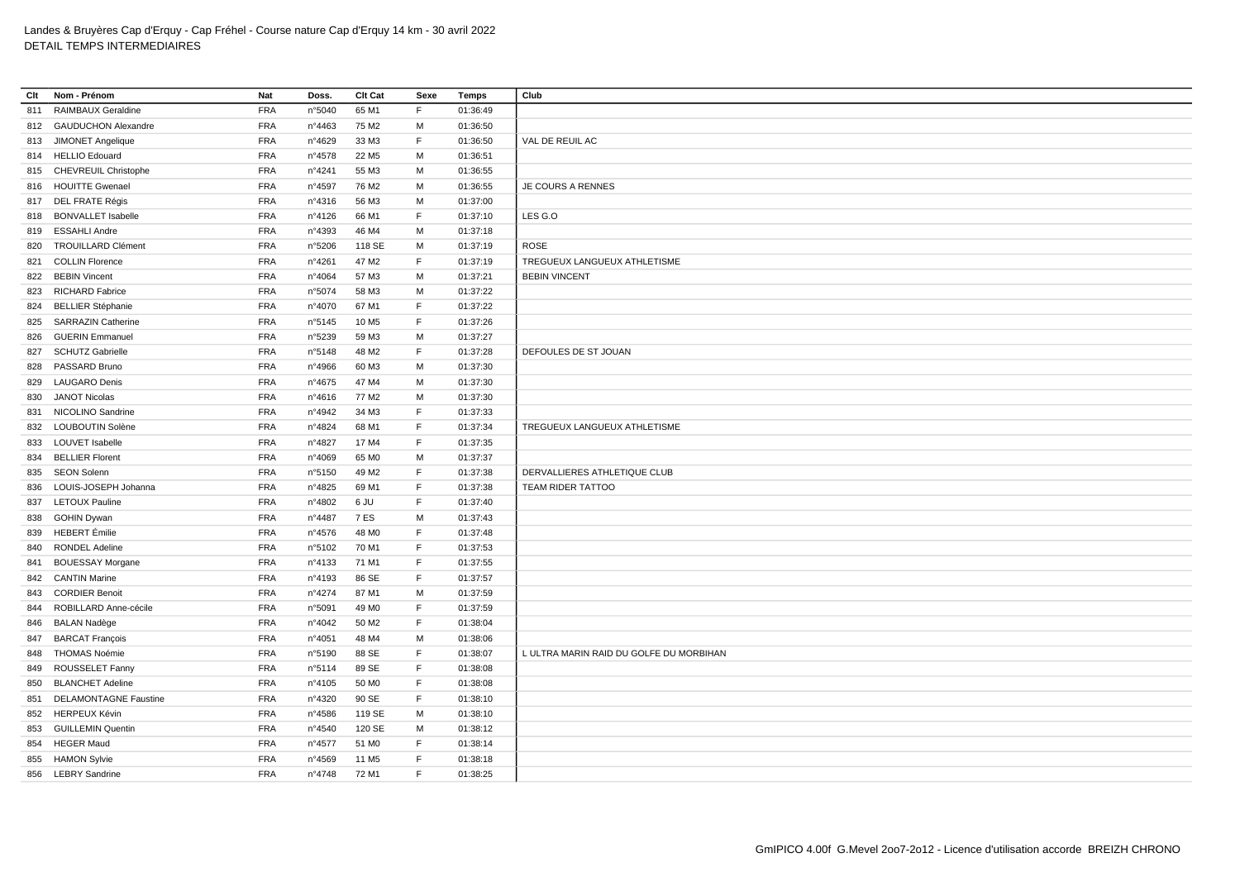| Clt | Nom - Prénom                 | Nat        | Doss.           | Clt Cat           | Sexe        | <b>Temps</b> | Club                                    |
|-----|------------------------------|------------|-----------------|-------------------|-------------|--------------|-----------------------------------------|
| 811 | RAIMBAUX Geraldine           | <b>FRA</b> | n°5040          | 65 M1             | F           | 01:36:49     |                                         |
|     | 812 GAUDUCHON Alexandre      | <b>FRA</b> | n°4463          | 75 M2             | M           | 01:36:50     |                                         |
| 813 | JIMONET Angelique            | <b>FRA</b> | n°4629          | 33 M3             | $\mathsf F$ | 01:36:50     | VAL DE REUIL AC                         |
|     | 814 HELLIO Edouard           | <b>FRA</b> | n°4578          | 22 M <sub>5</sub> | M           | 01:36:51     |                                         |
|     | 815 CHEVREUIL Christophe     | <b>FRA</b> | n°4241          | 55 M3             | M           | 01:36:55     |                                         |
|     | 816 HOUITTE Gwenael          | <b>FRA</b> | n°4597          | 76 M <sub>2</sub> | M           | 01:36:55     | JE COURS A RENNES                       |
|     | 817 DEL FRATE Régis          | <b>FRA</b> | n°4316          | 56 M3             | M           | 01:37:00     |                                         |
|     | 818 BONVALLET Isabelle       | <b>FRA</b> | nº4126          | 66 M1             | F           | 01:37:10     | LES G.O                                 |
|     | 819 ESSAHLI Andre            | <b>FRA</b> | n°4393          | 46 M4             | М           | 01:37:18     |                                         |
| 820 | <b>TROUILLARD Clément</b>    | <b>FRA</b> | n°5206          | 118 SE            | M           | 01:37:19     | <b>ROSE</b>                             |
| 821 | <b>COLLIN Florence</b>       | <b>FRA</b> | n°4261          | 47 M2             | F           | 01:37:19     | TREGUEUX LANGUEUX ATHLETISME            |
|     | 822 BEBIN Vincent            | <b>FRA</b> | n°4064          | 57 M3             | M           | 01:37:21     | <b>BEBIN VINCENT</b>                    |
| 823 | <b>RICHARD Fabrice</b>       | <b>FRA</b> | n°5074          | 58 M3             | M           | 01:37:22     |                                         |
| 824 | <b>BELLIER Stéphanie</b>     | <b>FRA</b> | n°4070          | 67 M1             | $\mathsf F$ | 01:37:22     |                                         |
|     | 825 SARRAZIN Catherine       | <b>FRA</b> | n°5145          | 10 M <sub>5</sub> | F           | 01:37:26     |                                         |
| 826 | <b>GUERIN Emmanuel</b>       | <b>FRA</b> | n°5239          | 59 M3             | M           | 01:37:27     |                                         |
| 827 | <b>SCHUTZ Gabrielle</b>      | <b>FRA</b> | n°5148          | 48 M2             | F           | 01:37:28     | DEFOULES DE ST JOUAN                    |
|     | 828 PASSARD Bruno            | <b>FRA</b> | n°4966          | 60 M3             | M           | 01:37:30     |                                         |
| 829 | <b>LAUGARO Denis</b>         | <b>FRA</b> | n°4675          | 47 M4             | M           | 01:37:30     |                                         |
| 830 | <b>JANOT Nicolas</b>         | <b>FRA</b> | $n^{\circ}4616$ | 77 M2             | M           | 01:37:30     |                                         |
| 831 | NICOLINO Sandrine            | <b>FRA</b> | n°4942          | 34 M3             | F           | 01:37:33     |                                         |
| 832 | LOUBOUTIN Solène             | <b>FRA</b> | n°4824          | 68 M1             | F           | 01:37:34     | TREGUEUX LANGUEUX ATHLETISME            |
| 833 | <b>LOUVET Isabelle</b>       | <b>FRA</b> | n°4827          | 17 M4             | F           | 01:37:35     |                                         |
|     | 834 BELLIER Florent          | <b>FRA</b> | n°4069          | 65 MO             | M           | 01:37:37     |                                         |
|     | 835 SEON Solenn              | <b>FRA</b> | n°5150          | 49 M2             | F           | 01:37:38     | DERVALLIERES ATHLETIQUE CLUB            |
|     | 836 LOUIS-JOSEPH Johanna     | <b>FRA</b> | n°4825          | 69 M1             | F           | 01:37:38     | TEAM RIDER TATTOO                       |
|     | 837 LETOUX Pauline           | <b>FRA</b> | n°4802          | 6 JU              | F           | 01:37:40     |                                         |
|     | 838 GOHIN Dywan              | <b>FRA</b> | n°4487          | 7 ES              | M           | 01:37:43     |                                         |
|     | 839 HEBERT Émilie            | FRA        | n°4576          | 48 M <sub>0</sub> | F           | 01:37:48     |                                         |
| 840 | RONDEL Adeline               | <b>FRA</b> | n°5102          | 70 M1             | F           | 01:37:53     |                                         |
| 841 | <b>BOUESSAY Morgane</b>      | <b>FRA</b> | n°4133          | 71 M1             | F           | 01:37:55     |                                         |
| 842 | <b>CANTIN Marine</b>         | <b>FRA</b> | n°4193          | 86 SE             | $\mathsf F$ | 01:37:57     |                                         |
| 843 | <b>CORDIER Benoit</b>        | <b>FRA</b> | n°4274          | 87 M1             | M           | 01:37:59     |                                         |
| 844 | ROBILLARD Anne-cécile        | <b>FRA</b> | n°5091          | 49 M <sub>0</sub> | F.          | 01:37:59     |                                         |
|     | 846 BALAN Nadège             | <b>FRA</b> | n°4042          | 50 M2             | F           | 01:38:04     |                                         |
|     | 847 BARCAT François          | <b>FRA</b> | n°4051          | 48 M4             | M           | 01:38:06     |                                         |
| 848 | <b>THOMAS Noémie</b>         | <b>FRA</b> | n°5190          | 88 SE             | F           | 01:38:07     | L ULTRA MARIN RAID DU GOLFE DU MORBIHAN |
| 849 | ROUSSELET Fanny              | <b>FRA</b> | n°5114          | 89 SE             | F           | 01:38:08     |                                         |
| 850 | <b>BLANCHET Adeline</b>      | <b>FRA</b> | nº4105          | 50 M <sub>0</sub> | F           | 01:38:08     |                                         |
| 851 | <b>DELAMONTAGNE Faustine</b> | <b>FRA</b> | n°4320          | 90 SE             | F           | 01:38:10     |                                         |
| 852 | <b>HERPEUX Kévin</b>         | <b>FRA</b> | n°4586          | 119 SE            | M           | 01:38:10     |                                         |
|     | 853 GUILLEMIN Quentin        | <b>FRA</b> | n°4540          | 120 SE            | м           | 01:38:12     |                                         |
| 854 | <b>HEGER Maud</b>            | <b>FRA</b> | n°4577          | 51 M <sub>0</sub> | F           | 01:38:14     |                                         |
|     | 855 HAMON Sylvie             | <b>FRA</b> | n°4569          | 11 M <sub>5</sub> | F           | 01:38:18     |                                         |
|     | 856 LEBRY Sandrine           | <b>FRA</b> | n°4748          | 72 M1             | F.          | 01:38:25     |                                         |
|     |                              |            |                 |                   |             |              |                                         |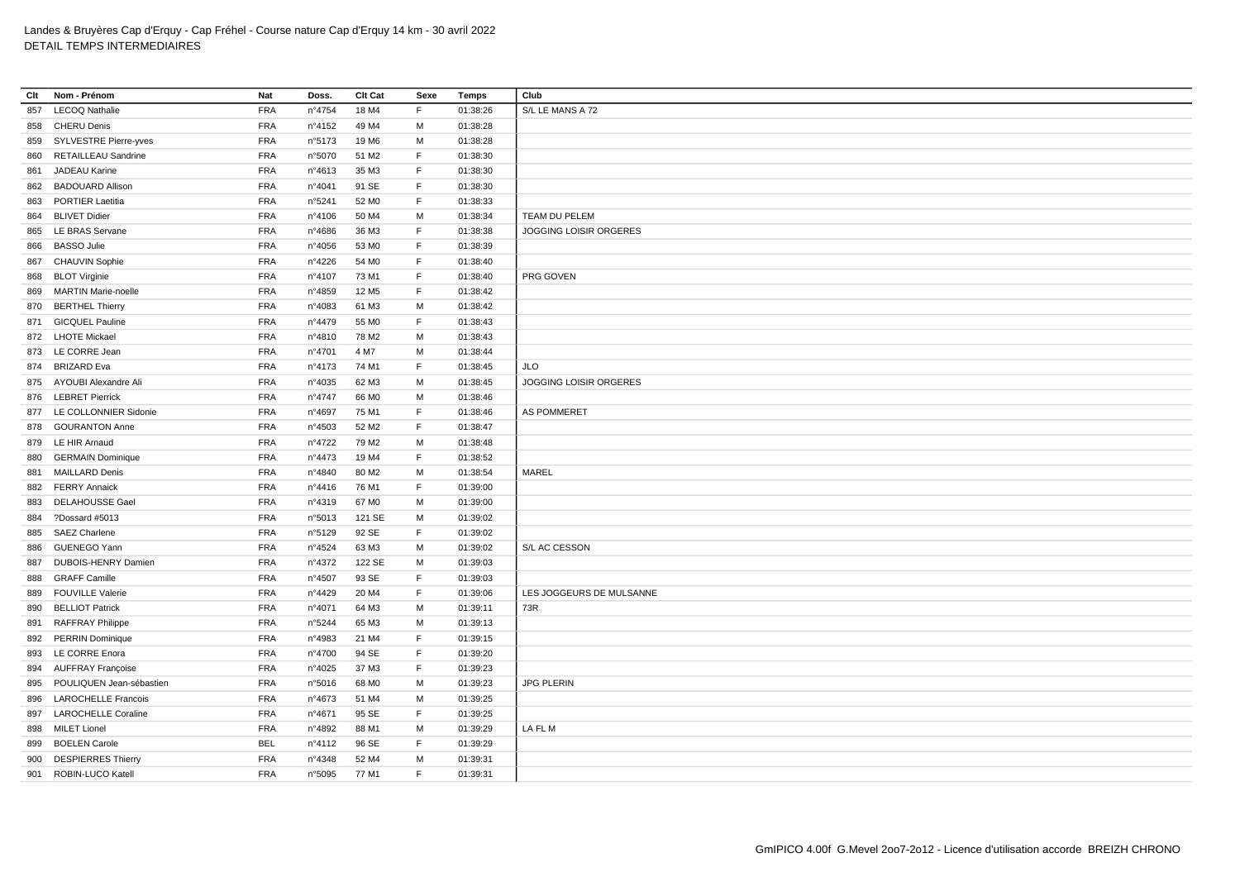| Clt | Nom - Prénom               | Nat        | Doss.           | Clt Cat           | Sexe         | <b>Temps</b> | Club                          |
|-----|----------------------------|------------|-----------------|-------------------|--------------|--------------|-------------------------------|
| 857 | <b>LECOQ Nathalie</b>      | <b>FRA</b> | n°4754          | 18 M4             | F            | 01:38:26     | S/L LE MANS A 72              |
| 858 | <b>CHERU Denis</b>         | <b>FRA</b> | n°4152          | 49 M4             | M            | 01:38:28     |                               |
| 859 | SYLVESTRE Pierre-yves      | <b>FRA</b> | n°5173          | 19 M6             | M            | 01:38:28     |                               |
| 860 | <b>RETAILLEAU Sandrine</b> | FRA        | n°5070          | 51 M2             | F            | 01:38:30     |                               |
| 861 | JADEAU Karine              | <b>FRA</b> | n°4613          | 35 M3             | E            | 01:38:30     |                               |
| 862 | <b>BADOUARD Allison</b>    | <b>FRA</b> | n°4041          | 91 SE             | $\mathsf F$  | 01:38:30     |                               |
| 863 | <b>PORTIER Laetitia</b>    | <b>FRA</b> | n°5241          | 52 M <sub>0</sub> | E            | 01:38:33     |                               |
| 864 | <b>BLIVET Didier</b>       | <b>FRA</b> | n°4106          | 50 M4             | M            | 01:38:34     | TEAM DU PELEM                 |
| 865 | LE BRAS Servane            | <b>FRA</b> | n°4686          | 36 M3             | E            | 01:38:38     | <b>JOGGING LOISIR ORGERES</b> |
| 866 | <b>BASSO Julie</b>         | <b>FRA</b> | n°4056          | 53 MO             | $\mathsf F$  | 01:38:39     |                               |
|     | 867 CHAUVIN Sophie         | <b>FRA</b> | n°4226          | 54 M <sub>0</sub> | $\mathsf{F}$ | 01:38:40     |                               |
| 868 | <b>BLOT Virginie</b>       | <b>FRA</b> | n°4107          | 73 M1             | $\mathsf F$  | 01:38:40     | PRG GOVEN                     |
| 869 | <b>MARTIN Marie-noelle</b> | <b>FRA</b> | n°4859          | 12 M <sub>5</sub> | E            | 01:38:42     |                               |
| 870 | <b>BERTHEL Thierry</b>     | <b>FRA</b> | n°4083          | 61 M3             | M            | 01:38:42     |                               |
|     | 871 GICQUEL Pauline        | <b>FRA</b> | n°4479          | 55 MO             | F            | 01:38:43     |                               |
|     | 872 LHOTE Mickael          | <b>FRA</b> | n°4810          | 78 M2             | M            | 01:38:43     |                               |
|     | 873 LE CORRE Jean          | <b>FRA</b> | n°4701          | 4 M7              | M            | 01:38:44     |                               |
|     | 874 BRIZARD Eva            | <b>FRA</b> | n°4173          | 74 M1             | $\mathsf F$  | 01:38:45     | JLO                           |
|     | 875 AYOUBI Alexandre Ali   | <b>FRA</b> | n°4035          | 62 M3             | M            | 01:38:45     | JOGGING LOISIR ORGERES        |
|     | 876 LEBRET Pierrick        | <b>FRA</b> | n°4747          | 66 MO             | M            | 01:38:46     |                               |
|     | 877 LE COLLONNIER Sidonie  | <b>FRA</b> | n°4697          | 75 M1             | $\mathsf F$  | 01:38:46     | <b>AS POMMERET</b>            |
| 878 | <b>GOURANTON Anne</b>      | <b>FRA</b> | n°4503          | 52 M2             | F            | 01:38:47     |                               |
| 879 | LE HIR Arnaud              | <b>FRA</b> | n°4722          | 79 M <sub>2</sub> | M            | 01:38:48     |                               |
| 880 | <b>GERMAIN Dominique</b>   | <b>FRA</b> | n°4473          | 19 M4             | $\mathsf F$  | 01:38:52     |                               |
| 881 | <b>MAILLARD Denis</b>      | <b>FRA</b> | n°4840          | 80 M <sub>2</sub> | M            | 01:38:54     | MAREL                         |
| 882 | <b>FERRY Annaick</b>       | <b>FRA</b> | $n^{\circ}4416$ | 76 M1             | $\mathsf F$  | 01:39:00     |                               |
| 883 | <b>DELAHOUSSE Gael</b>     | <b>FRA</b> | n°4319          | 67 MO             | M            | 01:39:00     |                               |
| 884 | ?Dossard #5013             | <b>FRA</b> | n°5013          | 121 SE            | M            | 01:39:02     |                               |
| 885 | <b>SAEZ Charlene</b>       | <b>FRA</b> | n°5129          | 92 SE             | E            | 01:39:02     |                               |
| 886 | GUENEGO Yann               | <b>FRA</b> | n°4524          | 63 M3             | M            | 01:39:02     | S/L AC CESSON                 |
| 887 | DUBOIS-HENRY Damien        | <b>FRA</b> | n°4372          | 122 SE            | M            | 01:39:03     |                               |
| 888 | <b>GRAFF Camille</b>       | <b>FRA</b> | n°4507          | 93 SE             | F            | 01:39:03     |                               |
| 889 | <b>FOUVILLE Valerie</b>    | <b>FRA</b> | n°4429          | 20 M4             | E            | 01:39:06     | LES JOGGEURS DE MULSANNE      |
| 890 | <b>BELLIOT Patrick</b>     | <b>FRA</b> | n°4071          | 64 M3             | M            | 01:39:11     | 73R                           |
| 891 | <b>RAFFRAY Philippe</b>    | <b>FRA</b> | n°5244          | 65 M3             | M            | 01:39:13     |                               |
| 892 | <b>PERRIN Dominique</b>    | <b>FRA</b> | n°4983          | 21 M4             | $\mathsf{F}$ | 01:39:15     |                               |
| 893 | LE CORRE Enora             | <b>FRA</b> | n°4700          | 94 SE             | $\mathsf{F}$ | 01:39:20     |                               |
|     | 894 AUFFRAY Françoise      | <b>FRA</b> | n°4025          | 37 M3             | E            | 01:39:23     |                               |
| 895 | POULIQUEN Jean-sébastien   | <b>FRA</b> | n°5016          | 68 MO             | M            | 01:39:23     | <b>JPG PLERIN</b>             |
| 896 | <b>LAROCHELLE Francois</b> | <b>FRA</b> | n°4673          | 51 M4             | M            | 01:39:25     |                               |
| 897 | <b>LAROCHELLE Coraline</b> | <b>FRA</b> | n°4671          | 95 SE             | $\mathsf F$  | 01:39:25     |                               |
| 898 | <b>MILET Lionel</b>        | <b>FRA</b> | n°4892          | 88 M1             | м            | 01:39:29     | LA FL M                       |
| 899 | <b>BOELEN Carole</b>       | <b>BEL</b> | n°4112          | 96 SE             | $\mathsf F$  | 01:39:29     |                               |
| 900 | <b>DESPIERRES Thierry</b>  | <b>FRA</b> | n°4348          | 52 M4             | м            | 01:39:31     |                               |
|     | 901 ROBIN-LUCO Katell      | <b>FRA</b> | n°5095          | 77 M1             | E            | 01:39:31     |                               |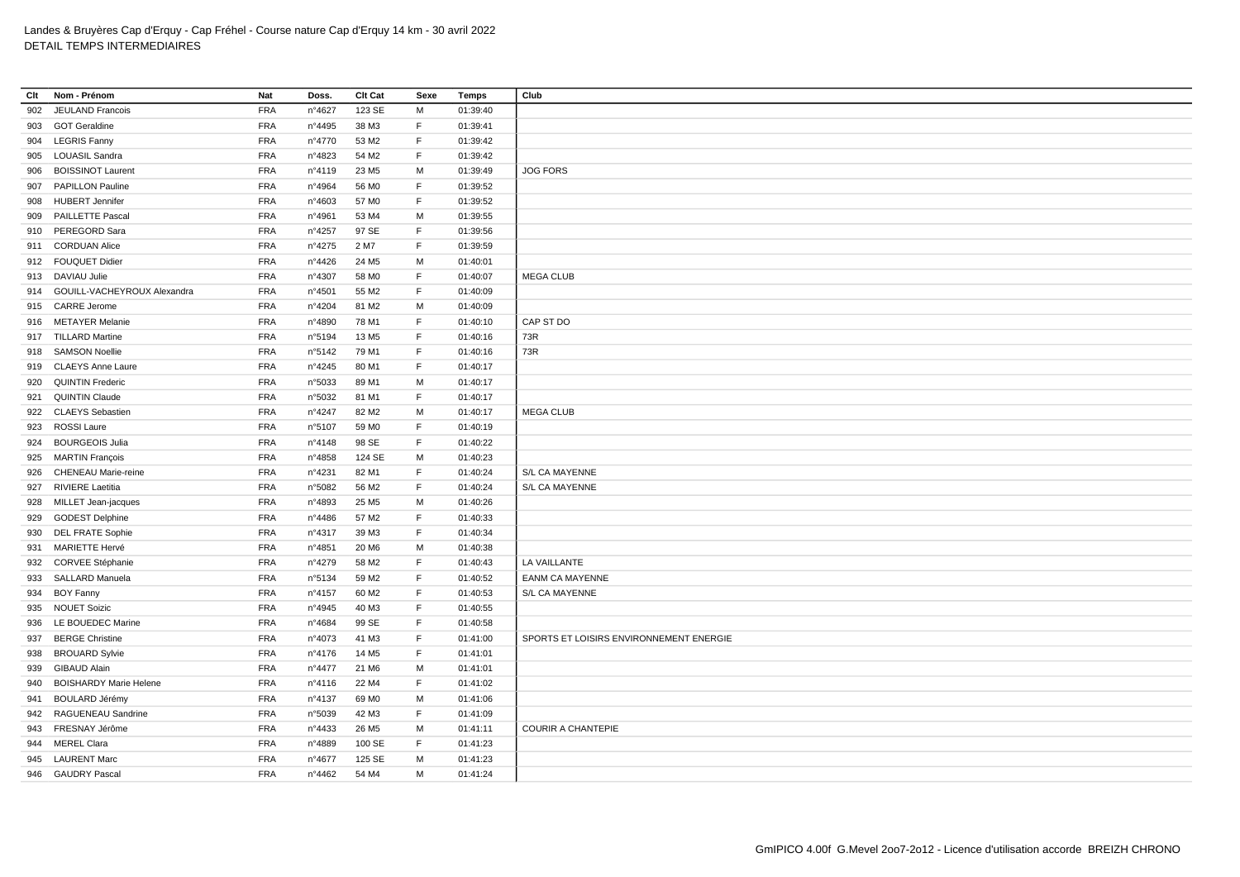| Clt | Nom - Prénom                    | Nat        | Doss.           | Clt Cat           | Sexe | <b>Temps</b> | Club                                    |
|-----|---------------------------------|------------|-----------------|-------------------|------|--------------|-----------------------------------------|
| 902 | JEULAND Francois                | <b>FRA</b> | n°4627          | 123 SE            | М    | 01:39:40     |                                         |
|     | 903 GOT Geraldine               | <b>FRA</b> | n°4495          | 38 M3             | F.   | 01:39:41     |                                         |
|     | 904 LEGRIS Fanny                | <b>FRA</b> | n°4770          | 53 M2             | F.   | 01:39:42     |                                         |
| 905 | <b>LOUASIL Sandra</b>           | <b>FRA</b> | n°4823          | 54 M2             | F.   | 01:39:42     |                                         |
| 906 | <b>BOISSINOT Laurent</b>        | <b>FRA</b> | n°4119          | 23 M <sub>5</sub> | М    | 01:39:49     | <b>JOG FORS</b>                         |
| 907 | <b>PAPILLON Pauline</b>         | <b>FRA</b> | n°4964          | 56 MO             | F    | 01:39:52     |                                         |
| 908 | <b>HUBERT Jennifer</b>          | <b>FRA</b> | n°4603          | 57 M <sub>0</sub> | F    | 01:39:52     |                                         |
| 909 | <b>PAILLETTE Pascal</b>         | <b>FRA</b> | n°4961          | 53 M4             | М    | 01:39:55     |                                         |
| 910 | PEREGORD Sara                   | <b>FRA</b> | n°4257          | 97 SE             | F    | 01:39:56     |                                         |
| 911 | <b>CORDUAN Alice</b>            | <b>FRA</b> | n°4275          | 2 M7              | F    | 01:39:59     |                                         |
|     | 912 FOUQUET Didier              | <b>FRA</b> | n°4426          | 24 M <sub>5</sub> | M    | 01:40:01     |                                         |
|     | 913 DAVIAU Julie                | <b>FRA</b> | n°4307          | 58 MO             | F    | 01:40:07     | <b>MEGA CLUB</b>                        |
|     | 914 GOUILL-VACHEYROUX Alexandra | <b>FRA</b> | n°4501          | 55 M2             | F.   | 01:40:09     |                                         |
|     | 915 CARRE Jerome                | <b>FRA</b> | n°4204          | 81 M2             | М    | 01:40:09     |                                         |
|     | 916 METAYER Melanie             | <b>FRA</b> | n°4890          | 78 M1             | F    | 01:40:10     | CAP ST DO                               |
|     | 917 TILLARD Martine             | <b>FRA</b> | n°5194          | 13 M <sub>5</sub> | F    | 01:40:16     | 73R                                     |
|     | 918 SAMSON Noellie              | <b>FRA</b> | n°5142          | 79 M1             | F.   | 01:40:16     | 73R                                     |
|     | 919 CLAEYS Anne Laure           | <b>FRA</b> | $n^{\circ}4245$ | 80 M1             | F    | 01:40:17     |                                         |
| 920 | <b>QUINTIN Frederic</b>         | <b>FRA</b> | n°5033          | 89 M1             | М    | 01:40:17     |                                         |
| 921 | <b>QUINTIN Claude</b>           | <b>FRA</b> | n°5032          | 81 M1             | F    | 01:40:17     |                                         |
|     | 922 CLAEYS Sebastien            | <b>FRA</b> | n°4247          | 82 M <sub>2</sub> | М    | 01:40:17     | <b>MEGA CLUB</b>                        |
| 923 | <b>ROSSI Laure</b>              | <b>FRA</b> | n°5107          | 59 MO             | F.   | 01:40:19     |                                         |
| 924 | <b>BOURGEOIS Julia</b>          | <b>FRA</b> | n°4148          | 98 SE             | F    | 01:40:22     |                                         |
|     | 925 MARTIN François             | <b>FRA</b> | n°4858          | 124 SE            | M    | 01:40:23     |                                         |
|     | 926 CHENEAU Marie-reine         | <b>FRA</b> | n°4231          | 82 M1             | F    | 01:40:24     | S/L CA MAYENNE                          |
| 927 | <b>RIVIERE</b> Laetitia         | <b>FRA</b> | n°5082          | 56 M2             | F.   | 01:40:24     | S/L CA MAYENNE                          |
|     | 928 MILLET Jean-jacques         | <b>FRA</b> | n°4893          | 25 M <sub>5</sub> | М    | 01:40:26     |                                         |
| 929 | <b>GODEST Delphine</b>          | <b>FRA</b> | n°4486          | 57 M2             | F.   | 01:40:33     |                                         |
| 930 | <b>DEL FRATE Sophie</b>         | <b>FRA</b> | n°4317          | 39 M3             | F    | 01:40:34     |                                         |
| 931 | MARIETTE Hervé                  | <b>FRA</b> | n°4851          | 20 M <sub>6</sub> | М    | 01:40:38     |                                         |
| 932 | CORVEE Stéphanie                | <b>FRA</b> | n°4279          | 58 M2             | F.   | 01:40:43     | LA VAILLANTE                            |
| 933 | SALLARD Manuela                 | <b>FRA</b> | n°5134          | 59 M2             | F    | 01:40:52     | <b>EANM CA MAYENNE</b>                  |
|     | 934 BOY Fanny                   | <b>FRA</b> | n°4157          | 60 M <sub>2</sub> | F    | 01:40:53     | S/L CA MAYENNE                          |
|     | 935 NOUET Soizic                | <b>FRA</b> | n°4945          | 40 M3             | F    | 01:40:55     |                                         |
| 936 | LE BOUEDEC Marine               | <b>FRA</b> | n°4684          | 99 SE             | F.   | 01:40:58     |                                         |
| 937 | <b>BERGE Christine</b>          | <b>FRA</b> | n°4073          | 41 M3             | F    | 01:41:00     | SPORTS ET LOISIRS ENVIRONNEMENT ENERGIE |
| 938 | <b>BROUARD Sylvie</b>           | <b>FRA</b> | n°4176          | 14 M <sub>5</sub> | F    | 01:41:01     |                                         |
| 939 | <b>GIBAUD Alain</b>             | <b>FRA</b> | n°4477          | 21 M6             | М    | 01:41:01     |                                         |
| 940 | <b>BOISHARDY Marie Helene</b>   | <b>FRA</b> | $n^{\circ}4116$ | 22 M4             | F.   | 01:41:02     |                                         |
| 941 | <b>BOULARD Jérémy</b>           | <b>FRA</b> | nº4137          | 69 MO             | M    | 01:41:06     |                                         |
| 942 | RAGUENEAU Sandrine              | <b>FRA</b> | n°5039          | 42 M3             | F.   | 01:41:09     |                                         |
| 943 | FRESNAY Jérôme                  | <b>FRA</b> | n°4433          | 26 M <sub>5</sub> | M    | 01:41:11     | <b>COURIR A CHANTEPIE</b>               |
|     | 944 MEREL Clara                 | <b>FRA</b> | n°4889          | 100 SE            | F    | 01:41:23     |                                         |
| 945 | <b>LAURENT Marc</b>             | <b>FRA</b> | n°4677          | 125 SE            | М    | 01:41:23     |                                         |
|     | 946 GAUDRY Pascal               | <b>FRA</b> | n°4462          | 54 M4             | М    | 01:41:24     |                                         |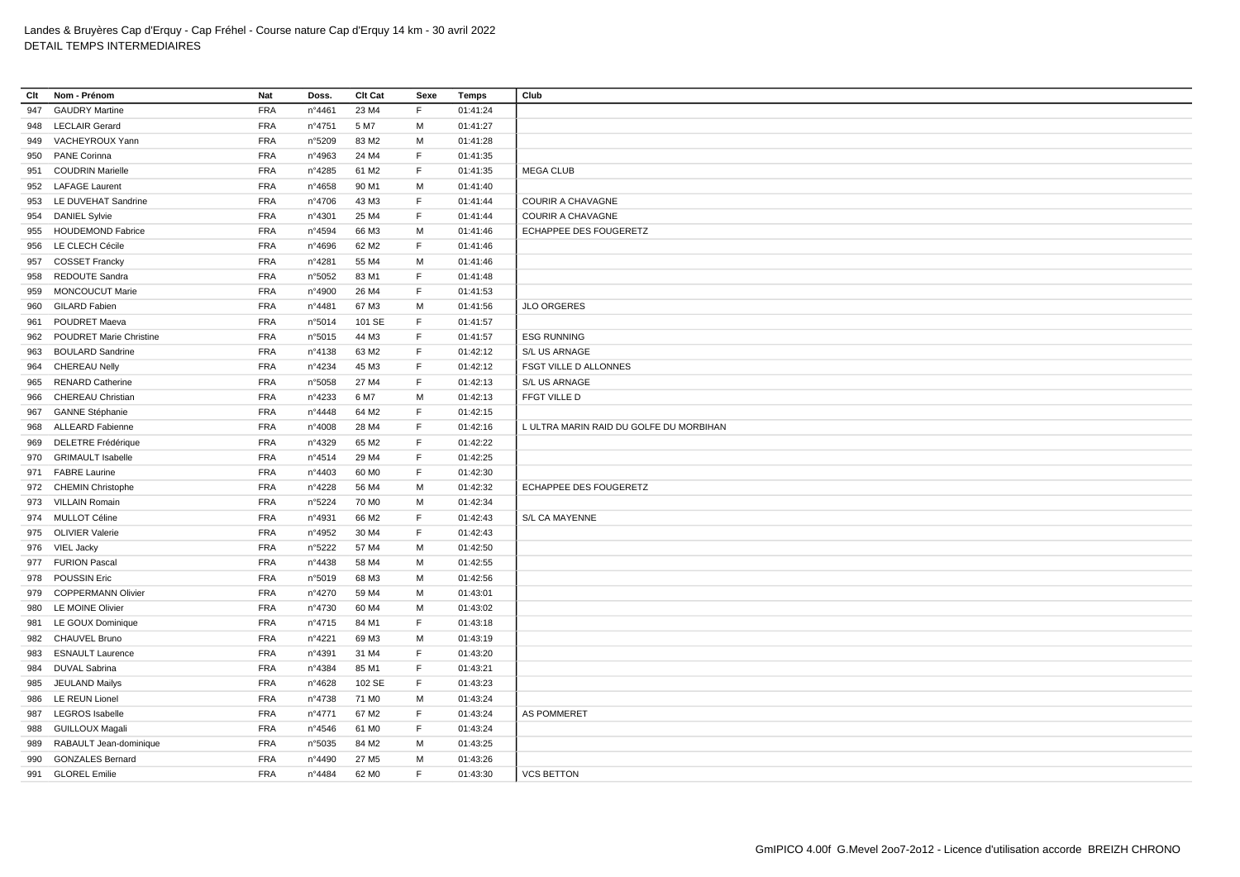| Clt | Nom - Prénom                   | Nat        | Doss.  | Clt Cat           | Sexe | Temps    | Club                                    |
|-----|--------------------------------|------------|--------|-------------------|------|----------|-----------------------------------------|
| 947 | <b>GAUDRY Martine</b>          | <b>FRA</b> | n°4461 | 23 M4             | F.   | 01:41:24 |                                         |
|     | 948 LECLAIR Gerard             | <b>FRA</b> | n°4751 | 5 M7              | м    | 01:41:27 |                                         |
|     | 949 VACHEYROUX Yann            | <b>FRA</b> | n°5209 | 83 M2             | M    | 01:41:28 |                                         |
| 950 | <b>PANE Corinna</b>            | <b>FRA</b> | n°4963 | 24 M4             | F.   | 01:41:35 |                                         |
|     | 951 COUDRIN Marielle           | <b>FRA</b> | n°4285 | 61 M2             | F.   | 01:41:35 | <b>MEGA CLUB</b>                        |
|     | 952 LAFAGE Laurent             | <b>FRA</b> | n°4658 | 90 M1             | M    | 01:41:40 |                                         |
|     | 953 LE DUVEHAT Sandrine        | <b>FRA</b> | n°4706 | 43 M3             | F.   | 01:41:44 | <b>COURIR A CHAVAGNE</b>                |
| 954 | <b>DANIEL Sylvie</b>           | <b>FRA</b> | n°4301 | 25 M4             | F.   | 01:41:44 | <b>COURIR A CHAVAGNE</b>                |
|     | 955 HOUDEMOND Fabrice          | <b>FRA</b> | n°4594 | 66 M3             | м    | 01:41:46 | ECHAPPEE DES FOUGERETZ                  |
| 956 | LE CLECH Cécile                | <b>FRA</b> | n°4696 | 62 M <sub>2</sub> | F.   | 01:41:46 |                                         |
| 957 | <b>COSSET Francky</b>          | <b>FRA</b> | n°4281 | 55 M4             | м    | 01:41:46 |                                         |
| 958 | REDOUTE Sandra                 | <b>FRA</b> | n°5052 | 83 M1             | F    | 01:41:48 |                                         |
| 959 | <b>MONCOUCUT Marie</b>         | <b>FRA</b> | n°4900 | 26 M4             | F    | 01:41:53 |                                         |
| 960 | <b>GILARD Fabien</b>           | <b>FRA</b> | n°4481 | 67 M3             | М    | 01:41:56 | <b>JLO ORGERES</b>                      |
| 961 | <b>POUDRET Maeva</b>           | <b>FRA</b> | n°5014 | 101 SE            | F.   | 01:41:57 |                                         |
| 962 | <b>POUDRET Marie Christine</b> | <b>FRA</b> | n°5015 | 44 M3             | F    | 01:41:57 | <b>ESG RUNNING</b>                      |
| 963 | <b>BOULARD Sandrine</b>        | <b>FRA</b> | nº4138 | 63 M2             | F    | 01:42:12 | S/L US ARNAGE                           |
| 964 | <b>CHEREAU Nelly</b>           | <b>FRA</b> | n°4234 | 45 M3             | F    | 01:42:12 | FSGT VILLE D ALLONNES                   |
| 965 | <b>RENARD Catherine</b>        | <b>FRA</b> | n°5058 | 27 M4             | F    | 01:42:13 | S/L US ARNAGE                           |
| 966 | CHEREAU Christian              | <b>FRA</b> | n°4233 | 6 M7              | М    | 01:42:13 | FFGT VILLE D                            |
| 967 | <b>GANNE Stéphanie</b>         | <b>FRA</b> | n°4448 | 64 M2             | F    | 01:42:15 |                                         |
|     | 968 ALLEARD Fabienne           | <b>FRA</b> | n°4008 | 28 M4             | F    | 01:42:16 | L ULTRA MARIN RAID DU GOLFE DU MORBIHAN |
| 969 | DELETRE Frédérique             | <b>FRA</b> | n°4329 | 65 M2             | F    | 01:42:22 |                                         |
| 970 | <b>GRIMAULT Isabelle</b>       | <b>FRA</b> | n°4514 | 29 M4             | F.   | 01:42:25 |                                         |
|     | 971 FABRE Laurine              | <b>FRA</b> | n°4403 | 60 MO             | F    | 01:42:30 |                                         |
|     | 972 CHEMIN Christophe          | <b>FRA</b> | n°4228 | 56 M4             | M    | 01:42:32 | ECHAPPEE DES FOUGERETZ                  |
|     | 973 VILLAIN Romain             | <b>FRA</b> | n°5224 | 70 M <sub>0</sub> | М    | 01:42:34 |                                         |
|     | 974 MULLOT Céline              | <b>FRA</b> | n°4931 | 66 M2             | F.   | 01:42:43 | S/L CA MAYENNE                          |
|     | 975 OLIVIER Valerie            | <b>FRA</b> | n°4952 | 30 M4             | F    | 01:42:43 |                                         |
|     | 976 VIEL Jacky                 | <b>FRA</b> | n°5222 | 57 M4             | м    | 01:42:50 |                                         |
|     | 977 FURION Pascal              | <b>FRA</b> | n°4438 | 58 M4             | M    | 01:42:55 |                                         |
| 978 | <b>POUSSIN Eric</b>            | <b>FRA</b> | n°5019 | 68 M3             | м    | 01:42:56 |                                         |
|     | 979 COPPERMANN Olivier         | <b>FRA</b> | n°4270 | 59 M4             | м    | 01:43:01 |                                         |
| 980 | LE MOINE Olivier               | <b>FRA</b> | n°4730 | 60 M4             | M    | 01:43:02 |                                         |
|     | 981 LE GOUX Dominique          | <b>FRA</b> | n°4715 | 84 M1             | F    | 01:43:18 |                                         |
| 982 | CHAUVEL Bruno                  | <b>FRA</b> | n°4221 | 69 M3             | M    | 01:43:19 |                                         |
| 983 | <b>ESNAULT Laurence</b>        | <b>FRA</b> | n°4391 | 31 M4             | F    | 01:43:20 |                                         |
| 984 | <b>DUVAL Sabrina</b>           | <b>FRA</b> | n°4384 | 85 M1             | F    | 01:43:21 |                                         |
| 985 | <b>JEULAND Mailys</b>          | <b>FRA</b> | n°4628 | 102 SE            | E    | 01:43:23 |                                         |
|     | 986 LE REUN Lionel             | <b>FRA</b> | n°4738 | 71 M <sub>0</sub> | М    | 01:43:24 |                                         |
| 987 | <b>LEGROS</b> Isabelle         | <b>FRA</b> | nº4771 | 67 M2             | F.   | 01:43:24 | <b>AS POMMERET</b>                      |
| 988 | <b>GUILLOUX Magali</b>         | <b>FRA</b> | n°4546 | 61 M <sub>0</sub> | F.   | 01:43:24 |                                         |
| 989 | RABAULT Jean-dominique         | <b>FRA</b> | n°5035 | 84 M2             | м    | 01:43:25 |                                         |
| 990 | <b>GONZALES Bernard</b>        | <b>FRA</b> | n°4490 | 27 M <sub>5</sub> | M    | 01:43:26 |                                         |
|     | 991 GLOREL Emilie              | <b>FRA</b> | n°4484 | 62 M <sub>0</sub> | F.   | 01:43:30 | <b>VCS BETTON</b>                       |
|     |                                |            |        |                   |      |          |                                         |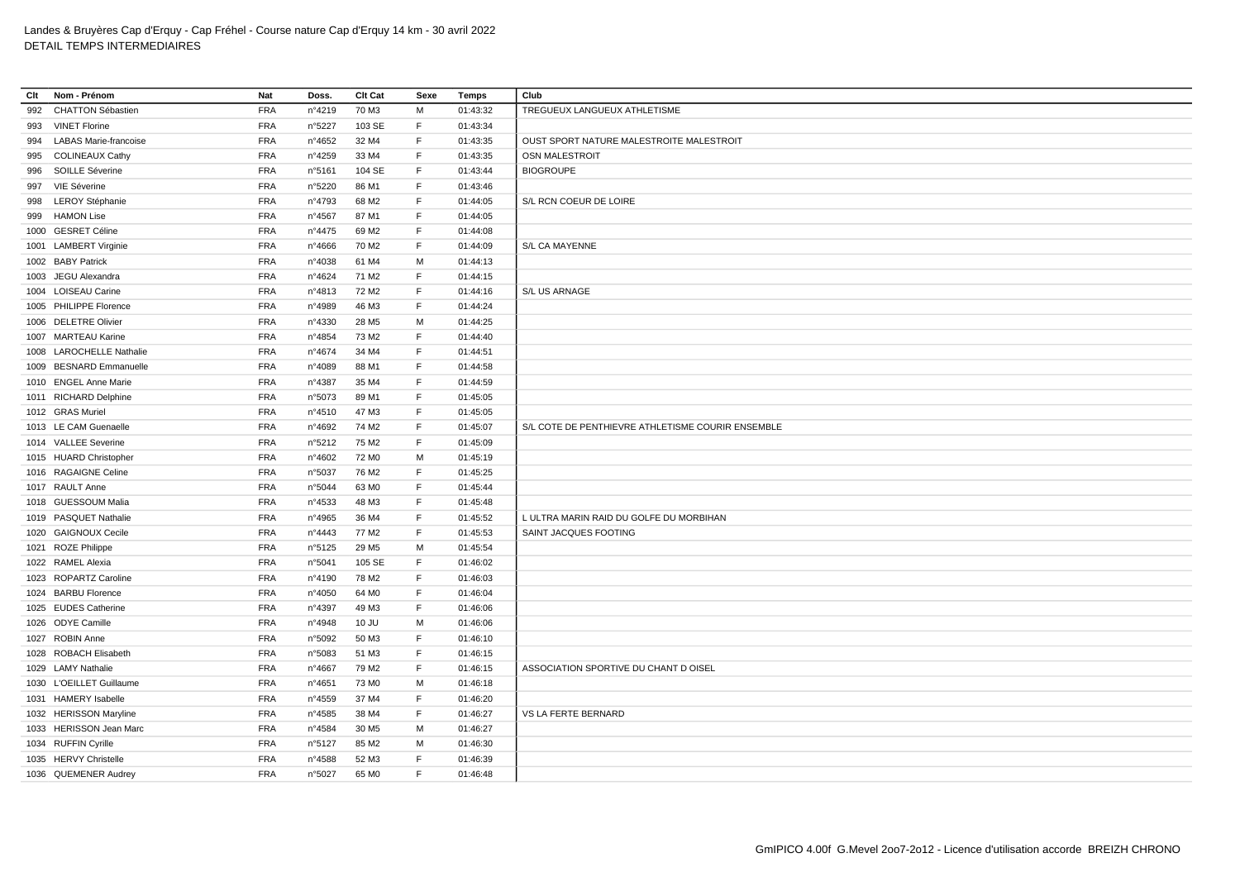| Clt | Nom - Prénom                 | Nat        | Doss.  | Clt Cat           | Sexe         | <b>Temps</b> | Club                                              |
|-----|------------------------------|------------|--------|-------------------|--------------|--------------|---------------------------------------------------|
| 992 | <b>CHATTON Sébastien</b>     | <b>FRA</b> | n°4219 | 70 M3             | M            | 01:43:32     | TREGUEUX LANGUEUX ATHLETISME                      |
| 993 | <b>VINET Florine</b>         | <b>FRA</b> | n°5227 | 103 SE            | F            | 01:43:34     |                                                   |
| 994 | <b>LABAS Marie-francoise</b> | <b>FRA</b> | n°4652 | 32 M4             | $\mathsf F$  | 01:43:35     | OUST SPORT NATURE MALESTROITE MALESTROIT          |
| 995 | <b>COLINEAUX Cathy</b>       | <b>FRA</b> | n°4259 | 33 M4             | F            | 01:43:35     | OSN MALESTROIT                                    |
| 996 | SOILLE Séverine              | <b>FRA</b> | n°5161 | 104 SE            | $\mathsf F$  | 01:43:44     | <b>BIOGROUPE</b>                                  |
| 997 | VIE Séverine                 | <b>FRA</b> | n°5220 | 86 M1             | $\mathsf{F}$ | 01:43:46     |                                                   |
| 998 | <b>LEROY Stéphanie</b>       | <b>FRA</b> | n°4793 | 68 M2             | $\mathsf{F}$ | 01:44:05     | S/L RCN COEUR DE LOIRE                            |
| 999 | <b>HAMON Lise</b>            | <b>FRA</b> | n°4567 | 87 M1             | $\mathsf F$  | 01:44:05     |                                                   |
|     | 1000 GESRET Céline           | <b>FRA</b> | n°4475 | 69 M <sub>2</sub> | F            | 01:44:08     |                                                   |
|     | 1001 LAMBERT Virginie        | <b>FRA</b> | n°4666 | 70 M <sub>2</sub> | $\mathsf F$  | 01:44:09     | S/L CA MAYENNE                                    |
|     | 1002 BABY Patrick            | <b>FRA</b> | n°4038 | 61 M4             | M            | 01:44:13     |                                                   |
|     | 1003 JEGU Alexandra          | <b>FRA</b> | n°4624 | 71 M2             | E            | 01:44:15     |                                                   |
|     | 1004 LOISEAU Carine          | <b>FRA</b> | n°4813 | 72 M <sub>2</sub> | F            | 01:44:16     | S/L US ARNAGE                                     |
|     | 1005 PHILIPPE Florence       | <b>FRA</b> | n°4989 | 46 M3             | $\mathsf{F}$ | 01:44:24     |                                                   |
|     | 1006 DELETRE Olivier         | <b>FRA</b> | n°4330 | 28 M <sub>5</sub> | м            | 01:44:25     |                                                   |
|     | 1007 MARTEAU Karine          | <b>FRA</b> | n°4854 | 73 M2             | $\mathsf{F}$ | 01:44:40     |                                                   |
|     | 1008 LAROCHELLE Nathalie     | <b>FRA</b> | n°4674 | 34 M4             | $\mathsf F$  | 01:44:51     |                                                   |
|     | 1009 BESNARD Emmanuelle      | <b>FRA</b> | n°4089 | 88 M1             | F            | 01:44:58     |                                                   |
|     | 1010 ENGEL Anne Marie        | <b>FRA</b> | n°4387 | 35 M4             | $\mathsf F$  | 01:44:59     |                                                   |
|     | 1011 RICHARD Delphine        | <b>FRA</b> | n°5073 | 89 M1             | E            | 01:45:05     |                                                   |
|     | 1012 GRAS Muriel             | <b>FRA</b> | n°4510 | 47 M3             | $\mathsf F$  | 01:45:05     |                                                   |
|     | 1013 LE CAM Guenaelle        | <b>FRA</b> | n°4692 | 74 M2             | F            | 01:45:07     | S/L COTE DE PENTHIEVRE ATHLETISME COURIR ENSEMBLE |
|     | 1014 VALLEE Severine         | <b>FRA</b> | n°5212 | 75 M2             | $\mathsf F$  | 01:45:09     |                                                   |
|     | 1015 HUARD Christopher       | <b>FRA</b> | n°4602 | 72 M <sub>0</sub> | M            | 01:45:19     |                                                   |
|     | 1016 RAGAIGNE Celine         | <b>FRA</b> | n°5037 | 76 M2             | $\mathsf{F}$ | 01:45:25     |                                                   |
|     | 1017 RAULT Anne              | <b>FRA</b> | n°5044 | 63 MO             | F            | 01:45:44     |                                                   |
|     | 1018 GUESSOUM Malia          | <b>FRA</b> | n°4533 | 48 M3             | E            | 01:45:48     |                                                   |
|     | 1019 PASQUET Nathalie        | <b>FRA</b> | n°4965 | 36 M4             | F            | 01:45:52     | L ULTRA MARIN RAID DU GOLFE DU MORBIHAN           |
|     | 1020 GAIGNOUX Cecile         | <b>FRA</b> | n°4443 | 77 M2             | E            | 01:45:53     | SAINT JACQUES FOOTING                             |
|     | 1021 ROZE Philippe           | <b>FRA</b> | n°5125 | 29 M <sub>5</sub> | M            | 01:45:54     |                                                   |
|     | 1022 RAMEL Alexia            | <b>FRA</b> | n°5041 | 105 SE            | F            | 01:46:02     |                                                   |
|     | 1023 ROPARTZ Caroline        | <b>FRA</b> | n°4190 | 78 M2             | E            | 01:46:03     |                                                   |
|     | 1024 BARBU Florence          | <b>FRA</b> | n°4050 | 64 M <sub>0</sub> | $\mathsf F$  | 01:46:04     |                                                   |
|     | 1025 EUDES Catherine         | <b>FRA</b> | n°4397 | 49 M3             | $\mathsf{F}$ | 01:46:06     |                                                   |
|     | 1026 ODYE Camille            | <b>FRA</b> | n°4948 | 10 JU             | M            | 01:46:06     |                                                   |
|     | 1027 ROBIN Anne              | <b>FRA</b> | n°5092 | 50 M3             | F            | 01:46:10     |                                                   |
|     | 1028 ROBACH Elisabeth        | <b>FRA</b> | n°5083 | 51 M3             | $\mathsf F$  | 01:46:15     |                                                   |
|     | 1029 LAMY Nathalie           | <b>FRA</b> | n°4667 | 79 M <sub>2</sub> | $\mathsf{F}$ | 01:46:15     | ASSOCIATION SPORTIVE DU CHANT D OISEL             |
|     | 1030 L'OEILLET Guillaume     | <b>FRA</b> | n°4651 | 73 M <sub>0</sub> | M            | 01:46:18     |                                                   |
|     | 1031 HAMERY Isabelle         | <b>FRA</b> | n°4559 | 37 M4             | F            | 01:46:20     |                                                   |
|     | 1032 HERISSON Maryline       | <b>FRA</b> | n°4585 | 38 M4             | $\mathsf F$  | 01:46:27     | VS LA FERTE BERNARD                               |
|     | 1033 HERISSON Jean Marc      | <b>FRA</b> | n°4584 | 30 M <sub>5</sub> | M            | 01:46:27     |                                                   |
|     | 1034 RUFFIN Cyrille          | <b>FRA</b> | n°5127 | 85 M2             | M            | 01:46:30     |                                                   |
|     | 1035 HERVY Christelle        | <b>FRA</b> | n°4588 | 52 M3             | F            | 01:46:39     |                                                   |
|     | 1036 QUEMENER Audrey         | <b>FRA</b> | n°5027 | 65 MO             | F            | 01:46:48     |                                                   |
|     |                              |            |        |                   |              |              |                                                   |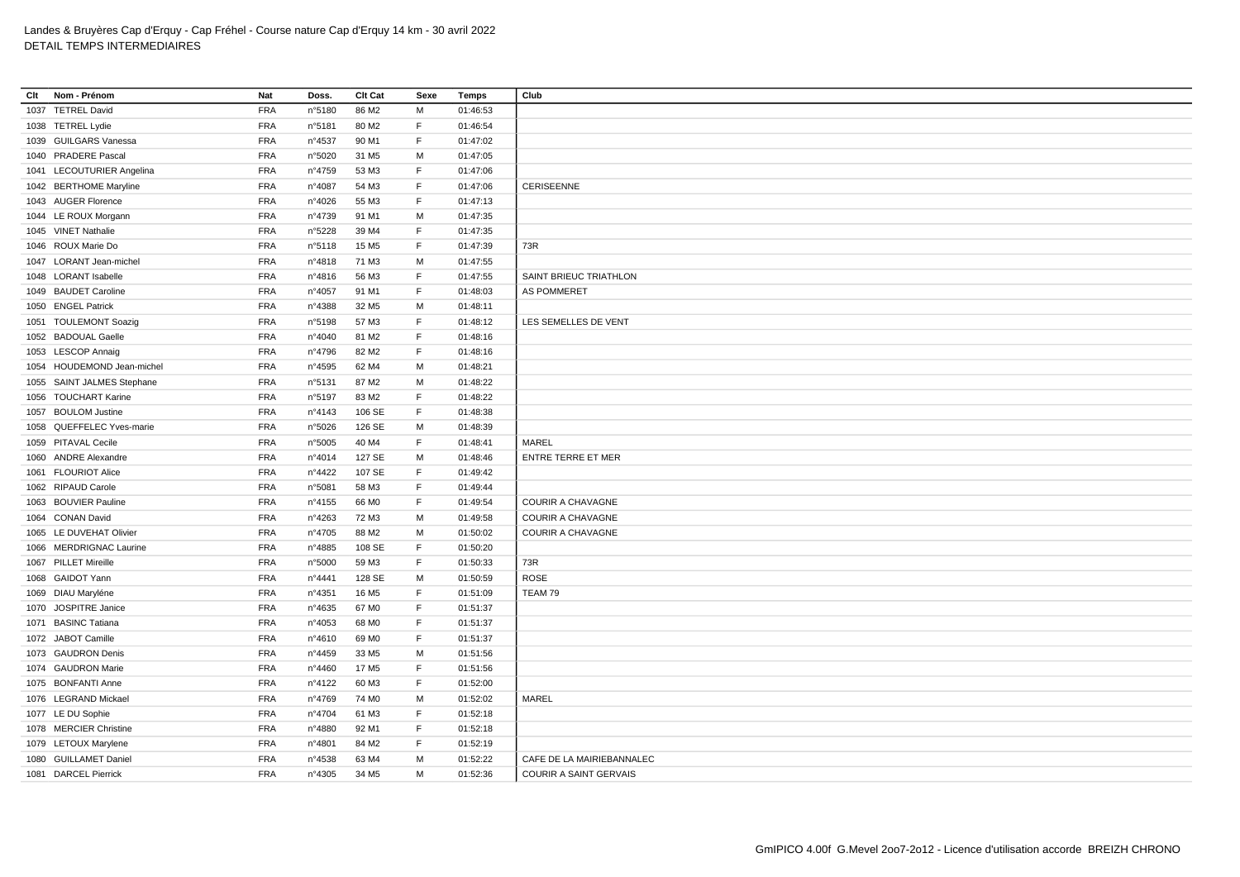| Clt | Nom - Prénom               | Nat        | Doss.           | Clt Cat           | Sexe        | Temps    | Club                          |
|-----|----------------------------|------------|-----------------|-------------------|-------------|----------|-------------------------------|
|     | 1037 TETREL David          | <b>FRA</b> | n°5180          | 86 M2             | м           | 01:46:53 |                               |
|     | 1038 TETREL Lydie          | <b>FRA</b> | n°5181          | 80 M <sub>2</sub> | F           | 01:46:54 |                               |
|     | 1039 GUILGARS Vanessa      | <b>FRA</b> | n°4537          | 90 M1             | F           | 01:47:02 |                               |
|     | 1040 PRADERE Pascal        | <b>FRA</b> | n°5020          | 31 M <sub>5</sub> | M           | 01:47:05 |                               |
|     | 1041 LECOUTURIER Angelina  | <b>FRA</b> | n°4759          | 53 M3             | F           | 01:47:06 |                               |
|     | 1042 BERTHOME Maryline     | <b>FRA</b> | n°4087          | 54 M3             | F           | 01:47:06 | CERISEENNE                    |
|     | 1043 AUGER Florence        | <b>FRA</b> | n°4026          | 55 M3             | F           | 01:47:13 |                               |
|     | 1044 LE ROUX Morgann       | <b>FRA</b> | n°4739          | 91 M1             | M           | 01:47:35 |                               |
|     | 1045 VINET Nathalie        | <b>FRA</b> | n°5228          | 39 M4             | E           | 01:47:35 |                               |
|     | 1046 ROUX Marie Do         | <b>FRA</b> | n°5118          | 15 M <sub>5</sub> | $\mathsf F$ | 01:47:39 | 73R                           |
|     | 1047 LORANT Jean-michel    | <b>FRA</b> | n°4818          | 71 M3             | M           | 01:47:55 |                               |
|     | 1048 LORANT Isabelle       | <b>FRA</b> | $n^{\circ}4816$ | 56 M3             | $\mathsf F$ | 01:47:55 | SAINT BRIEUC TRIATHLON        |
|     | 1049 BAUDET Caroline       | <b>FRA</b> | n°4057          | 91 M1             | F           | 01:48:03 | <b>AS POMMERET</b>            |
|     | 1050 ENGEL Patrick         | <b>FRA</b> | n°4388          | 32 M <sub>5</sub> | M           | 01:48:11 |                               |
|     | 1051 TOULEMONT Soazig      | <b>FRA</b> | n°5198          | 57 M3             | F           | 01:48:12 | LES SEMELLES DE VENT          |
|     | 1052 BADOUAL Gaelle        | <b>FRA</b> | nº4040          | 81 M2             | F           | 01:48:16 |                               |
|     | 1053 LESCOP Annaig         | <b>FRA</b> | n°4796          | 82 M2             | F           | 01:48:16 |                               |
|     | 1054 HOUDEMOND Jean-michel | <b>FRA</b> | n°4595          | 62 M4             | M           | 01:48:21 |                               |
|     | 1055 SAINT JALMES Stephane | <b>FRA</b> | n°5131          | 87 M2             | M           | 01:48:22 |                               |
|     | 1056 TOUCHART Karine       | <b>FRA</b> | n°5197          | 83 M2             | F           | 01:48:22 |                               |
|     | 1057 BOULOM Justine        | <b>FRA</b> | $n^{\circ}4143$ | 106 SE            | F           | 01:48:38 |                               |
|     | 1058 QUEFFELEC Yves-marie  | <b>FRA</b> | n°5026          | 126 SE            | M           | 01:48:39 |                               |
|     | 1059 PITAVAL Cecile        | <b>FRA</b> | n°5005          | 40 M4             | F           | 01:48:41 | MAREL                         |
|     | 1060 ANDRE Alexandre       | <b>FRA</b> | n°4014          | 127 SE            | M           | 01:48:46 | <b>ENTRE TERRE ET MER</b>     |
|     | 1061 FLOURIOT Alice        | <b>FRA</b> | n°4422          | 107 SE            | F           | 01:49:42 |                               |
|     | 1062 RIPAUD Carole         | <b>FRA</b> | n°5081          | 58 M3             | F.          | 01:49:44 |                               |
|     | 1063 BOUVIER Pauline       | <b>FRA</b> | n°4155          | 66 MO             | $\mathsf F$ | 01:49:54 | COURIR A CHAVAGNE             |
|     | 1064 CONAN David           | <b>FRA</b> | n°4263          | 72 M3             | M           | 01:49:58 | <b>COURIR A CHAVAGNE</b>      |
|     | 1065 LE DUVEHAT Olivier    | <b>FRA</b> | n°4705          | 88 M2             | M           | 01:50:02 | COURIR A CHAVAGNE             |
|     | 1066 MERDRIGNAC Laurine    | <b>FRA</b> | n°4885          | 108 SE            | F           | 01:50:20 |                               |
|     | 1067 PILLET Mireille       | <b>FRA</b> | n°5000          | 59 M3             | F           | 01:50:33 | 73R                           |
|     | 1068 GAIDOT Yann           | <b>FRA</b> | n°4441          | 128 SE            | M           | 01:50:59 | ROSE                          |
|     | 1069 DIAU Maryléne         | <b>FRA</b> | n°4351          | 16 M <sub>5</sub> | F           | 01:51:09 | TEAM 79                       |
|     | 1070 JOSPITRE Janice       | <b>FRA</b> | n°4635          | 67 MO             | F           | 01:51:37 |                               |
|     | 1071 BASINC Tatiana        | <b>FRA</b> | n°4053          | 68 MO             | $\mathsf F$ | 01:51:37 |                               |
|     | 1072 JABOT Camille         | <b>FRA</b> | nº4610          | 69 MO             | F           | 01:51:37 |                               |
|     | 1073 GAUDRON Denis         | <b>FRA</b> | n°4459          | 33 M <sub>5</sub> | M           | 01:51:56 |                               |
|     | 1074 GAUDRON Marie         | <b>FRA</b> | nº4460          | 17 M <sub>5</sub> | E           | 01:51:56 |                               |
|     | 1075 BONFANTI Anne         | <b>FRA</b> | n°4122          | 60 M3             | $\mathsf F$ | 01:52:00 |                               |
|     | 1076 LEGRAND Mickael       | <b>FRA</b> | n°4769          | 74 M <sub>0</sub> | M           | 01:52:02 | MAREL                         |
|     | 1077 LE DU Sophie          | <b>FRA</b> | n°4704          | 61 M3             | F           | 01:52:18 |                               |
|     | 1078 MERCIER Christine     | <b>FRA</b> | n°4880          | 92 M1             | F           | 01:52:18 |                               |
|     | 1079 LETOUX Marylene       | <b>FRA</b> | n°4801          | 84 M2             | F           | 01:52:19 |                               |
|     | 1080 GUILLAMET Daniel      | <b>FRA</b> | n°4538          | 63 M4             | М           | 01:52:22 | CAFE DE LA MAIRIEBANNALEC     |
|     | 1081 DARCEL Pierrick       | <b>FRA</b> | n°4305          | 34 M <sub>5</sub> | M           | 01:52:36 | <b>COURIR A SAINT GERVAIS</b> |